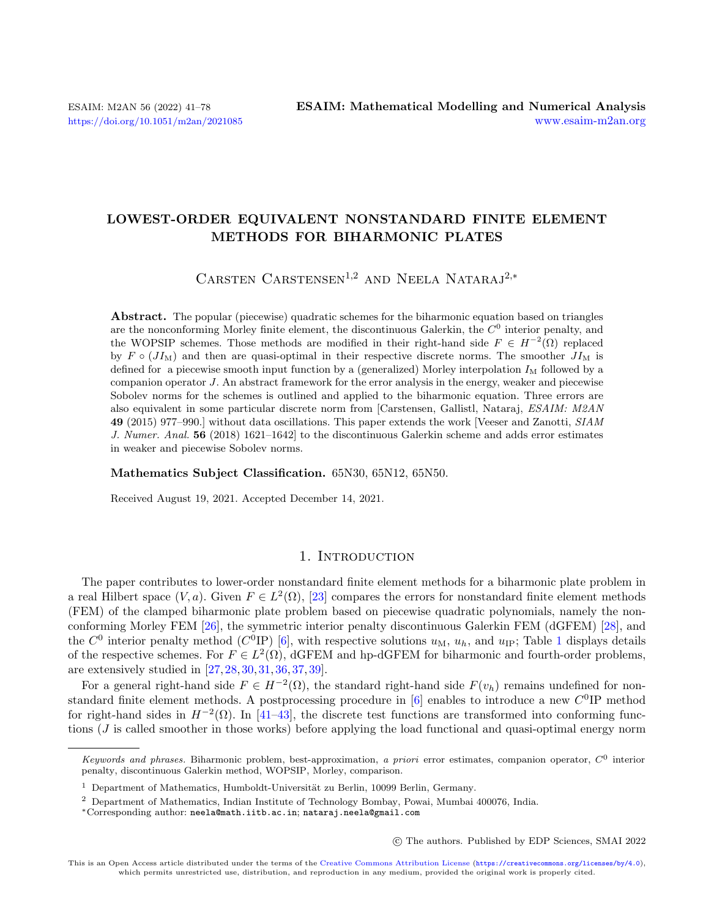# LOWEST-ORDER EQUIVALENT NONSTANDARD FINITE ELEMENT METHODS FOR BIHARMONIC PLATES

CARSTEN CARSTENSEN<sup>1,2</sup> AND NEELA NATARAJ<sup>2,\*</sup>

Abstract. The popular (piecewise) quadratic schemes for the biharmonic equation based on triangles are the nonconforming Morley finite element, the discontinuous Galerkin, the  $C<sup>0</sup>$  interior penalty, and the WOPSIP schemes. Those methods are modified in their right-hand side  $F \in H^{-2}(\Omega)$  replaced by  $F \circ (JI_M)$  and then are quasi-optimal in their respective discrete norms. The smoother  $JI_M$  is defined for a piecewise smooth input function by a (generalized) Morley interpolation  $I_M$  followed by a companion operator  $J$ . An abstract framework for the error analysis in the energy, weaker and piecewise Sobolev norms for the schemes is outlined and applied to the biharmonic equation. Three errors are also equivalent in some particular discrete norm from [Carstensen, Gallistl, Nataraj, ESAIM: M2AN 49 (2015) 977–990.] without data oscillations. This paper extends the work [Veeser and Zanotti, SIAM J. Numer. Anal. 56 (2018) 1621–1642] to the discontinuous Galerkin scheme and adds error estimates in weaker and piecewise Sobolev norms.

Mathematics Subject Classification. 65N30, 65N12, 65N50.

Received August 19, 2021. Accepted December 14, 2021.

# 1. INTRODUCTION

The paper contributes to lower-order nonstandard finite element methods for a biharmonic plate problem in a real Hilbert space  $(V, a)$ . Given  $F \in L^2(\Omega)$ , [\[23\]](#page-36-0) compares the errors for nonstandard finite element methods (FEM) of the clamped biharmonic plate problem based on piecewise quadratic polynomials, namely the nonconforming Morley FEM [\[26\]](#page-36-1), the symmetric interior penalty discontinuous Galerkin FEM (dGFEM) [\[28\]](#page-36-2), and the  $C^0$  interior penalty method ( $C^0$ IP) [\[6\]](#page-36-3), with respective solutions  $u_M$ ,  $u_h$ , and  $u_{IP}$ ; Table [1](#page-1-0) displays details of the respective schemes. For  $F \in L^2(\Omega)$ , dGFEM and hp-dGFEM for biharmonic and fourth-order problems, are extensively studied in [\[27,](#page-36-4) [28,](#page-36-2) [30,](#page-36-5) [31,](#page-37-0) [36,](#page-37-1) [37,](#page-37-2) [39\]](#page-37-3).

For a general right-hand side  $F \in H^{-2}(\Omega)$ , the standard right-hand side  $F(v_h)$  remains undefined for nonstandard finite element methods. A postprocessing procedure in  $[6]$  enables to introduce a new  $C^0$ IP method for right-hand sides in  $H^{-2}(\Omega)$ . In [\[41](#page-37-4)[–43\]](#page-37-5), the discrete test functions are transformed into conforming functions  $(J$  is called smoother in those works) before applying the load functional and quasi-optimal energy norm

○c The authors. Published by EDP Sciences, SMAI 2022

Keywords and phrases. Biharmonic problem, best-approximation, a priori error estimates, companion operator,  $C^0$  interior penalty, discontinuous Galerkin method, WOPSIP, Morley, comparison.

 $1$  Department of Mathematics, Humboldt-Universität zu Berlin, 10099 Berlin, Germany.

<sup>2</sup> Department of Mathematics, Indian Institute of Technology Bombay, Powai, Mumbai 400076, India.

<sup>\*</sup>Corresponding author: [neela@math.iitb.ac.in](mailto:neela@math.iitb.ac.in); [nataraj.neela@gmail.com](mailto:nataraj.neela@gmail.com)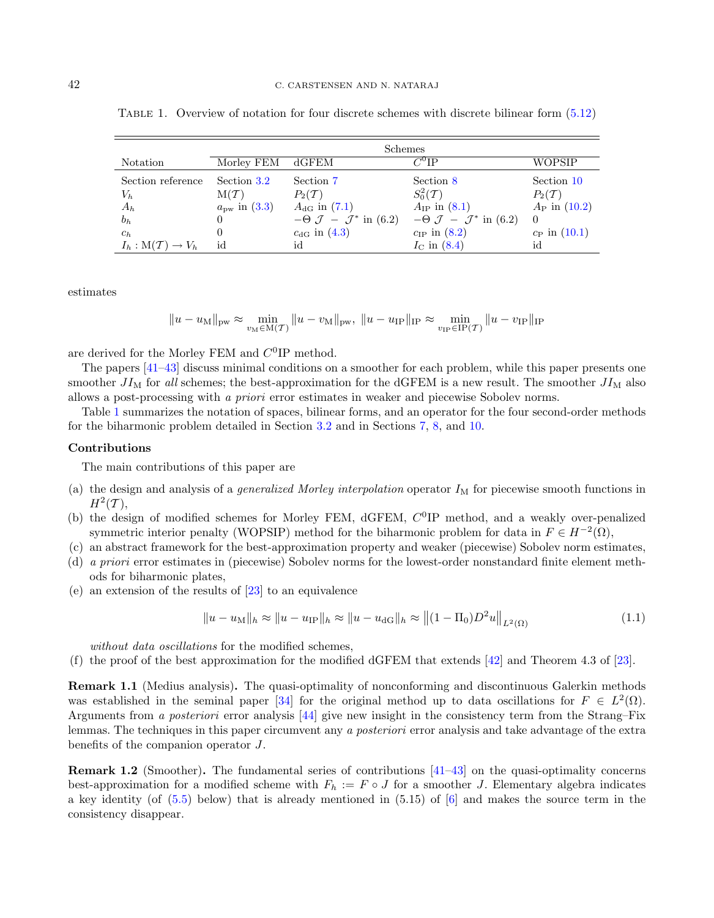|                                         | Schemes               |                                                  |                                                    |                         |
|-----------------------------------------|-----------------------|--------------------------------------------------|----------------------------------------------------|-------------------------|
| Notation                                | Morley FEM dGFEM      |                                                  | $C^0$ IP                                           | WOPSIP                  |
| Section reference                       | Section 3.2           | Section 7                                        | Section 8                                          | Section 10              |
| $V_h$                                   | $M(\mathcal{T})$      | $P_2(T)$                                         | $S_0^2(\mathcal{T})$                               | $P_2(T)$                |
| $A_h$                                   | $a_{\rm pw}$ in (3.3) | $A_{\text{dG}}$ in $(7.1)$                       | $A_{IP}$ in (8.1)                                  | $A_{\rm P}$ in $(10.2)$ |
| $b_h$                                   |                       | $-\Theta$ $\mathcal{J} - \mathcal{J}^*$ in (6.2) | $-\Theta$ $\mathcal{J}$ - $\mathcal{J}^*$ in (6.2) | $\Omega$                |
| $c_h$                                   |                       | $c_{\rm dG}$ in (4.3)                            | $c_{\text{IP}}$ in $(8.2)$                         | $c_{\rm P}$ in $(10.1)$ |
| $I_h: \mathcal{M}(\mathcal{T}) \to V_h$ | id                    | id                                               | $I_{\rm C}$ in (8.4)                               | id                      |

<span id="page-1-0"></span>TABLE 1. Overview of notation for four discrete schemes with discrete bilinear form  $(5.12)$ 

estimates

$$
||u - u_{\text{M}}||_{\text{pw}} \approx \min_{v_{\text{M}} \in \text{M}(\mathcal{T})} ||u - v_{\text{M}}||_{\text{pw}}, \ ||u - u_{\text{IP}}||_{\text{IP}} \approx \min_{v_{\text{IP}} \in \text{IP}(\mathcal{T})} ||u - v_{\text{IP}}||_{\text{IP}}
$$

are derived for the Morley FEM and  $C^0$ IP method.

The papers [\[41](#page-37-4)[–43\]](#page-37-5) discuss minimal conditions on a smoother for each problem, while this paper presents one smoother  $JI_M$  for all schemes; the best-approximation for the dGFEM is a new result. The smoother  $JI_M$  also allows a post-processing with a priori error estimates in weaker and piecewise Sobolev norms.

Table [1](#page-1-0) summarizes the notation of spaces, bilinear forms, and an operator for the four second-order methods for the biharmonic problem detailed in Section [3.2](#page-6-0) and in Sections [7,](#page-26-0) [8,](#page-29-0) and [10.](#page-31-0)

#### Contributions

The main contributions of this paper are

- (a) the design and analysis of a *generalized Morley interpolation* operator  $I_M$  for piecewise smooth functions in  $H^2(\mathcal{T}),$
- (b) the design of modified schemes for Morley FEM, dGFEM,  $C^{0}$ IP method, and a weakly over-penalized symmetric interior penalty (WOPSIP) method for the biharmonic problem for data in  $F \in H^{-2}(\Omega)$ ,
- (c) an abstract framework for the best-approximation property and weaker (piecewise) Sobolev norm estimates,
- (d) a priori error estimates in (piecewise) Sobolev norms for the lowest-order nonstandard finite element methods for biharmonic plates,
- (e) an extension of the results of [\[23\]](#page-36-0) to an equivalence

<span id="page-1-1"></span>
$$
||u - u_{\text{M}}||_h \approx ||u - u_{\text{IP}}||_h \approx ||u - u_{\text{dG}}||_h \approx ||(1 - \Pi_0)D^2 u||_{L^2(\Omega)}
$$
(1.1)

without data oscillations for the modified schemes,

(f) the proof of the best approximation for the modified dGFEM that extends [\[42\]](#page-37-6) and Theorem 4.3 of [\[23\]](#page-36-0).

Remark 1.1 (Medius analysis). The quasi-optimality of nonconforming and discontinuous Galerkin methods was established in the seminal paper [\[34\]](#page-37-7) for the original method up to data oscillations for  $F \in L^2(\Omega)$ . Arguments from a posteriori error analysis [\[44\]](#page-37-8) give new insight in the consistency term from the Strang–Fix lemmas. The techniques in this paper circumvent any a posteriori error analysis and take advantage of the extra benefits of the companion operator  $J$ .

Remark 1.2 (Smoother). The fundamental series of contributions [\[41](#page-37-4)[–43\]](#page-37-5) on the quasi-optimality concerns best-approximation for a modified scheme with  $F_h := F \circ J$  for a smoother J. Elementary algebra indicates a key identity (of [\(5.5\)](#page-17-0) below) that is already mentioned in (5.15) of [\[6\]](#page-36-3) and makes the source term in the consistency disappear.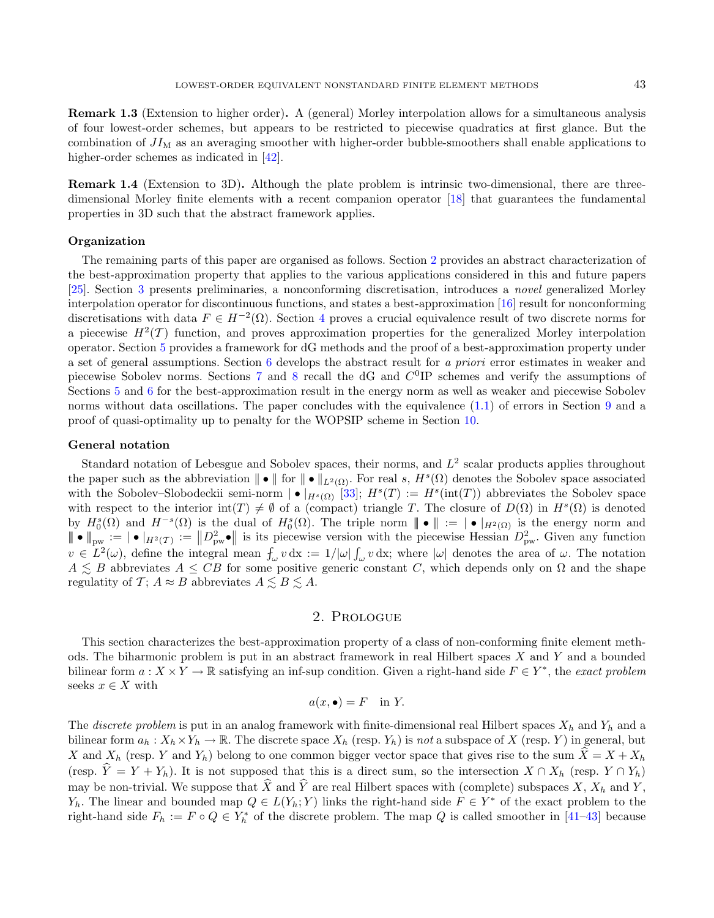Remark 1.3 (Extension to higher order). A (general) Morley interpolation allows for a simultaneous analysis of four lowest-order schemes, but appears to be restricted to piecewise quadratics at first glance. But the combination of  $JI<sub>M</sub>$  as an averaging smoother with higher-order bubble-smoothers shall enable applications to higher-order schemes as indicated in [\[42\]](#page-37-6).

Remark 1.4 (Extension to 3D). Although the plate problem is intrinsic two-dimensional, there are threedimensional Morley finite elements with a recent companion operator [\[18\]](#page-36-6) that guarantees the fundamental properties in 3D such that the abstract framework applies.

### **Organization**

The remaining parts of this paper are organised as follows. Section [2](#page-2-0) provides an abstract characterization of the best-approximation property that applies to the various applications considered in this and future papers [\[25\]](#page-36-7). Section [3](#page-5-0) presents preliminaries, a nonconforming discretisation, introduces a novel generalized Morley interpolation operator for discontinuous functions, and states a best-approximation [\[16\]](#page-36-8) result for nonconforming discretisations with data  $F \in H^{-2}(\Omega)$ . Section [4](#page-10-1) proves a crucial equivalence result of two discrete norms for a piecewise  $H^2(\mathcal{T})$  function, and proves approximation properties for the generalized Morley interpolation operator. Section [5](#page-17-1) provides a framework for dG methods and the proof of a best-approximation property under a set of general assumptions. Section [6](#page-21-0) develops the abstract result for a priori error estimates in weaker and piecewise Sobolev norms. Sections  $7$  and  $8$  recall the dG and  $C^{0}$ IP schemes and verify the assumptions of Sections [5](#page-17-1) and [6](#page-21-0) for the best-approximation result in the energy norm as well as weaker and piecewise Sobolev norms without data oscillations. The paper concludes with the equivalence [\(1.1\)](#page-1-1) of errors in Section [9](#page-30-0) and a proof of quasi-optimality up to penalty for the WOPSIP scheme in Section [10.](#page-31-0)

#### General notation

Standard notation of Lebesgue and Sobolev spaces, their norms, and  $L^2$  scalar products applies throughout the paper such as the abbreviation  $\|\bullet\|$  for  $\|\bullet\|_{L^2(\Omega)}$ . For real s,  $H^s(\Omega)$  denotes the Sobolev space associated with the Sobolev–Slobodeckii semi-norm  $| \bullet |_{H^s(\Omega)}$  [\[33\]](#page-37-9);  $H^s(T) := H^s(\text{int}(T))$  abbreviates the Sobolev space with respect to the interior  $\text{int}(T) \neq \emptyset$  of a (compact) triangle T. The closure of  $D(\Omega)$  in  $H^s(\Omega)$  is denoted by  $H_0^s(\Omega)$  and  $H^{-s}(\Omega)$  is the dual of  $H_0^s(\Omega)$ . The triple norm  $\|\bullet\| := |\bullet|_{H^2(\Omega)}$  is the energy norm and  $|\!|\!|\bullet|\!|\!|_{\text{pw}} := |\!|\bullet|\!|_{H^2(\mathcal{T})} := |\!|\!|D_{\text{pw}}^2|\!|\!|$  is its piecewise version with the piecewise Hessian  $D_{\text{pw}}^2$ . Given any function  $v \in L^2(\omega)$ , define the integral mean  $f_{\omega} v \, dx := 1/|\omega| \int_{\omega} v \, dx$ ; where  $|\omega|$  denotes the area of  $\omega$ . The notation  $A \leq B$  abbreviates  $A \leq CB$  for some positive generic constant C, which depends only on  $\Omega$  and the shape regulatity of  $\mathcal{T}$ ;  $A \approx B$  abbreviates  $A \lesssim B \lesssim A$ .

# 2. Prologue

<span id="page-2-0"></span>This section characterizes the best-approximation property of a class of non-conforming finite element methods. The biharmonic problem is put in an abstract framework in real Hilbert spaces  $X$  and  $Y$  and a bounded bilinear form  $a: X \times Y \to \mathbb{R}$  satisfying an inf-sup condition. Given a right-hand side  $F \in Y^*$ , the exact problem seeks  $x \in X$  with

$$
a(x, \bullet) = F \quad \text{in } Y.
$$

The discrete problem is put in an analog framework with finite-dimensional real Hilbert spaces  $X_h$  and  $Y_h$  and a bilinear form  $a_h : X_h \times Y_h \to \mathbb{R}$ . The discrete space  $X_h$  (resp.  $Y_h$ ) is not a subspace of X (resp. Y) in general, but X and  $X_h$  (resp. Y and  $Y_h$ ) belong to one common bigger vector space that gives rise to the sum  $\hat{X} = X + X_h$ (resp.  $\hat{Y} = Y + Y_h$ ). It is not supposed that this is a direct sum, so the intersection  $X \cap X_h$  (resp.  $Y \cap Y_h$ ) may be non-trivial. We suppose that  $\hat{X}$  and  $\hat{Y}$  are real Hilbert spaces with (complete) subspaces  $X, X_h$  and  $Y$ ,  $Y_h$ . The linear and bounded map  $Q \in L(Y_h; Y)$  links the right-hand side  $F \in Y^*$  of the exact problem to the right-hand side  $F_h := F \circ Q \in Y_h^*$  of the discrete problem. The map Q is called smoother in [\[41–](#page-37-4)[43\]](#page-37-5) because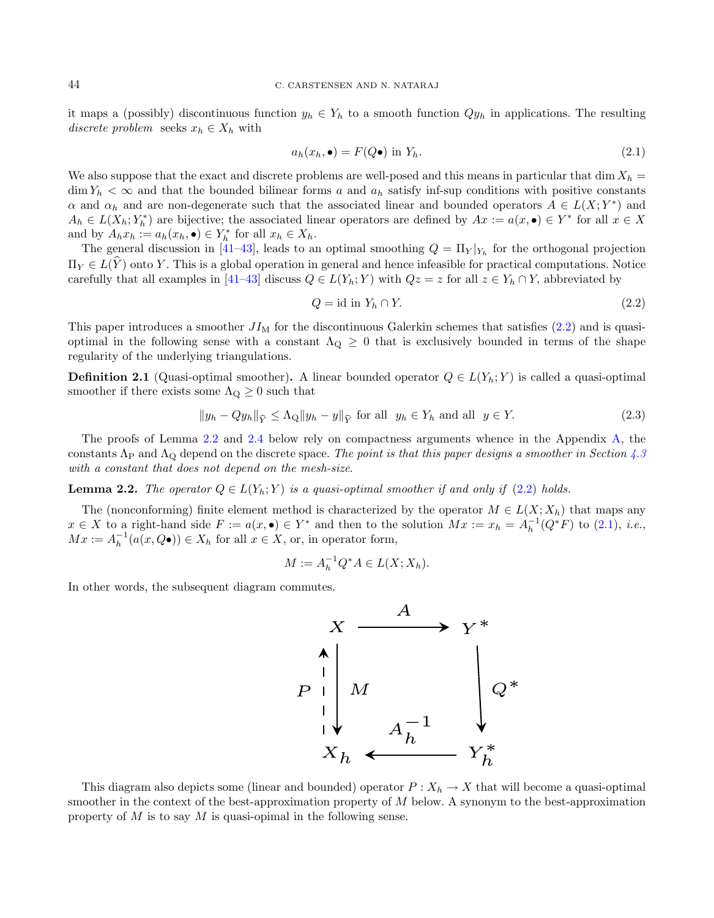it maps a (possibly) discontinuous function  $y_h \in Y_h$  to a smooth function  $Qy_h$  in applications. The resulting discrete problem seeks  $x_h \in X_h$  with

<span id="page-3-2"></span><span id="page-3-0"></span>
$$
a_h(x_h, \bullet) = F(Q\bullet) \text{ in } Y_h. \tag{2.1}
$$

We also suppose that the exact and discrete problems are well-posed and this means in particular that dim  $X_h$  $\dim Y_h < \infty$  and that the bounded bilinear forms a and  $a_h$  satisfy inf-sup conditions with positive constants  $\alpha$  and  $\alpha_h$  and are non-degenerate such that the associated linear and bounded operators  $A \in L(X;Y^*)$  and  $A_h \in L(X_h; Y_h^*)$  are bijective; the associated linear operators are defined by  $Ax := a(x, \bullet) \in Y^*$  for all  $x \in X$ and by  $A_h x_h := a_h(x_h, \bullet) \in Y_h^*$  for all  $x_h \in X_h$ .

The general discussion in [\[41–](#page-37-4)[43\]](#page-37-5), leads to an optimal smoothing  $Q = \prod_{Y} |Y_{h}$  for the orthogonal projection  $\Pi_Y \in L(\hat{Y})$  onto Y. This is a global operation in general and hence infeasible for practical computations. Notice carefully that all examples in [\[41–](#page-37-4)[43\]](#page-37-5) discuss  $Q \in L(Y_h; Y)$  with  $Qz = z$  for all  $z \in Y_h \cap Y$ , abbreviated by

<span id="page-3-3"></span><span id="page-3-1"></span>
$$
Q = id in Y_h \cap Y. \tag{2.2}
$$

This paper introduces a smoother  $JI<sub>M</sub>$  for the discontinuous Galerkin schemes that satisfies [\(2.2\)](#page-3-0) and is quasioptimal in the following sense with a constant  $\Lambda_{Q} \geq 0$  that is exclusively bounded in terms of the shape regularity of the underlying triangulations.

**Definition 2.1** (Quasi-optimal smoother). A linear bounded operator  $Q \in L(Y_h; Y)$  is called a quasi-optimal smoother if there exists some  $\Lambda_{\mathbf{Q}} \geq 0$  such that

$$
||y_h - Qy_h||_{\widehat{Y}} \le \Lambda_Q ||y_h - y||_{\widehat{Y}} \text{ for all } y_h \in Y_h \text{ and all } y \in Y. \tag{2.3}
$$

The proofs of Lemma [2.2](#page-3-1) and [2.4](#page-4-0) below rely on compactness arguments whence in the Appendix [A,](#page-33-0) the constants  $\Lambda_{\rm P}$  and  $\Lambda_{\rm Q}$  depend on the discrete space. The point is that this paper designs a smoother in Section [4.3](#page-15-0) with a constant that does not depend on the mesh-size.

**Lemma 2.2.** The operator  $Q \in L(Y_h; Y)$  is a quasi-optimal smoother if and only if [\(2.2\)](#page-3-0) holds.

The (nonconforming) finite element method is characterized by the operator  $M \in L(X; X_h)$  that maps any  $x \in X$  to a right-hand side  $F := a(x, \bullet) \in Y^*$  and then to the solution  $Mx := x_h = A_h^{-1}(Q^*F)$  to [\(2.1\)](#page-3-2), *i.e.*,  $Mx := A_h^{-1}(a(x, Q\bullet)) \in X_h$  for all  $x \in X$ , or, in operator form,

$$
M := A_h^{-1} Q^* A \in L(X; X_h).
$$

In other words, the subsequent diagram commutes.



This diagram also depicts some (linear and bounded) operator  $P: X_h \to X$  that will become a quasi-optimal smoother in the context of the best-approximation property of  $M$  below. A synonym to the best-approximation property of  $M$  is to say  $M$  is quasi-opimal in the following sense.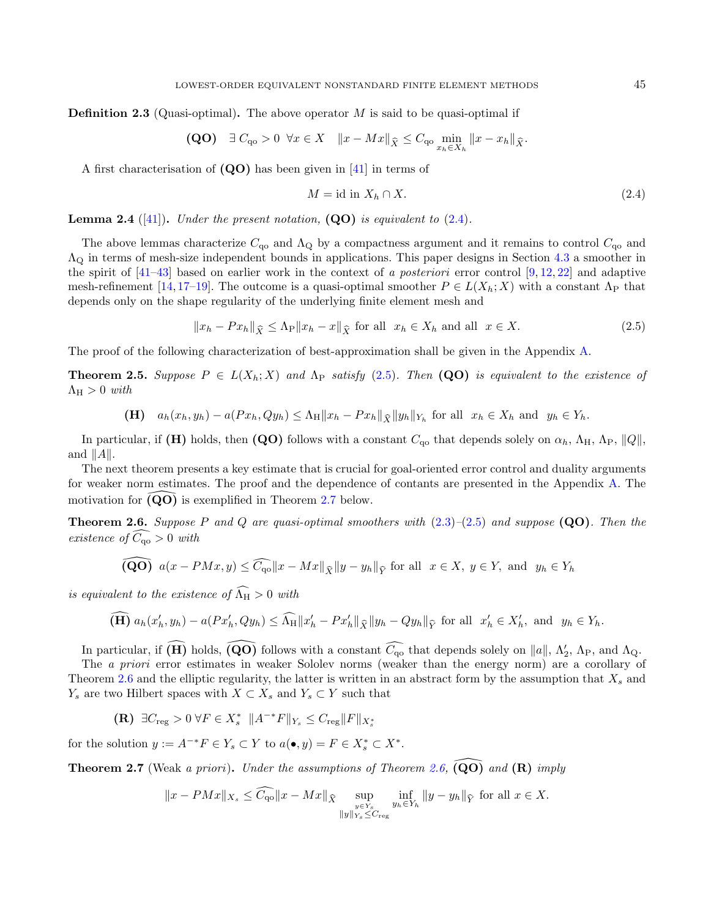**Definition 2.3** (Quasi-optimal). The above operator  $M$  is said to be quasi-optimal if

(QO) 
$$
\exists C_{\mathbf{q}_0} > 0 \ \forall x \in X \quad ||x - Mx||_{\widehat{X}} \leq C_{\mathbf{q}_0} \min_{x_h \in X_h} ||x - x_h||_{\widehat{X}}.
$$

A first characterisation of (QO) has been given in [\[41\]](#page-37-4) in terms of

<span id="page-4-4"></span><span id="page-4-1"></span>
$$
M = id in X_h \cap X.
$$
 (2.4)

<span id="page-4-0"></span>**Lemma 2.4** ([\[41\]](#page-37-4)). Under the present notation,  $(QO)$  is equivalent to [\(2.4\)](#page-4-1).

The above lemmas characterize  $C_{\text{qo}}$  and  $\Lambda_{\text{Q}}$  by a compactness argument and it remains to control  $C_{\text{qo}}$  and  $\Lambda_{\rm Q}$  in terms of mesh-size independent bounds in applications. This paper designs in Section [4.3](#page-15-0) a smoother in the spirit of  $[41-43]$  $[41-43]$  based on earlier work in the context of a posteriori error control  $[9, 12, 22]$  $[9, 12, 22]$  $[9, 12, 22]$  $[9, 12, 22]$  $[9, 12, 22]$  and adaptive mesh-refinement [\[14,](#page-36-12) [17](#page-36-13)[–19\]](#page-36-14). The outcome is a quasi-optimal smoother  $P \in L(X_h; X)$  with a constant  $\Lambda_P$  that depends only on the shape regularity of the underlying finite element mesh and

$$
||x_h - Px_h||_{\widehat{X}} \le \Lambda_P ||x_h - x||_{\widehat{X}} \text{ for all } x_h \in X_h \text{ and all } x \in X. \tag{2.5}
$$

<span id="page-4-2"></span>The proof of the following characterization of best-approximation shall be given in the Appendix [A.](#page-33-0)

**Theorem 2.5.** Suppose  $P \in L(X_h; X)$  and  $\Lambda_P$  satisfy [\(2.5\)](#page-4-2). Then (QO) is equivalent to the existence of  $\Lambda_{\rm H} > 0$  with

(H) 
$$
a_h(x_h, y_h) - a(Px_h, Qy_h) \leq \Lambda_H \|x_h - Px_h\|_{\widehat{X}} \|y_h\|_{Y_h}
$$
 for all  $x_h \in X_h$  and  $y_h \in Y_h$ .

In particular, if (H) holds, then (QO) follows with a constant  $C_{\alpha}$  that depends solely on  $\alpha_h$ ,  $\Lambda_H$ ,  $\Lambda_P$ ,  $||Q||$ , and  $||A||$ .

The next theorem presents a key estimate that is crucial for goal-oriented error control and duality arguments for weaker norm estimates. The proof and the dependence of contants are presented in the Appendix [A.](#page-33-0) The motivation for  $\overline{(\mathbf{Q}\mathbf{O})}$  is exemplified in Theorem [2.7](#page-4-3) below.

**Theorem 2.6.** Suppose P and Q are quasi-optimal smoothers with  $(2.3)$ – $(2.5)$  and suppose  $(QO)$ . Then the existence of  $\widehat{C_{\alpha o}} > 0$  with

<span id="page-4-3"></span>(QO) 
$$
a(x - PMx, y) \le \widehat{C_{\mathbf{q0}}}\|x - Mx\|_{\widehat{X}}\|y - y_h\|_{\widehat{Y}}
$$
 for all  $x \in X, y \in Y$ , and  $y_h \in Y_h$ 

is equivalent to the existence of  $\widehat{\Lambda}_{H} > 0$  with

$$
\widehat{(\mathbf{H})} a_h(x'_h, y_h) - a(Px'_h, Qy_h) \le \widehat{\Lambda}_{\mathbf{H}} \|x'_h - Px'_h\|_{\widehat{X}} \|y_h - Qy_h\|_{\widehat{Y}} \text{ for all } x'_h \in X'_h, \text{ and } y_h \in Y_h.
$$

In particular, if  $\widehat{(\mathbf{H})}$  holds,  $\widehat{(\mathbf{Q}\mathbf{O})}$  follows with a constant  $\widehat{C}_{\mathbf{q}\mathbf{o}}$  that depends solely on  $||a||$ ,  $\Lambda'_2$ ,  $\Lambda_{\mathbf{P}}$ , and  $\Lambda_{\mathbf{Q}}$ .

The *a priori* error estimates in weaker Sololev norms (weaker than the energy norm) are a corollary of Theorem [2.6](#page-4-4) and the elliptic regularity, the latter is written in an abstract form by the assumption that  $X_s$  and  $Y_s$  are two Hilbert spaces with  $X \subset X_s$  and  $Y_s \subset Y$  such that

(**R**) 
$$
\exists C_{\text{reg}} > 0 \ \forall F \in X_s^* \ \|A^{-*}F\|_{Y_s} \leq C_{\text{reg}} \|F\|_{X_s^*}
$$

for the solution  $y := A^{-*}F \in Y_s \subset Y$  to  $a(\bullet, y) = F \in X_s^* \subset X^*$ .

**Theorem 2.7** (Weak a priori). Under the assumptions of Theorem [2.6,](#page-4-4)  $\overline{(\mathbf{Q}\mathbf{O})}$  and  $(\mathbf{R})$  imply

$$
||x - PMx||_{X_s} \leq \widetilde{C_{\mathbf{q}\mathbf{0}}}\|x - Mx\|_{\widehat{X}} \sup_{\substack{y \in Y_s \\ \|y\|_{Y_s} \leq C_{\text{reg}}}} \inf_{y_h \in Y_h} ||y - y_h||_{\widehat{Y}} \text{ for all } x \in X.
$$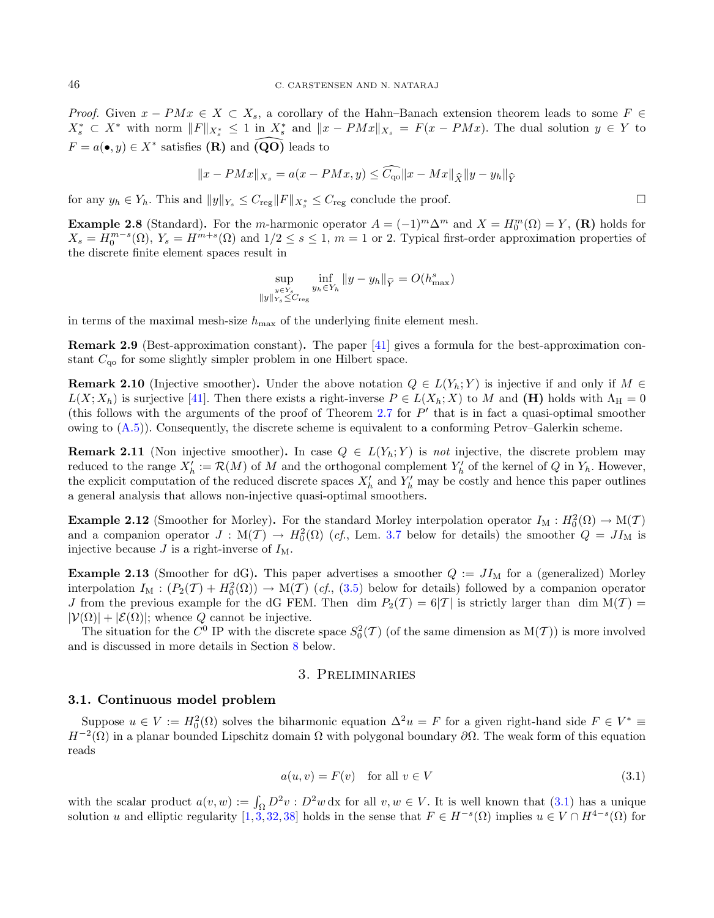*Proof.* Given  $x - PMx \in X \subset X_s$ , a corollary of the Hahn–Banach extension theorem leads to some  $F \in$  $X_s^* \subset X^*$  with norm  $||F||_{X_s^*} \leq 1$  in  $X_s^*$  and  $||x - PMx||_{X_s} = F(x - PMx)$ . The dual solution  $y \in Y$  to  $F = a(\bullet, y) \in X^*$  satisfies  $(\mathbf{R})$  and  $\widehat{(\mathbf{Q}\mathbf{O})}$  leads to

$$
||x - PMx||_{X_s} = a(x - PMx, y) \le \widehat{C_{\text{qo}}} ||x - Mx||_{\widehat{X}} ||y - y_h||_{\widehat{Y}}
$$

for any  $y_h \in Y_h$ . This and  $||y||_{Y_s} \leq C_{\text{reg}} ||F||_{X_s^*} \leq C_{\text{reg}}$  conclude the proof.

**Example 2.8** (Standard). For the *m*-harmonic operator  $A = (-1)^m \Delta^m$  and  $X = H_0^m(\Omega) = Y$ , (**R**) holds for  $X_s = H_0^{m-s}(\Omega)$ ,  $Y_s = H^{m+s}(\Omega)$  and  $1/2 \le s \le 1$ ,  $m = 1$  or 2. Typical first-order approximation properties of the discrete finite element spaces result in

$$
\sup_{\substack{y \in Y_s \\ \|y\|_{Y_s} \leq C_{\text{reg}}}} \inf_{y_h \in Y_h} \|y - y_h\|_{\widehat{Y}} = O(h_{\text{max}}^s)
$$

in terms of the maximal mesh-size  $h_{\text{max}}$  of the underlying finite element mesh.

Remark 2.9 (Best-approximation constant). The paper [\[41\]](#page-37-4) gives a formula for the best-approximation constant  $C_{\alpha}$  for some slightly simpler problem in one Hilbert space.

**Remark 2.10** (Injective smoother). Under the above notation  $Q \in L(Y_h; Y)$  is injective if and only if  $M \in$  $L(X; X_h)$  is surjective [\[41\]](#page-37-4). Then there exists a right-inverse  $P \in L(X_h; X)$  to M and (H) holds with  $\Lambda_H = 0$ (this follows with the arguments of the proof of Theorem [2.7](#page-4-3) for  $P'$  that is in fact a quasi-optimal smoother owing to  $(A.5)$ ). Consequently, the discrete scheme is equivalent to a conforming Petrov–Galerkin scheme.

**Remark 2.11** (Non injective smoother). In case  $Q \in L(Y_h; Y)$  is not injective, the discrete problem may reduced to the range  $X'_h := \mathcal{R}(M)$  of M and the orthogonal complement  $Y'_h$  of the kernel of Q in  $Y_h$ . However, the explicit computation of the reduced discrete spaces  $X'_{h}$  and  $Y'_{h}$  may be costly and hence this paper outlines a general analysis that allows non-injective quasi-optimal smoothers.

**Example 2.12** (Smoother for Morley). For the standard Morley interpolation operator  $I_M : H_0^2(\Omega) \to M(\mathcal{T})$ and a companion operator  $J: M(\mathcal{T}) \to H_0^2(\Omega)$  (*cf.*, Lem. [3.7](#page-8-0) below for details) the smoother  $Q = J I_M$  is injective because  $J$  is a right-inverse of  $I_M$ .

**Example 2.13** (Smoother for dG). This paper advertises a smoother  $Q := J<sub>M</sub>$  for a (generalized) Morley interpolation  $I_M : (P_2(\mathcal{T}) + H_0^2(\Omega)) \to M(\mathcal{T})$  (cf., [\(3.5\)](#page-8-1) below for details) followed by a companion operator J from the previous example for the dG FEM. Then dim  $P_2(T) = 6|T|$  is strictly larger than dim  $M(T)$  $|\mathcal{V}(\Omega)| + |\mathcal{E}(\Omega)|$ ; whence Q cannot be injective.

The situation for the  $C^0$  IP with the discrete space  $S_0^2(\mathcal{T})$  (of the same dimension as  $M(\mathcal{T})$ ) is more involved and is discussed in more details in Section [8](#page-29-0) below.

## <span id="page-5-1"></span>3. Preliminaries

#### <span id="page-5-0"></span>3.1. Continuous model problem

Suppose  $u \in V := H_0^2(\Omega)$  solves the biharmonic equation  $\Delta^2 u = F$  for a given right-hand side  $F \in V^* \equiv$  $H^{-2}(\Omega)$  in a planar bounded Lipschitz domain  $\Omega$  with polygonal boundary  $\partial\Omega$ . The weak form of this equation reads

$$
a(u, v) = F(v) \quad \text{for all } v \in V \tag{3.1}
$$

with the scalar product  $a(v, w) := \int_{\Omega} D^2 v : D^2 w \, dx$  for all  $v, w \in V$ . It is well known that [\(3.1\)](#page-5-1) has a unique solution u and elliptic regularity  $[1,3,32,38]$  $[1,3,32,38]$  $[1,3,32,38]$  $[1,3,32,38]$  holds in the sense that  $F \in H^{-s}(\Omega)$  implies  $u \in V \cap H^{4-s}(\Omega)$  for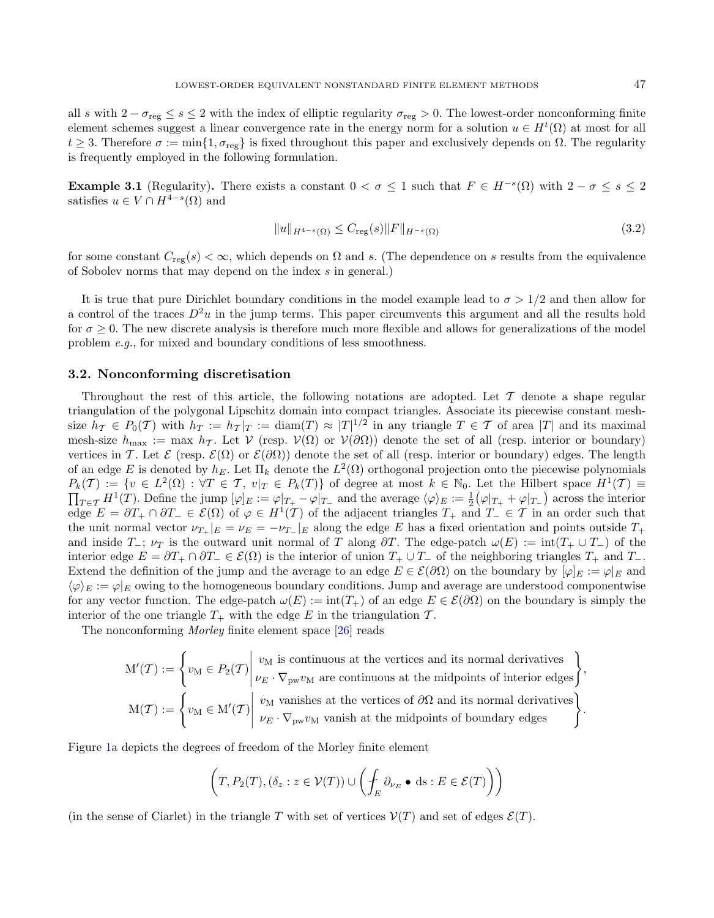all *s* with  $2 - \sigma_{reg} \leq s \leq 2$  with the index of elliptic regularity  $\sigma_{reg} > 0$ . The lowest-order nonconforming finite element schemes suggest a linear convergence rate in the energy norm for a solution  $u \in H^t(\Omega)$  at most for all  $t \geq 3$ . Therefore  $\sigma := \min\{1, \sigma_{\text{reg}}\}$  is fixed throughout this paper and exclusively depends on  $\Omega$ . The regularity is frequently employed in the following formulation.

<span id="page-6-1"></span>**Example 3.1** (Regularity). There exists a constant  $0 < \sigma \leq 1$  such that  $F \in H^{-s}(\Omega)$  with  $2 - \sigma \leq s \leq 2$ satisfies  $u \in V \cap H^{4-s}(\Omega)$  and

<span id="page-6-2"></span>
$$
||u||_{H^{4-s}(\Omega)} \le C_{\text{reg}}(s)||F||_{H^{-s}(\Omega)}
$$
\n(3.2)

for some constant  $C_{reg}(s) < \infty$ , which depends on  $\Omega$  and s. (The dependence on s results from the equivalence of Sobolev norms that may depend on the index  $s$  in general.)

It is true that pure Dirichlet boundary conditions in the model example lead to  $\sigma > 1/2$  and then allow for a control of the traces  $D^2u$  in the jump terms. This paper circumvents this argument and all the results hold for  $\sigma > 0$ . The new discrete analysis is therefore much more flexible and allows for generalizations of the model problem e.g., for mixed and boundary conditions of less smoothness.

# <span id="page-6-0"></span>3.2. Nonconforming discretisation

Throughout the rest of this article, the following notations are adopted. Let  $\mathcal T$  denote a shape regular triangulation of the polygonal Lipschitz domain into compact triangles. Associate its piecewise constant meshsize  $h_{\mathcal{T}} \in P_0(\mathcal{T})$  with  $h_T := h_{\mathcal{T}}|_T := \text{diam}(T) \approx |T|^{1/2}$  in any triangle  $T \in \mathcal{T}$  of area  $|T|$  and its maximal mesh-size  $h_{\text{max}} := \max h_{\mathcal{T}}$ . Let  $\mathcal{V}(\text{resp. } \mathcal{V}(\Omega)$  or  $\mathcal{V}(\partial \Omega)$  denote the set of all (resp. interior or boundary) vertices in T. Let  $\mathcal{E}$  (resp.  $\mathcal{E}(\Omega)$  or  $\mathcal{E}(\partial\Omega)$ ) denote the set of all (resp. interior or boundary) edges. The length of an edge E is denoted by  $h_E$ . Let  $\Pi_k$  denote the  $L^2(\Omega)$  orthogonal projection onto the piecewise polynomials  $P_k(\mathcal{T}) := \{ v \in L^2(\Omega) : \forall \mathcal{T} \in \mathcal{T}, v |_{\mathcal{T}} \in P_k(\mathcal{T}) \}$  of degree at most  $k \in \mathbb{N}_0$ . Let the Hilbert space  $H^1(\mathcal{T}) \equiv$  $\prod_{T \in \mathcal{T}} H^1(T)$ . Define the jump  $[\varphi]_E := \varphi|_{T_+} - \varphi|_{T_-}$  and the average  $\langle \varphi \rangle_E := \frac{1}{2} (\varphi|_{T_+} + \varphi|_{T_-})$  across the interior edge  $E = \partial T_+ \cap \partial T_- \in \mathcal{E}(\Omega)$  of  $\varphi \in H^1(\mathcal{T})$  of the adjacent triangles  $T_+$  and  $T_- \in \mathcal{T}$  in an order such that the unit normal vector  $\nu_{T_{+}}|_{E} = \nu_{E} = -\nu_{T_{-}}|_{E}$  along the edge E has a fixed orientation and points outside  $T_{+}$ and inside  $T_-; \nu_T$  is the outward unit normal of T along  $\partial T$ . The edge-patch  $\omega(E) := \text{int}(T_+ \cup T_-)$  of the interior edge  $E = \partial T_+ \cap \partial T_- \in \mathcal{E}(\Omega)$  is the interior of union  $T_+ \cup T_-$  of the neighboring triangles  $T_+$  and  $T_-$ . Extend the definition of the jump and the average to an edge  $E \in \mathcal{E}(\partial \Omega)$  on the boundary by  $[\varphi]_E := \varphi|_E$  and  $\langle \varphi \rangle_E := \varphi|_E$  owing to the homogeneous boundary conditions. Jump and average are understood componentwise for any vector function. The edge-patch  $\omega(E) := \text{int}(T_+)$  of an edge  $E \in \mathcal{E}(\partial\Omega)$  on the boundary is simply the interior of the one triangle  $T_+$  with the edge E in the triangulation  $\mathcal T$ .

The nonconforming Morley finite element space [\[26\]](#page-36-1) reads

$$
M'(\mathcal{T}) := \left\{ v_M \in P_2(\mathcal{T}) \middle| \begin{array}{l} v_M \text{ is continuous at the vertices and its normal derivatives} \\ \nu_E \cdot \nabla_{pw} v_M \text{ are continuous at the midpoints of interior edges} \end{array} \right\},
$$

$$
M(\mathcal{T}) := \left\{ v_M \in M'(\mathcal{T}) \middle| \begin{array}{l} v_M \text{ vanishes at the vertices of } \partial\Omega \text{ and its normal derivatives} \\ \nu_E \cdot \nabla_{pw} v_M \text{ vanish at the midpoints of boundary edges} \end{array} \right\}.
$$

Figure [1a](#page-7-1) depicts the degrees of freedom of the Morley finite element

$$
\left(T, P_2(T), (\delta_z : z \in V(T)) \cup \left(\int_E \partial_{\nu_E} \bullet ds : E \in \mathcal{E}(T)\right)\right)
$$

(in the sense of Ciarlet) in the triangle T with set of vertices  $V(T)$  and set of edges  $\mathcal{E}(T)$ .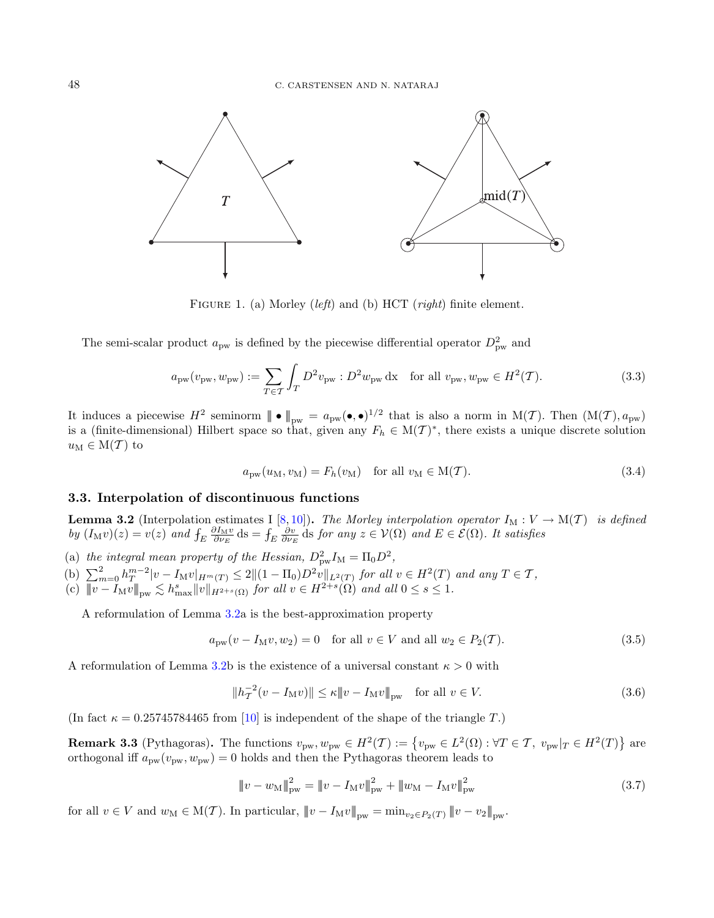<span id="page-7-1"></span>

<span id="page-7-0"></span>FIGURE 1. (a) Morley (*left*) and (b) HCT (*right*) finite element.

The semi-scalar product  $a_{\text{pw}}$  is defined by the piecewise differential operator  $D_{\text{pw}}^2$  and

$$
a_{\rm pw}(v_{\rm pw}, w_{\rm pw}) := \sum_{T \in \mathcal{T}} \int_{T} D^2 v_{\rm pw} : D^2 w_{\rm pw} \, \mathrm{d}x \quad \text{for all } v_{\rm pw}, w_{\rm pw} \in H^2(\mathcal{T}). \tag{3.3}
$$

It induces a piecewise  $H^2$  seminorm  $||\bullet||_{\text{pw}} = a_{\text{pw}}(\bullet,\bullet)^{1/2}$  that is also a norm in  $M(\mathcal{T})$ . Then  $(M(\mathcal{T}),a_{\text{pw}})$ is a (finite-dimensional) Hilbert space so that, given any  $F_h \in M(\mathcal{T})^*$ , there exists a unique discrete solution  $u_M \in M(T)$  to

<span id="page-7-7"></span><span id="page-7-3"></span>
$$
a_{\text{pw}}(u_{\text{M}}, v_{\text{M}}) = F_h(v_{\text{M}}) \quad \text{for all } v_{\text{M}} \in \text{M}(\mathcal{T}). \tag{3.4}
$$

# <span id="page-7-5"></span>3.3. Interpolation of discontinuous functions

<span id="page-7-2"></span>**Lemma 3.2** (Interpolation estimates I [\[8,](#page-36-17)[10\]](#page-36-18)). The Morley interpolation operator  $I_M : V \to M(T)$  is defined by  $(I_M v)(z) = v(z)$  and  $\int_E \frac{\partial I_M v}{\partial \nu_E}$  ds for any  $z \in \mathcal{V}(\Omega)$  and  $E \in \mathcal{E}(\Omega)$ . It satisfies

- (a) the integral mean property of the Hessian,  $D_{\text{pw}}^2 I_M = \Pi_0 D^2$ ,
- (b)  $\sum_{m=0}^{2} h_T^{m-2} |v I_M v|_{H^m(T)} \leq 2 \| (1 \Pi_0) D^2 v \|_{L^2(T)}$  for all  $v \in H^2(T)$  and any  $T \in \mathcal{T}$ ,
- (c)  $||\overline{v} I_M v||_{\text{pw}} \lesssim h_{\text{max}}^s ||v||_{H^{2+s}(\Omega)}$  for all  $v \in H^{2+s}(\Omega)$  and all  $0 \le s \le 1$ .

A reformulation of Lemma [3.2a](#page-7-2) is the best-approximation property

$$
a_{\text{pw}}(v - I_M v, w_2) = 0 \quad \text{for all } v \in V \text{ and all } w_2 \in P_2(\mathcal{T}).\tag{3.5}
$$

A reformulation of Lemma [3.2b](#page-7-2) is the existence of a universal constant  $\kappa > 0$  with

<span id="page-7-6"></span>
$$
||h_T^{-2}(v - I_M v)|| \le \kappa ||v - I_M v||_{\text{pw}} \quad \text{for all } v \in V. \tag{3.6}
$$

(In fact  $\kappa = 0.25745784465$  from [\[10\]](#page-36-18) is independent of the shape of the triangle T.)

**Remark 3.3** (Pythagoras). The functions  $v_{\text{pw}}$ ,  $w_{\text{pw}} \in H^2(\mathcal{T}) := \{v_{\text{pw}} \in L^2(\Omega) : \forall \mathcal{T} \in \mathcal{T}, v_{\text{pw}} | \mathcal{T} \in H^2(\mathcal{T})\}$  are orthogonal iff  $a_\mathrm{pw}(v_\mathrm{pw}, w_\mathrm{pw}) = 0$  holds and then the Pythagoras theorem leads to

$$
\|v - w_{\rm M}\|_{\rm pw}^2 = \|v - I_{\rm M}v\|_{\rm pw}^2 + \|w_{\rm M} - I_{\rm M}v\|_{\rm pw}^2 \tag{3.7}
$$

<span id="page-7-4"></span>for all  $v \in V$  and  $w_M \in M(\mathcal{T})$ . In particular,  $||u - I_M v||_{\text{pw}} = \min_{v_2 \in P_2(\mathcal{T})} ||v - v_2||_{\text{pw}}$ .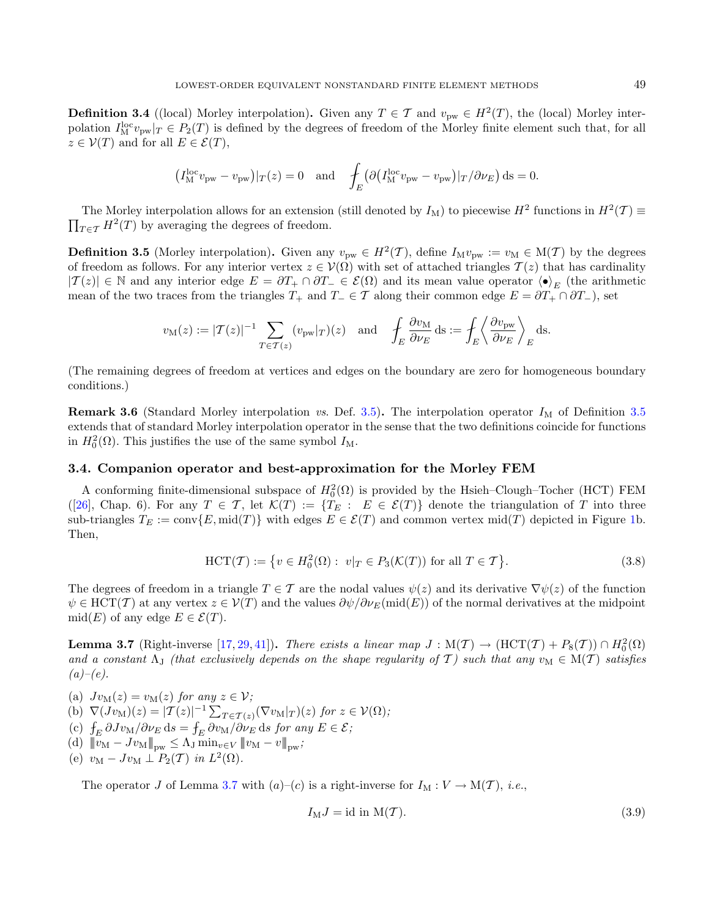**Definition 3.4** ((local) Morley interpolation). Given any  $T \in \mathcal{T}$  and  $v_{\text{pw}} \in H^2(T)$ , the (local) Morley interpolation  $I_M^{\text{loc}}v_{\text{pw}}|_T \in P_2(T)$  is defined by the degrees of freedom of the Morley finite element such that, for all  $z \in V(T)$  and for all  $E \in \mathcal{E}(T)$ ,

$$
(I_{\mathrm{M}}^{\mathrm{loc}}v_{\mathrm{pw}} - v_{\mathrm{pw}})|_T(z) = 0
$$
 and  $\int_E (\partial (I_{\mathrm{M}}^{\mathrm{loc}}v_{\mathrm{pw}} - v_{\mathrm{pw}})|_T/\partial \nu_E) ds = 0.$ 

The Morley interpolation allows for an extension (still denoted by  $I_M$ ) to piecewise  $H^2$  functions in  $H^2(\mathcal{T}) \equiv$  $\prod_{T \in \mathcal{T}} H^2(T)$  by averaging the degrees of freedom.

<span id="page-8-1"></span>**Definition 3.5** (Morley interpolation). Given any  $v_{\text{pw}} \in H^2(\mathcal{T})$ , define  $I_M v_{\text{pw}} := v_M \in M(\mathcal{T})$  by the degrees of freedom as follows. For any interior vertex  $z \in \mathcal{V}(\Omega)$  with set of attached triangles  $\mathcal{T}(z)$  that has cardinality  $|{\cal T}(z)| \in \mathbb{N}$  and any interior edge  $E = \partial T_+ \cap \partial T_- \in \mathcal{E}(\Omega)$  and its mean value operator  $\langle \bullet \rangle_E$  (the arithmetic mean of the two traces from the triangles  $T_+$  and  $T_- \in \mathcal{T}$  along their common edge  $E = \partial T_+ \cap \partial T_-$ , set

$$
v_{\mathcal{M}}(z) := |T(z)|^{-1} \sum_{T \in \mathcal{T}(z)} (v_{\mathcal{P}^{\mathcal{W}}}|_{T})(z) \quad \text{and} \quad \int_{E} \frac{\partial v_{\mathcal{M}}}{\partial \nu_{E}} ds := \int_{E} \left\langle \frac{\partial v_{\mathcal{P}^{\mathcal{W}}}}{\partial \nu_{E}} \right\rangle_{E} ds.
$$

(The remaining degrees of freedom at vertices and edges on the boundary are zero for homogeneous boundary conditions.)

**Remark 3.6** (Standard Morley interpolation vs. Def. [3.5\)](#page-8-1). The interpolation operator  $I_M$  of Definition [3.5](#page-8-1) extends that of standard Morley interpolation operator in the sense that the two definitions coincide for functions in  $H_0^2(\Omega)$ . This justifies the use of the same symbol  $I_M$ .

#### 3.4. Companion operator and best-approximation for the Morley FEM

A conforming finite-dimensional subspace of  $H_0^2(\Omega)$  is provided by the Hsieh–Clough–Tocher (HCT) FEM ([\[26\]](#page-36-1), Chap. 6). For any  $T \in \mathcal{T}$ , let  $\mathcal{K}(T) := \{T_E : E \in \mathcal{E}(T)\}\$  denote the triangulation of T into three sub-triangles  $T_E := \text{conv}\{E, \text{mid}(T)\}\$  with edges  $E \in \mathcal{E}(T)$  and common vertex mid $(T)$  depicted in Figure [1b](#page-7-1). Then,

$$
\text{HCT}(\mathcal{T}) := \{ v \in H_0^2(\Omega) : \ v|_T \in P_3(\mathcal{K}(T)) \text{ for all } T \in \mathcal{T} \}. \tag{3.8}
$$

The degrees of freedom in a triangle  $T \in \mathcal{T}$  are the nodal values  $\psi(z)$  and its derivative  $\nabla \psi(z)$  of the function  $\psi \in \text{HCT}(\mathcal{T})$  at any vertex  $z \in \mathcal{V}(T)$  and the values  $\partial \psi / \partial \nu_E (\text{mid}(E))$  of the normal derivatives at the midpoint mid(E) of any edge  $E \in \mathcal{E}(T)$ .

<span id="page-8-0"></span>**Lemma 3.7** (Right-inverse [\[17,](#page-36-13) [29,](#page-36-19) [41\]](#page-37-4)). There exists a linear map  $J : M(\mathcal{T}) \to (\text{HCT}(\mathcal{T}) + P_8(\mathcal{T})) \cap H_0^2(\Omega)$ and a constant  $\Lambda_{\rm J}$  (that exclusively depends on the shape regularity of T) such that any  $v_{\rm M} \in M(T)$  satisfies  $(a)-(e)$ .

- (a)  $Jv_M(z) = v_M(z)$  for any  $z \in \mathcal{V}$ ; (b)  $\nabla (Jv_M)(z) = |\mathcal{T}(z)|^{-1} \sum_{T \in \mathcal{T}(z)} (\nabla v_M|_T)(z)$  for  $z \in \mathcal{V}(\Omega)$ ; (c)  $\int_E \partial J v_M / \partial \nu_E \, ds = \int_E \partial v_M / \partial \nu_E \, ds$  for any  $E \in \mathcal{E}$ ; (d)  $|||v_M - Jv_M||_{\text{pw}} \leq \Lambda_J \min_{v \in V} ||v_M - v||_{\text{pw}};$
- (e)  $v_M Jv_M \perp P_2(\mathcal{T})$  in  $L^2(\Omega)$ .

The operator J of Lemma [3.7](#page-8-0) with  $(a)-(c)$  is a right-inverse for  $I_M : V \to M(\mathcal{T})$ , *i.e.*,

<span id="page-8-2"></span>
$$
I_{\mathcal{M}}J = \text{id in } \mathcal{M}(\mathcal{T}).\tag{3.9}
$$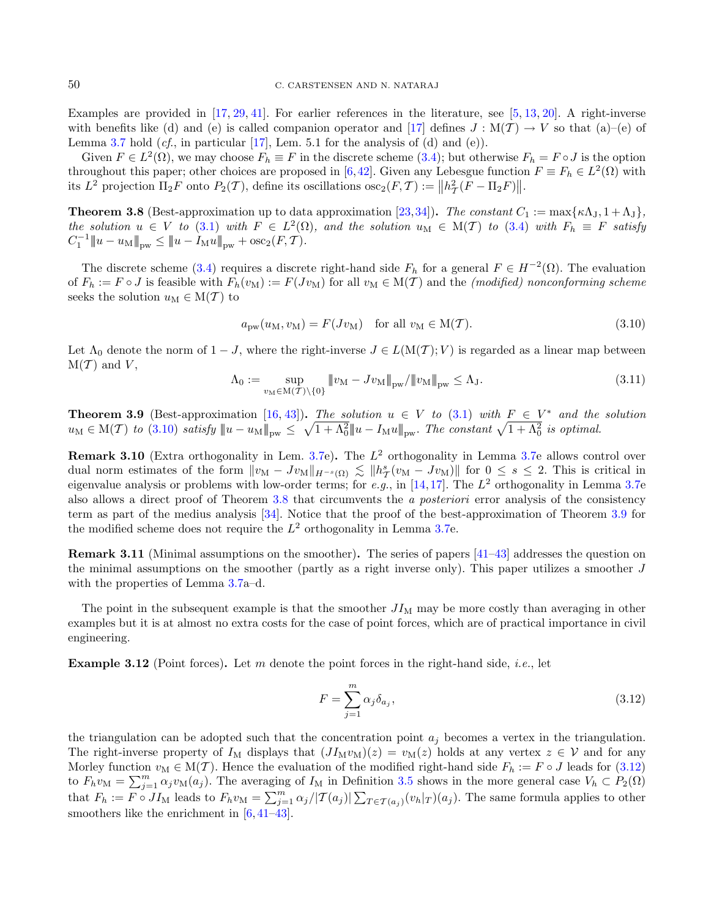<span id="page-9-0"></span>Examples are provided in  $[17, 29, 41]$  $[17, 29, 41]$  $[17, 29, 41]$  $[17, 29, 41]$  $[17, 29, 41]$ . For earlier references in the literature, see  $[5, 13, 20]$  $[5, 13, 20]$  $[5, 13, 20]$  $[5, 13, 20]$  $[5, 13, 20]$ . A right-inverse with benefits like (d) and (e) is called companion operator and [\[17\]](#page-36-13) defines  $J : M(\mathcal{T}) \to V$  so that (a)–(e) of Lemma [3.7](#page-8-0) hold  $(cf, \text{ in particular } [17]$  $(cf, \text{ in particular } [17]$ , Lem. 5.1 for the analysis of (d) and (e)).

Given  $F \in L^2(\Omega)$ , we may choose  $F_h \equiv F$  in the discrete scheme [\(3.4\)](#page-7-3); but otherwise  $F_h = F \circ J$  is the option throughout this paper; other choices are proposed in [\[6,](#page-36-3)[42\]](#page-37-6). Given any Lebesgue function  $F \equiv F_h \in L^2(\Omega)$  with its  $L^2$  projection  $\Pi_2 F$  onto  $P_2(\mathcal{T})$ , define its oscillations  $\csc_2(F, \mathcal{T}) := ||h^2_{\mathcal{T}}(F - \Pi_2 F)||$ .

<span id="page-9-4"></span><span id="page-9-1"></span>**Theorem 3.8** (Best-approximation up to data approximation [\[23,](#page-36-0)[34\]](#page-37-7)). The constant  $C_1 := \max{\kappa \Lambda_J, 1 + \Lambda_J},$ the solution  $u \in V$  to [\(3.1\)](#page-5-1) with  $F \in L^2(\Omega)$ , and the solution  $u_M \in M(T)$  to [\(3.4\)](#page-7-3) with  $F_h \equiv F$  satisfy  $C_1^{-1}$   $\|u - u_M\|_{\text{pw}} \le \|u - I_M u\|_{\text{pw}} + \text{osc}_2(F, \mathcal{T}).$ 

The discrete scheme [\(3.4\)](#page-7-3) requires a discrete right-hand side  $F_h$  for a general  $F \in H^{-2}(\Omega)$ . The evaluation of  $F_h := F \circ J$  is feasible with  $F_h(v_M) := F(Jv_M)$  for all  $v_M \in M(\mathcal{T})$  and the *(modified) nonconforming scheme* seeks the solution  $u_M \in M(\mathcal{T})$  to

$$
a_{\text{pw}}(u_{\text{M}}, v_{\text{M}}) = F(Jv_{\text{M}}) \quad \text{for all } v_{\text{M}} \in \text{M}(\mathcal{T}). \tag{3.10}
$$

Let  $\Lambda_0$  denote the norm of  $1 - J$ , where the right-inverse  $J \in L(M(T); V)$  is regarded as a linear map between  $M(T)$  and V,

$$
\Lambda_0 := \sup_{v_M \in \mathcal{M}(\mathcal{T}) \setminus \{0\}} \|v_M - J v_M\|_{\text{pw}} / \|v_M\|_{\text{pw}} \le \Lambda_J. \tag{3.11}
$$

<span id="page-9-2"></span>**Theorem 3.9** (Best-approximation [\[16,](#page-36-8) [43\]](#page-37-5)). The solution  $u \in V$  to [\(3.1\)](#page-5-1) with  $F \in V^*$  and the solution  $u_M \in M(\mathcal{T})$  to  $(3.10)$  satisfy  $||u - u_M||_{\text{pw}} \leq \sqrt{1 + \Lambda_0^2} ||u - I_M u||_{\text{pw}}$ . The constant  $\sqrt{1 + \Lambda_0^2}$  is optimal.

**Remark 3.10** (Extra orthogonality in Lem. [3.7e](#page-8-0)). The  $L^2$  orthogonality in Lemma 3.7e allows control over dual norm estimates of the form  $||v_M - Jv_M||_{H^{-s}(\Omega)} \lesssim ||h^s_{\mathcal{T}}(v_M - Jv_M)||$  for  $0 \leq s \leq 2$ . This is critical in eigenvalue analysis or problems with low-order terms; for e.g., in [\[14,](#page-36-12)[17\]](#page-36-13). The  $L^2$  orthogonality in Lemma [3.7e](#page-8-0) also allows a direct proof of Theorem [3.8](#page-9-1) that circumvents the a posteriori error analysis of the consistency term as part of the medius analysis [\[34\]](#page-37-7). Notice that the proof of the best-approximation of Theorem [3.9](#page-9-2) for the modified scheme does not require the  $L^2$  orthogonality in Lemma [3.7e](#page-8-0).

Remark 3.11 (Minimal assumptions on the smoother). The series of papers [\[41–](#page-37-4)[43\]](#page-37-5) addresses the question on the minimal assumptions on the smoother (partly as a right inverse only). This paper utilizes a smoother  $J$ with the properties of Lemma [3.7a](#page-8-0)–d.

The point in the subsequent example is that the smoother  $J_{M}$  may be more costly than averaging in other examples but it is at almost no extra costs for the case of point forces, which are of practical importance in civil engineering.

**Example 3.12** (Point forces). Let m denote the point forces in the right-hand side, *i.e.*, let

<span id="page-9-3"></span>
$$
F = \sum_{j=1}^{m} \alpha_j \delta_{a_j},\tag{3.12}
$$

the triangulation can be adopted such that the concentration point  $a_j$  becomes a vertex in the triangulation. The right-inverse property of  $I_M$  displays that  $(JM_W)(z) = v_M(z)$  holds at any vertex  $z \in V$  and for any Morley function  $v_M \in M(T)$ . Hence the evaluation of the modified right-hand side  $F_h := F \circ J$  leads for [\(3.12\)](#page-9-3) to  $F_h v_M = \sum_{j=1}^m \alpha_j v_M(a_j)$ . The averaging of  $I_M$  in Definition [3.5](#page-8-1) shows in the more general case  $V_h \subset P_2(\Omega)$ that  $F_h := F \circ J I_M$  leads to  $F_h v_M = \sum_{j=1}^m \alpha_j / |\mathcal{T}(a_j)| \sum_{T \in \mathcal{T}(a_j)} (v_h|_T)(a_j)$ . The same formula applies to other smoothers like the enrichment in  $[6, 41-43]$  $[6, 41-43]$  $[6, 41-43]$  $[6, 41-43]$ .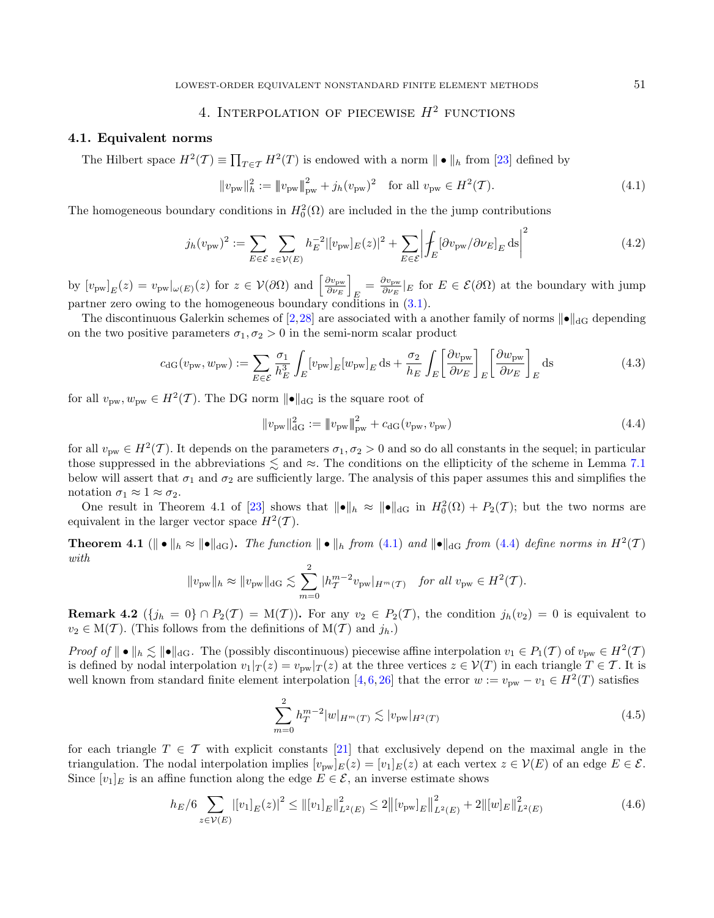# <span id="page-10-2"></span>4. INTERPOLATION OF PIECEWISE  $H^2$  functions

#### <span id="page-10-8"></span><span id="page-10-1"></span>4.1. Equivalent norms

The Hilbert space  $H^2(\mathcal{T}) \equiv \prod_{T \in \mathcal{T}} H^2(T)$  is endowed with a norm  $\|\bullet\|_h$  from [\[23\]](#page-36-0) defined by

<span id="page-10-7"></span><span id="page-10-3"></span><span id="page-10-0"></span>
$$
||v_{\text{pw}}||_h^2 := ||v_{\text{pw}}||_{\text{pw}}^2 + j_h(v_{\text{pw}})^2 \quad \text{for all } v_{\text{pw}} \in H^2(\mathcal{T}).\tag{4.1}
$$

The homogeneous boundary conditions in  $H_0^2(\Omega)$  are included in the the jump contributions

$$
j_h(v_{\text{pw}})^2 := \sum_{E \in \mathcal{E}} \sum_{z \in \mathcal{V}(E)} h_E^{-2} |[v_{\text{pw}}]_E(z)|^2 + \sum_{E \in \mathcal{E}} \left| \int_E [\partial v_{\text{pw}}/\partial \nu_E]_E \, \text{d}s \right|^2 \tag{4.2}
$$

by  $[v_{\text{pw}}]_E(z) = v_{\text{pw}}|_{\omega(E)}(z)$  for  $z \in \mathcal{V}(\partial \Omega)$  and  $\left[\frac{\partial v_{\text{pw}}}{\partial \nu_E}\right]$  $\frac{\partial v_\text{pw}}{\partial \nu_E} \Bigg]$  $E = \frac{\partial v_{\mathrm{pw}}}{\partial \nu_E}$  $\frac{\partial v_{\text{pw}}}{\partial \nu_E}|_E$  for  $E \in \mathcal{E}(\partial \Omega)$  at the boundary with jump partner zero owing to the homogeneous boundary conditions in [\(3.1\)](#page-5-1).

The discontinuous Galerkin schemes of [\[2,](#page-36-23)[28\]](#page-36-2) are associated with a another family of norms  $||\bullet||_{\text{dG}}$  depending on the two positive parameters  $\sigma_1, \sigma_2 > 0$  in the semi-norm scalar product

$$
c_{\rm dG}(v_{\rm pw}, w_{\rm pw}) := \sum_{E \in \mathcal{E}} \frac{\sigma_1}{h_E^3} \int_E [v_{\rm pw}]_E [w_{\rm pw}]_E \, \mathrm{d}s + \frac{\sigma_2}{h_E} \int_E \left[ \frac{\partial v_{\rm pw}}{\partial \nu_E} \right]_E \left[ \frac{\partial w_{\rm pw}}{\partial \nu_E} \right]_E \, \mathrm{d}s \tag{4.3}
$$

for all  $v_{\text{pw}}, w_{\text{pw}} \in H^2(\mathcal{T})$ . The DG norm  $\|\bullet\|_{\text{dG}}$  is the square root of

<span id="page-10-5"></span>
$$
||v_{\text{pw}}||_{\text{dG}}^2 := ||v_{\text{pw}}||_{\text{pw}}^2 + c_{\text{dG}}(v_{\text{pw}}, v_{\text{pw}})
$$
\n(4.4)

for all  $v_{\text{pw}} \in H^2(\mathcal{T})$ . It depends on the parameters  $\sigma_1, \sigma_2 > 0$  and so do all constants in the sequel; in particular those suppressed in the abbreviations  $\lesssim$  and  $\approx$ . The conditions on the ellipticity of the scheme in Lemma [7.1](#page-26-2) below will assert that  $\sigma_1$  and  $\sigma_2$  are sufficiently large. The analysis of this paper assumes this and simplifies the notation  $\sigma_1 \approx 1 \approx \sigma_2$ .

One result in Theorem 4.1 of [\[23\]](#page-36-0) shows that  $||\bullet||_h \approx ||\bullet||_{dG}$  in  $H_0^2(\Omega) + P_2(\mathcal{T})$ ; but the two norms are equivalent in the larger vector space  $H^2(\mathcal{T})$ .

<span id="page-10-6"></span>Theorem 4.1 ( $\|\bullet\|_h \approx \|\bullet\|_{\text{dG}}$ ). The function  $\|\bullet\|_h$  from [\(4.1\)](#page-10-2) and  $\|\bullet\|_{\text{dG}}$  from [\(4.4\)](#page-10-3) define norms in  $H^2(\mathcal{T})$ with

$$
||v_{\text{pw}}||_h \approx ||v_{\text{pw}}||_{\text{dG}} \lesssim \sum_{m=0}^2 |h_T^{m-2}v_{\text{pw}}|_{H^m(\mathcal{T})} \quad \text{for all } v_{\text{pw}} \in H^2(\mathcal{T}).
$$

<span id="page-10-9"></span>**Remark 4.2**  $(\lbrace j_h = 0 \rbrace \cap P_2(\mathcal{T}) = M(\mathcal{T})$ . For any  $v_2 \in P_2(\mathcal{T})$ , the condition  $j_h(v_2) = 0$  is equivalent to  $v_2 \in M(\mathcal{T})$ . (This follows from the definitions of  $M(\mathcal{T})$  and  $j_h$ .)

Proof of  $|| \cdot ||_h \lesssim || \cdot ||_{dG}$ . The (possibly discontinuous) piecewise affine interpolation  $v_1 \in P_1(\mathcal{T})$  of  $v_{\text{pw}} \in H^2(\mathcal{T})$ is defined by nodal interpolation  $v_1|_T(z) = v_{\text{pw}}|_T(z)$  at the three vertices  $z \in \mathcal{V}(T)$  in each triangle  $T \in \mathcal{T}$ . It is well known from standard finite element interpolation [\[4,](#page-36-24) [6,](#page-36-3) [26\]](#page-36-1) that the error  $w := v_{\text{pw}} - v_1 \in H^2(T)$  satisfies

<span id="page-10-4"></span>
$$
\sum_{m=0}^{2} h_T^{m-2} |w|_{H^m(T)} \lesssim |v_{\text{pw}}|_{H^2(T)} \tag{4.5}
$$

for each triangle  $T \in \mathcal{T}$  with explicit constants [\[21\]](#page-36-25) that exclusively depend on the maximal angle in the triangulation. The nodal interpolation implies  $[v_{\text{pw}}]_E(z) = [v_1]_E(z)$  at each vertex  $z \in \mathcal{V}(E)$  of an edge  $E \in \mathcal{E}$ . Since  $[v_1]_E$  is an affine function along the edge  $E \in \mathcal{E}$ , an inverse estimate shows

$$
h_E/6 \sum_{z \in \mathcal{V}(E)} \left| [v_1]_E(z) \right|^2 \le \left\| [v_1]_E \right\|_{L^2(E)}^2 \le 2 \left\| [v_{\text{pw}}]_E \right\|_{L^2(E)}^2 + 2 \left\| [w]_E \right\|_{L^2(E)}^2 \tag{4.6}
$$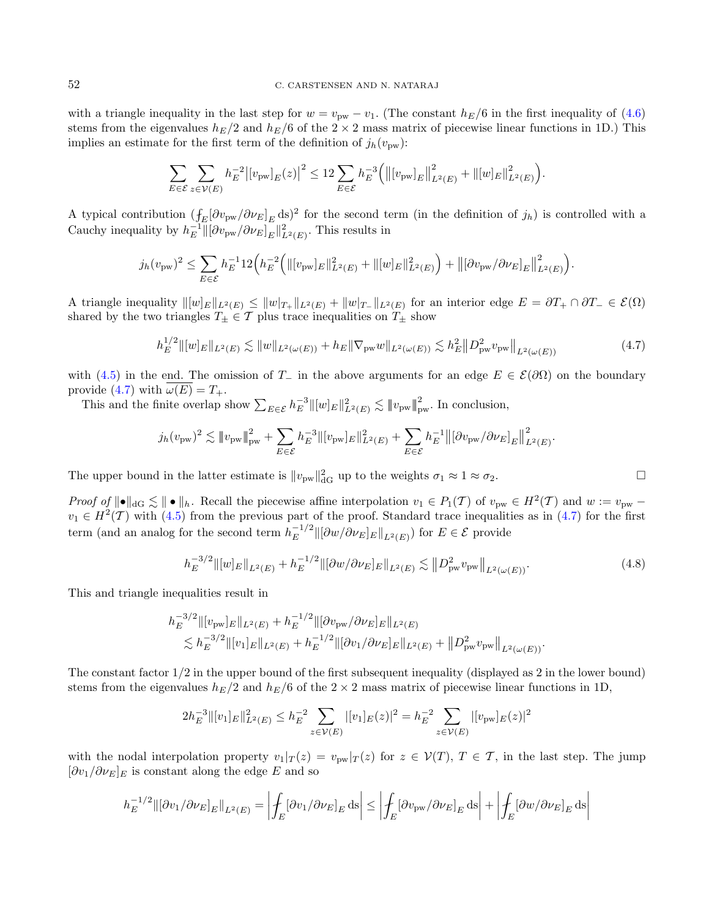with a triangle inequality in the last step for  $w = v_{\text{pw}} - v_1$ . (The constant  $h_E/6$  in the first inequality of [\(4.6\)](#page-10-4) stems from the eigenvalues  $h_E/2$  and  $h_E/6$  of the  $2 \times 2$  mass matrix of piecewise linear functions in 1D.) This implies an estimate for the first term of the definition of  $j_h(v_{\text{pw}})$ :

<span id="page-11-0"></span>
$$
\sum_{E \in \mathcal{E}} \sum_{z \in \mathcal{V}(E)} h_E^{-2} \big| [v_{\mathrm{pw}}]_E(z) \big|^2 \leq 12 \sum_{E \in \mathcal{E}} h_E^{-3} \Big( \big\| [v_{\mathrm{pw}}]_E \big\|_{L^2(E)}^2 + \big\| [w]_E \big\|_{L^2(E)}^2 \Big).
$$

A typical contribution  $(\int_E[\partial v_{\rm pw}/\partial \nu_E]_E \,ds)^2$  for the second term (in the definition of  $j_h$ ) is controlled with a Cauchy inequality by  $h_E^{-1} \|\partial v_{\text{pw}}/\partial \nu_E\|_E \|^2_{L^2(E)}$ . This results in

$$
j_h(v_{\text{pw}})^2 \leq \sum_{E \in \mathcal{E}} h_E^{-1} 12 \Big( h_E^{-2} \Big( \|[v_{\text{pw}}]_E\|_{L^2(E)}^2 + \|[w]_E\|_{L^2(E)}^2 \Big) + \big\| [\partial v_{\text{pw}} / \partial \nu_E]_E \big\|_{L^2(E)}^2 \Big).
$$

A triangle inequality  $\|[w]_E\|_{L^2(E)} \leq \|w|_{T_+}\|_{L^2(E)} + \|w|_{T_-}\|_{L^2(E)}$  for an interior edge  $E = \partial T_+ \cap \partial T_- \in \mathcal{E}(\Omega)$ shared by the two triangles  $T_{\pm} \in \mathcal{T}$  plus trace inequalities on  $T_{\pm}$  show

$$
h_E^{1/2} \|\left[w\right]_E\|_{L^2(E)} \lesssim \|w\|_{L^2(\omega(E))} + h_E \|\nabla_{\text{pw}} w\|_{L^2(\omega(E))} \lesssim h_E^2 \|D_{\text{pw}}^2 v_{\text{pw}}\|_{L^2(\omega(E))}
$$
(4.7)

with [\(4.5\)](#page-10-5) in the end. The omission of  $T_-\,$  in the above arguments for an edge  $E \in \mathcal{E}(\partial\Omega)$  on the boundary provide [\(4.7\)](#page-11-0) with  $\omega(E) = T_+$ .

This and the finite overlap show  $\sum_{E \in \mathcal{E}} h_E^{-3} ||[w]_E||^2_{L^2(E)} \lesssim ||v_{\text{pw}}||^2_{\text{pw}}$ . In conclusion,

$$
j_h(v_{\text{pw}})^2 \lesssim ||v_{\text{pw}}||_{\text{pw}}^2 + \sum_{E \in \mathcal{E}} h_E^{-3} ||[v_{\text{pw}}]_E||_{L^2(E)}^2 + \sum_{E \in \mathcal{E}} h_E^{-1} ||[\partial v_{\text{pw}}/\partial \nu_E]_E||_{L^2(E)}^2.
$$

The upper bound in the latter estimate is  $||v_{pw}||_{dG}^2$  up to the weights  $\sigma_1 \approx 1 \approx \sigma_2$ .

Proof of  $\|\bullet\|_{\text{dG}} \lesssim \|\bullet\|_h$ . Recall the piecewise affine interpolation  $v_1 \in P_1(\mathcal{T})$  of  $v_{\text{pw}} \in H^2(\mathcal{T})$  and  $w := v_{\text{pw}}$  $v_1 \in H^2(\mathcal{T})$  with [\(4.5\)](#page-10-5) from the previous part of the proof. Standard trace inequalities as in [\(4.7\)](#page-11-0) for the first term (and an analog for the second term  $h_E^{-1/2}$  $\|E^{-1/2}\|[\partial w/\partial \nu_E]_E\|_{L^2(E)}$  for  $E \in \mathcal{E}$  provide

$$
h_E^{-3/2} \left\| [w]_E \right\|_{L^2(E)} + h_E^{-1/2} \left\| [\partial w / \partial \nu_E]_E \right\|_{L^2(E)} \lesssim \left\| D_{\text{pw}}^2 v_{\text{pw}} \right\|_{L^2(\omega(E))}.
$$
 (4.8)

This and triangle inequalities result in

$$
h_E^{-3/2} \|\left[v_{\text{pw}}\right]_E\|_{L^2(E)} + h_E^{-1/2} \|\left[\partial v_{\text{pw}}/\partial \nu_E\right]_E\|_{L^2(E)} \n\lesssim h_E^{-3/2} \|\left[v_1\right]_E\|_{L^2(E)} + h_E^{-1/2} \|\left[\partial v_1/\partial \nu_E\right]_E\|_{L^2(E)} + \left\|D_{\text{pw}}^2 v_{\text{pw}}\right\|_{L^2(\omega(E))}.
$$

The constant factor 1/2 in the upper bound of the first subsequent inequality (displayed as 2 in the lower bound) stems from the eigenvalues  $h_E/2$  and  $h_E/6$  of the  $2 \times 2$  mass matrix of piecewise linear functions in 1D,

$$
2h_E^{-3} \|[v_1]_E\|_{L^2(E)}^2 \leq h_E^{-2} \sum_{z \in \mathcal{V}(E)} |[v_1]_E(z)|^2 = h_E^{-2} \sum_{z \in \mathcal{V}(E)} |[v_{\text{pw}}]_E(z)|^2
$$

with the nodal interpolation property  $v_1 |_{T}(z) = v_{pw}|_{T}(z)$  for  $z \in V(T)$ ,  $T \in \mathcal{T}$ , in the last step. The jump  $[\partial v_1/\partial \nu_E]_E$  is constant along the edge E and so

$$
h_E^{-1/2} \left\| \left[ \partial v_1 / \partial \nu_E \right]_E \right\|_{L^2(E)} = \left| \oint_E \left[ \partial v_1 / \partial \nu_E \right]_E \mathrm{d}s \right| \le \left| \oint_E \left[ \partial v_{\mathrm{pw}} / \partial \nu_E \right]_E \mathrm{d}s \right| + \left| \oint_E \left[ \partial w / \partial \nu_E \right]_E \mathrm{d}s \right|
$$

<span id="page-11-1"></span>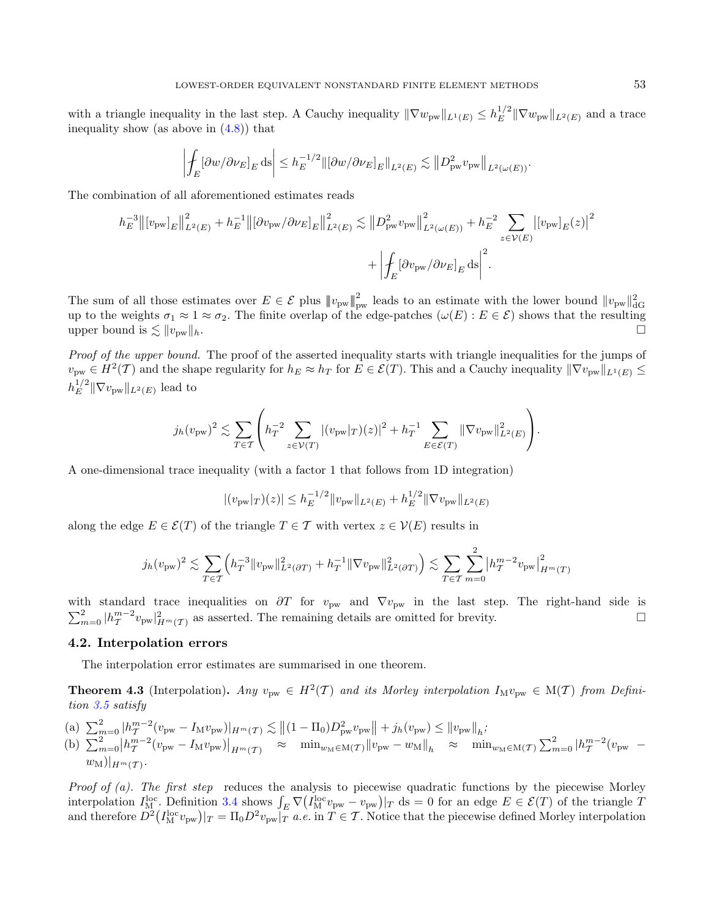with a triangle inequality in the last step. A Cauchy inequality  $\|\nabla w_{\text{pw}}\|_{L^1(E)} \leq h_E^{1/2}$  $\frac{1}{E}$ <sup>1/2</sup> || $\nabla w_{\text{pw}}$  || $L^2(E)$  and a trace inequality show (as above in  $(4.8)$ ) that

$$
\left| \int_E [\partial w/\partial \nu_E]_E \, ds \right| \le h_E^{-1/2} \|\left[\partial w/\partial \nu_E\right]_E\|_{L^2(E)} \lesssim \left\| D_{\mathrm{pw}}^2 v_{\mathrm{pw}} \right\|_{L^2(\omega(E))}.
$$

The combination of all aforementioned estimates reads

$$
h_E^{-3} ||[v_{\text{pw}}]_E||_{L^2(E)}^2 + h_E^{-1} ||[\partial v_{\text{pw}}/\partial \nu_E]_E||_{L^2(E)}^2 \lesssim ||D_{\text{pw}}^2 v_{\text{pw}}||_{L^2(\omega(E))}^2 + h_E^{-2} \sum_{z \in \mathcal{V}(E)} |[v_{\text{pw}}]_E(z)|^2 + \left| \oint_E [\partial v_{\text{pw}}/\partial \nu_E]_E \, ds \right|^2.
$$

The sum of all those estimates over  $E \in \mathcal{E}$  plus  $||v_{\text{pw}}||_{\text{pw}}^2$  leads to an estimate with the lower bound  $||v_{\text{pw}}||_{\text{dG}}^2$ up to the weights  $\sigma_1 \approx 1 \approx \sigma_2$ . The finite overlap of the edge-patches  $(\omega(E) : E \in \mathcal{E})$  shows that the resulting upper bound is  $\lesssim ||v_{\text{pw}}||_h$ .

Proof of the upper bound. The proof of the asserted inequality starts with triangle inequalities for the jumps of  $v_{\text{pw}} \in H^2(\mathcal{T})$  and the shape regularity for  $h_E \approx h_T$  for  $E \in \mathcal{E}(\mathcal{T})$ . This and a Cauchy inequality  $\|\nabla v_{\text{pw}}\|_{L^1(E)} \leq$  $h_E^{1/2}$  $\mathbb{E}^{\frac{1}{2}} \|\nabla v_{\text{pw}}\|_{L^2(E)}$  lead to

$$
j_h(v_{\text{pw}})^2 \lesssim \sum_{T \in \mathcal{T}} \left( h_T^{-2} \sum_{z \in \mathcal{V}(T)} |(v_{\text{pw}}|_T)(z)|^2 + h_T^{-1} \sum_{E \in \mathcal{E}(T)} ||\nabla v_{\text{pw}}||_{L^2(E)}^2 \right).
$$

A one-dimensional trace inequality (with a factor 1 that follows from 1D integration)

$$
|(v_{\text{pw}}|_T)(z)| \leq h_E^{-1/2} ||v_{\text{pw}}||_{L^2(E)} + h_E^{1/2} ||\nabla v_{\text{pw}}||_{L^2(E)}
$$

along the edge  $E \in \mathcal{E}(T)$  of the triangle  $T \in \mathcal{T}$  with vertex  $z \in \mathcal{V}(E)$  results in

$$
j_h(v_{\text{pw}})^2 \lesssim \sum_{T \in \mathcal{T}} \left( h_T^{-3} \|v_{\text{pw}}\|_{L^2(\partial T)}^2 + h_T^{-1} \|\nabla v_{\text{pw}}\|_{L^2(\partial T)}^2 \right) \lesssim \sum_{T \in \mathcal{T}} \sum_{m=0}^2 \left| h_T^{m-2} v_{\text{pw}} \right|_{H^m(T)}^2
$$

with standard trace inequalities on  $\partial T$  for  $v_{\text{pw}}$  and  $\nabla v_{\text{pw}}$  in the last step. The right-hand side is  $\sum_{m=0}^{2} |h_{\mathcal{T}}^{m-2}v_{\text{pw}}|_{H^m(\mathcal{T})}^2$  as asserted. The remaining details are omitted for brevity.

# 4.2. Interpolation errors

The interpolation error estimates are summarised in one theorem.

<span id="page-12-0"></span>**Theorem 4.3** (Interpolation). Any  $v_{\text{pw}} \in H^2(\mathcal{T})$  and its Morley interpolation  $I_M v_{\text{pw}} \in M(\mathcal{T})$  from Definition [3.5](#page-8-1) satisfy

(a)  $\sum_{m=0}^{2} |h_T^{m-2}(v_{\text{pw}} - I_M v_{\text{pw}})|_{H^m(\mathcal{T})} \lesssim ||(1 - \Pi_0)D_{\text{pw}}^2 v_{\text{pw}}|| + j_h(v_{\text{pw}}) \le ||v_{\text{pw}}||_h$ (b)  $\sum_{m=0}^{2} |h_{\mathcal{T}}^{m-2}(v_{\text{pw}} - I_M v_{\text{pw}})|_{H^m(\mathcal{T})} \approx \min_{w_M \in \mathcal{M}(\mathcal{T})} ||v_{\text{pw}} - w_M||_h \approx \min_{w_M \in \mathcal{M}(\mathcal{T})} \sum_{m=0}^{2} |h_{\mathcal{T}}^{m-2}(v_{\text{pw}} - I_M v_{\text{pw}})|_{H^m(\mathcal{T})}$  $w_{\text{M}})|_{H^m(\mathcal{T})}.$ 

Proof of  $(a)$ . The first step reduces the analysis to piecewise quadratic functions by the piecewise Morley interpolation  $I_{\rm M}^{\rm loc}$ . Definition [3.4](#page-7-4) shows  $\int_E \nabla (I_{\rm M}^{\rm loc} v_{\rm pw} - v_{\rm pw})|_T ds = 0$  for an edge  $E \in \mathcal{E}(T)$  of the triangle T and therefore  $D^2(I_M^{\text{loc}}v_{\text{pw}})|_T = \Pi_0 D^2 v_{\text{pw}}|_T$  *a.e.* in  $T \in \mathcal{T}$ . Notice that the piecewise defined Morley interpolation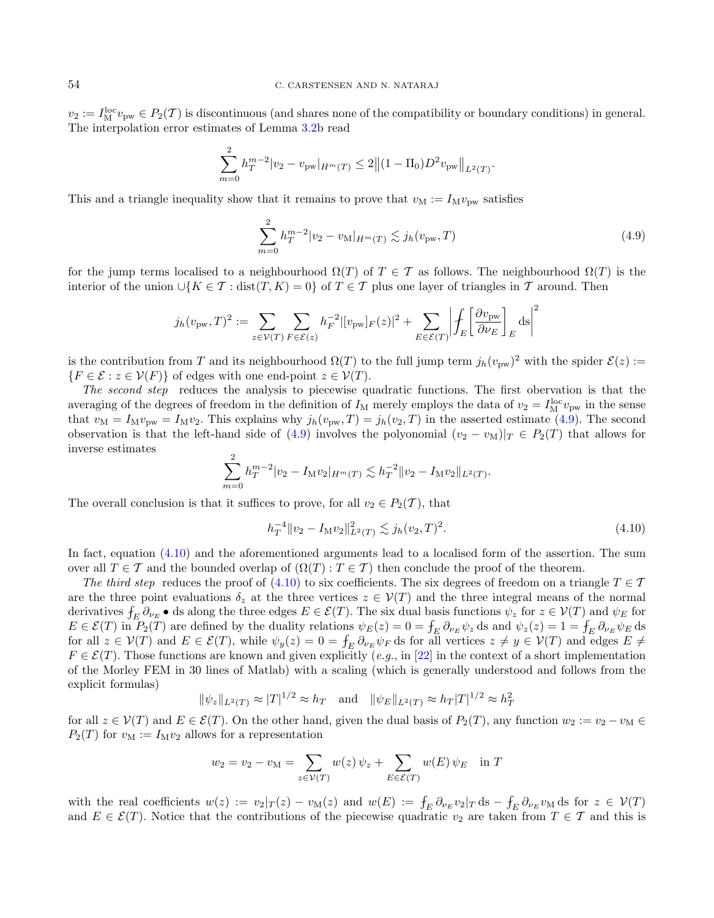$v_2 := I_{\text{M}}^{\text{loc}} v_{\text{pw}} \in P_2(\mathcal{T})$  is discontinuous (and shares none of the compatibility or boundary conditions) in general. The interpolation error estimates of Lemma [3.2b](#page-7-2) read

$$
\sum_{m=0}^{\infty} h_T^{m-2} |v_2 - v_{\text{pw}}|_{H^m(T)} \leq 2 \|(1 - \Pi_0) D^2 v_{\text{pw}}\|_{L^2(T)}.
$$

This and a triangle inequality show that it remains to prove that  $v_M := I_M v_{\text{pw}}$  satisfies

<span id="page-13-0"></span> $\alpha$ 

<span id="page-13-1"></span>
$$
\sum_{m=0}^{2} h_T^{m-2} |v_2 - v_\mathcal{M}|_{H^m(T)} \lesssim j_h(v_{\text{pw}}, T)
$$
\n(4.9)

for the jump terms localised to a neighbourhood  $\Omega(T)$  of  $T \in \mathcal{T}$  as follows. The neighbourhood  $\Omega(T)$  is the interior of the union  $\cup \{K \in \mathcal{T} : \text{dist}(T, K) = 0\}$  of  $T \in \mathcal{T}$  plus one layer of triangles in  $\mathcal{T}$  around. Then

$$
j_h(v_{\text{pw}},T)^2 := \sum_{z \in \mathcal{V}(T)} \sum_{F \in \mathcal{E}(z)} h_F^{-2} |[v_{\text{pw}}]_F(z)|^2 + \sum_{E \in \mathcal{E}(T)} \left| \oint_E \left[ \frac{\partial v_{\text{pw}}}{\partial \nu_E} \right]_E ds \right|^2
$$

is the contribution from T and its neighbourhood  $\Omega(T)$  to the full jump term  $j_h(v_{\text{pw}})^2$  with the spider  $\mathcal{E}(z) :=$  ${ F \in \mathcal{E} : z \in \mathcal{V}(F) }$  of edges with one end-point  $z \in \mathcal{V}(T)$ .

The second step reduces the analysis to piecewise quadratic functions. The first obervation is that the averaging of the degrees of freedom in the definition of  $I_M$  merely employs the data of  $v_2 = I_M^{\text{loc}} v_{\text{pw}}$  in the sense that  $v_{\rm M} = I_{\rm M}v_{\rm pw} = I_{\rm M}v_2$ . This explains why  $j_h(v_{\rm pw}, T) = j_h(v_2, T)$  in the asserted estimate [\(4.9\)](#page-13-0). The second observation is that the left-hand side of [\(4.9\)](#page-13-0) involves the polyonomial  $(v_2 - v_M)|_T \in P_2(T)$  that allows for inverse estimates

$$
\sum_{m=0}^{2} h_T^{m-2} |v_2 - I_M v_2|_{H^m(T)} \lesssim h_T^{-2} \|v_2 - I_M v_2\|_{L^2(T)}.
$$

The overall conclusion is that it suffices to prove, for all  $v_2 \in P_2(\mathcal{T})$ , that

$$
h_T^{-4} \|v_2 - I_\mathcal{M} v_2\|_{L^2(T)}^2 \lesssim j_h(v_2, T)^2. \tag{4.10}
$$

In fact, equation [\(4.10\)](#page-13-1) and the aforementioned arguments lead to a localised form of the assertion. The sum over all  $T \in \mathcal{T}$  and the bounded overlap of  $(\Omega(T) : T \in \mathcal{T})$  then conclude the proof of the theorem.

The third step reduces the proof of [\(4.10\)](#page-13-1) to six coefficients. The six degrees of freedom on a triangle  $T \in \mathcal{T}$ are the three point evaluations  $\delta_z$  at the three vertices  $z \in V(T)$  and the three integral means of the normal derivatives  $f_E \partial_{\nu_E} \bullet$  ds along the three edges  $E \in \mathcal{E}(T)$ . The six dual basis functions  $\psi_z$  for  $z \in \mathcal{V}(T)$  and  $\psi_E$  for  $E \in \mathcal{E}(T)$  in  $P_2(T)$  are defined by the duality relations  $\psi_E(z) = 0 = \int_E \partial_{\nu_E} \psi_z$  ds and  $\psi_z(z) = 1 = \int_E \partial_{\nu_E} \psi_E$  ds for all  $z \in \mathcal{V}(T)$  and  $E \in \mathcal{E}(T)$ , while  $\psi_y(z) = 0 = \int_E \partial_{\nu_E} \psi_F$  ds for all vertices  $z \neq y \in \mathcal{V}(T)$  and edges  $E \neq$  $F \in \mathcal{E}(T)$ . Those functions are known and given explicitly (e.g., in [\[22\]](#page-36-11) in the context of a short implementation of the Morley FEM in 30 lines of Matlab) with a scaling (which is generally understood and follows from the explicit formulas)

$$
\|\psi_z\|_{L^2(T)} \approx |T|^{1/2} \approx h_T
$$
 and  $\|\psi_E\|_{L^2(T)} \approx h_T |T|^{1/2} \approx h_T^2$ 

for all  $z \in V(T)$  and  $E \in \mathcal{E}(T)$ . On the other hand, given the dual basis of  $P_2(T)$ , any function  $w_2 := v_2 - v_M \in$  $P_2(T)$  for  $v_M := I_M v_2$  allows for a representation

$$
w_2 = v_2 - v_\mathcal{M} = \sum_{z \in \mathcal{V}(T)} w(z) \psi_z + \sum_{E \in \mathcal{E}(T)} w(E) \psi_E \text{ in } T
$$

with the real coefficients  $w(z) := v_2|_T(z) - v_M(z)$  and  $w(E) := \int_E \partial_{\nu_E} v_2|_T ds - \int_E \partial_{\nu_E} v_M ds$  for  $z \in V(T)$ and  $E \in \mathcal{E}(T)$ . Notice that the contributions of the piecewise quadratic  $v_2$  are taken from  $T \in \mathcal{T}$  and this is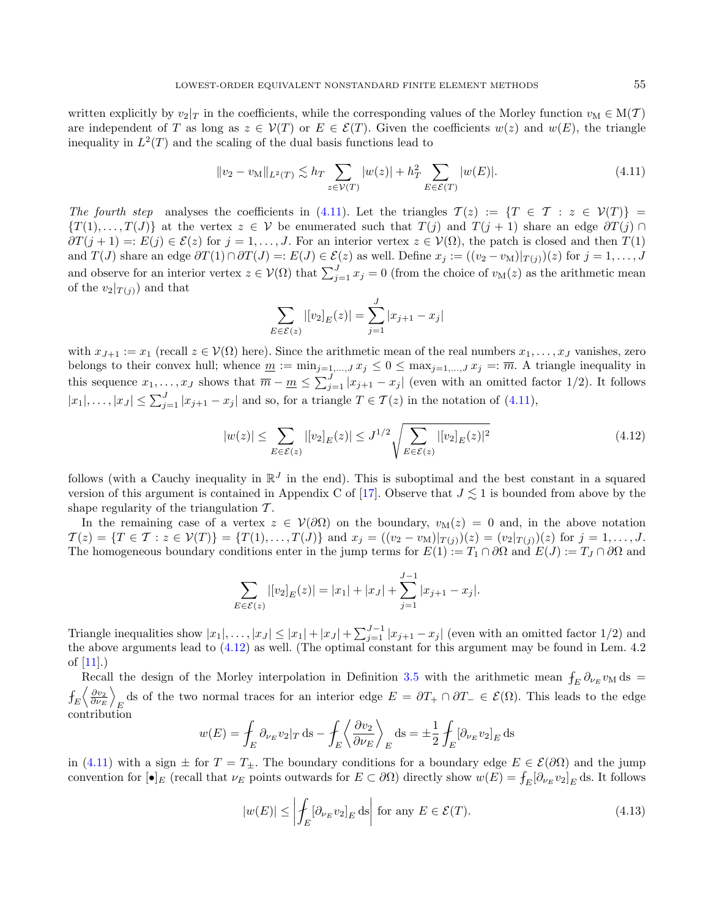written explicitly by  $v_2|_T$  in the coefficients, while the corresponding values of the Morley function  $v_M \in M(T)$ are independent of T as long as  $z \in V(T)$  or  $E \in \mathcal{E}(T)$ . Given the coefficients  $w(z)$  and  $w(E)$ , the triangle inequality in  $L^2(T)$  and the scaling of the dual basis functions lead to

<span id="page-14-0"></span>
$$
||v_2 - v_M||_{L^2(T)} \lesssim h_T \sum_{z \in \mathcal{V}(T)} |w(z)| + h_T^2 \sum_{E \in \mathcal{E}(T)} |w(E)|.
$$
 (4.11)

The fourth step analyses the coefficients in [\(4.11\)](#page-14-0). Let the triangles  $\mathcal{T}(z) := \{T \in \mathcal{T} : z \in \mathcal{V}(T)\}$  $\{T(1), \ldots, T(J)\}\$ at the vertex  $z \in \mathcal{V}$  be enumerated such that  $T(j)$  and  $T(j + 1)$  share an edge  $\partial T(j) \cap T(j)$  $\partial T(j + 1) =: E(j) \in \mathcal{E}(z)$  for  $j = 1, \ldots, J$ . For an interior vertex  $z \in V(\Omega)$ , the patch is closed and then  $T(1)$ and  $T(J)$  share an edge  $\partial T(1) \cap \partial T(J) =: E(J) \in \mathcal{E}(z)$  as well. Define  $x_j := ((v_2 - v_M)|_{T(j)})(z)$  for  $j = 1, ..., J$ and observe for an interior vertex  $z \in \mathcal{V}(\Omega)$  that  $\sum_{j=1}^{J} x_j = 0$  (from the choice of  $v_M(z)$  as the arithmetic mean of the  $v_2|_{T(i)}$  and that

<span id="page-14-1"></span>
$$
\sum_{E \in \mathcal{E}(z)} |[v_2]_E(z)| = \sum_{j=1}^J |x_{j+1} - x_j|
$$

with  $x_{J+1} := x_1$  (recall  $z \in V(\Omega)$  here). Since the arithmetic mean of the real numbers  $x_1, \ldots, x_J$  vanishes, zero belongs to their convex hull; whence  $\underline{m} := \min_{j=1,\dots,J} x_j \leq 0 \leq \max_{j=1,\dots,J} x_j =: \overline{m}$ . A triangle inequality in this sequence  $x_1, \ldots, x_J$  shows that  $\overline{m} - \underline{m} \leq \sum_{j=1}^J |x_{j+1} - x_j|$  (even with an omitted factor 1/2). It follows  $|x_1|, \ldots, |x_J| \le \sum_{j=1}^J |x_{j+1} - x_j|$  and so, for a triangle  $T \in \mathcal{T}(z)$  in the notation of  $(4.11)$ ,

$$
|w(z)| \le \sum_{E \in \mathcal{E}(z)} |[v_2]_E(z)| \le J^{1/2} \sqrt{\sum_{E \in \mathcal{E}(z)} |[v_2]_E(z)|^2}
$$
(4.12)

follows (with a Cauchy inequality in  $\mathbb{R}^J$  in the end). This is suboptimal and the best constant in a squared version of this argument is contained in Appendix C of [\[17\]](#page-36-13). Observe that  $J \lesssim 1$  is bounded from above by the shape regularity of the triangulation  $\mathcal{T}$ .

In the remaining case of a vertex  $z \in V(\partial\Omega)$  on the boundary,  $v_M(z) = 0$  and, in the above notation  $\mathcal{T}(z) = \{ T \in \mathcal{T} : z \in \mathcal{V}(T) \} = \{ T(1), \ldots, T(J) \}$  and  $x_j = ((v_2 - v_M)|_{T(j)})(z) = (v_2|_{T(j)})(z)$  for  $j = 1, \ldots, J$ . The homogeneous boundary conditions enter in the jump terms for  $E(1) := T_1 \cap \partial \Omega$  and  $E(J) := T_J \cap \partial \Omega$  and

$$
\sum_{E \in \mathcal{E}(z)} |[v_2]_E(z)| = |x_1| + |x_J| + \sum_{j=1}^{J-1} |x_{j+1} - x_j|.
$$

<span id="page-14-2"></span>Triangle inequalities show  $|x_1|, \ldots, |x_J| \leq |x_1| + |x_J| + \sum_{j=1}^{J-1} |x_{j+1} - x_j|$  (even with an omitted factor 1/2) and the above arguments lead to [\(4.12\)](#page-14-1) as well. (The optimal constant for this argument may be found in Lem. 4.2 of [\[11\]](#page-36-26).)

Recall the design of the Morley interpolation in Definition [3.5](#page-8-1) with the arithmetic mean  $f_E \partial_{\nu_E} v_M$  ds =  $f_{\rm {\scriptscriptstyle E}} \bigl \langle \frac{\partial v_{2}}{\partial \nu_{\rm {\scriptscriptstyle E}}} \bigr \rangle$ ds of the two normal traces for an interior edge  $E = \partial T_+ \cap \partial T_- \in \mathcal{E}(\Omega)$ . This leads to the edge contribution

$$
w(E) = \int_E \partial_{\nu_E} v_2 |_{T} \, \text{ds} - \int_E \left\langle \frac{\partial v_2}{\partial \nu_E} \right\rangle_E \, \text{ds} = \pm \frac{1}{2} \int_E [\partial_{\nu_E} v_2]_E \, \text{ds}
$$

in [\(4.11\)](#page-14-0) with a sign  $\pm$  for  $T = T_{\pm}$ . The boundary conditions for a boundary edge  $E \in \mathcal{E}(\partial \Omega)$  and the jump convention for  $[\bullet]_E$  (recall that  $\nu_E$  points outwards for  $E \subset \partial \Omega$ ) directly show  $w(E) = \int_E [\partial_{\nu_E} v_2]_E$  ds. It follows

$$
|w(E)| \le \left| \int_E [\partial_{\nu_E} v_2]_E \, \text{d}s \right| \text{ for any } E \in \mathcal{E}(T). \tag{4.13}
$$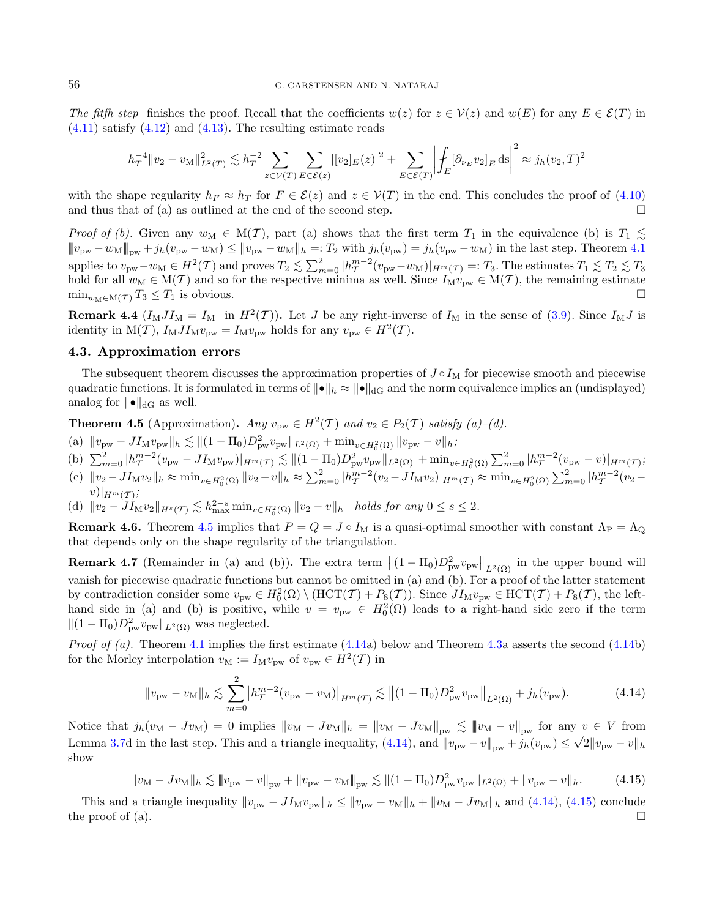The fitfh step finishes the proof. Recall that the coefficients  $w(z)$  for  $z \in V(z)$  and  $w(E)$  for any  $E \in \mathcal{E}(T)$  in  $(4.11)$  satisfy  $(4.12)$  and  $(4.13)$ . The resulting estimate reads

$$
h_T^{-4} ||v_2 - v_\text{M}||_{L^2(T)}^2 \lesssim h_T^{-2} \sum_{z \in \mathcal{V}(T)} \sum_{E \in \mathcal{E}(z)} |[v_2]_E(z)|^2 + \sum_{E \in \mathcal{E}(T)} \left| \int_E [\partial_{\nu_E} v_2]_E \, ds \right|^2 \approx j_h(v_2, T)^2
$$

with the shape regularity  $h_F \approx h_T$  for  $F \in \mathcal{E}(z)$  and  $z \in \mathcal{V}(T)$  in the end. This concludes the proof of [\(4.10\)](#page-13-1) and thus that of (a) as outlined at the end of the second step.  $\Box$ 

Proof of (b). Given any  $w_M \in M(T)$ , part (a) shows that the first term  $T_1$  in the equivalence (b) is  $T_1 \lesssim$  $||v_{\text{pw}} - w_{\text{M}}||_{\text{pw}} + j_h(v_{\text{pw}} - w_{\text{M}}) \le ||v_{\text{pw}} - w_{\text{M}}||_h =: T_2 \text{ with } j_h(v_{\text{pw}}) = j_h(v_{\text{pw}} - w_{\text{M}})$  in the last step. Theorem [4.1](#page-10-6) applies to  $v_{\text{pw}} - w_M \in H^2(\mathcal{T})$  and proves  $T_2 \lesssim \sum_{m=0}^2 |h_{\mathcal{T}}^{m-2}(v_{\text{pw}} - w_M)|_{H^m(\mathcal{T})} =: T_3$ . The estimates  $T_1 \lesssim T_2 \lesssim T_3$ hold for all  $w_M \in M(T)$  and so for the respective minima as well. Since  $I_M v_{\text{pw}} \in M(T)$ , the remaining estimate  $\min_{w_M \in M(\mathcal{T})} T_3 \leq T_1$  is obvious.

**Remark 4.4**  $(I_M J I_M = I_M$  in  $H^2(\mathcal{T})$ ). Let J be any right-inverse of  $I_M$  in the sense of [\(3.9\)](#page-8-2). Since  $I_M J$  is identity in  $M(\mathcal{T})$ ,  $I_M J I_M v_{\text{pw}} = I_M v_{\text{pw}}$  holds for any  $v_{\text{pw}} \in H^2(\mathcal{T})$ .

#### <span id="page-15-0"></span>4.3. Approximation errors

The subsequent theorem discusses the approximation properties of  $J \circ I_M$  for piecewise smooth and piecewise quadratic functions. It is formulated in terms of  $||\bullet||_h \approx ||\bullet||_{dG}$  and the norm equivalence implies an (undisplayed) analog for  $\|\bullet\|_{\text{dG}}$  as well.

<span id="page-15-1"></span>**Theorem 4.5** (Approximation). Any  $v_{\text{pw}} \in H^2(\mathcal{T})$  and  $v_2 \in P_2(\mathcal{T})$  satisfy (a)-(d).

- (a)  $||v_{\text{pw}} J I_{\text{M}} v_{\text{pw}}||_h \lesssim ||(1 \Pi_0) D_{\text{pw}}^2 v_{\text{pw}}||_{L^2(\Omega)} + \min_{v \in H_0^2(\Omega)} ||v_{\text{pw}} v||_h$
- (b)  $\sum_{m=0}^{2} |h_T^{m-2}(v_{\text{pw}} JI_M v_{\text{pw}})|_{H^m(\mathcal{T})} \lesssim ||(1-\Pi_0)D_{\text{pw}}^2 v_{\text{pw}}||_{L^2(\Omega)} + \min_{v \in H_0^2(\Omega)} \sum_{m=0}^{2} |h_T^{m-2}(v_{\text{pw}} v)|_{H^m(\mathcal{T})}$
- (c)  $||v_2 J I_M v_2||_h \approx \min_{v \in H_0^2(\Omega)} ||v_2 v||_h \approx \sum_{m=0}^2 |h_T^{m-2}(v_2 J I_M v_2)|_{H^m(\mathcal{T})} \approx \min_{v \in H_0^2(\Omega)} \sum_{m=0}^2 |h_T^{m-2}(v_2 J_M v_2)|_{H^m(\mathcal{T})}$  $v)|_{H^m(\mathcal{T})}$
- (d)  $||v_2 J_1 w_2||_{H^s(\mathcal{T})} \lesssim h_{\max}^{2-s} \min_{v \in H_0^2(\Omega)} ||v_2 v||_h$  holds for any  $0 \le s \le 2$ .

Remark 4.6. Theorem [4.5](#page-15-1) implies that  $P = Q = J \circ I_M$  is a quasi-optimal smoother with constant  $\Lambda_P = \Lambda_Q$ that depends only on the shape regularity of the triangulation.

**Remark 4.7** (Remainder in (a) and (b)). The extra term  $||(1 - \Pi_0)D_{pw}^2 v_{pw}||_{L^2(\Omega)}$  in the upper bound will vanish for piecewise quadratic functions but cannot be omitted in (a) and (b). For a proof of the latter statement by contradiction consider some  $v_{\text{pw}} \in H_0^2(\Omega) \setminus (HCT(\mathcal{T}) + P_8(\mathcal{T}))$ . Since  $JI_M v_{\text{pw}} \in HCT(\mathcal{T}) + P_8(\mathcal{T})$ , the lefthand side in (a) and (b) is positive, while  $v = v_{\text{pw}} \in H_0^2(\Omega)$  leads to a right-hand side zero if the term  $||(1 - \Pi_0)D_{\text{pw}}^2 v_{\text{pw}}||_{L^2(\Omega)}$  was neglected.

*Proof of (a).* Theorem [4.1](#page-10-6) implies the first estimate  $(4.14a)$  $(4.14a)$  below and Theorem [4.3a](#page-12-0) asserts the second  $(4.14b)$  $(4.14b)$ for the Morley interpolation  $v_M := I_M v_{\text{pw}}$  of  $v_{\text{pw}} \in H^2(\mathcal{T})$  in

<span id="page-15-3"></span><span id="page-15-2"></span>
$$
||v_{\text{pw}} - v_{\text{M}}||_h \lesssim \sum_{m=0}^2 \left| h_T^{m-2} (v_{\text{pw}} - v_{\text{M}}) \right|_{H^m(\mathcal{T})} \lesssim || (1 - \Pi_0) D_{\text{pw}}^2 v_{\text{pw}} ||_{L^2(\Omega)} + j_h(v_{\text{pw}}). \tag{4.14}
$$

Notice that  $j_h(v_M - Jv_M) = 0$  implies  $||v_M - Jv_M||_h = ||v_M - Jv_M||_{\text{pw}} \lesssim ||v_M - v||_{\text{pw}}$  for any  $v \in V$  from Lemma [3.7d](#page-8-0) in the last step. This and a triangle inequality,  $(4.14)$ , and  $||p_{pw} - v||_{pw} + j_h(v_{pw}) \leq \sqrt{2} ||v_{pw} - v||_h$ show

$$
||v_{\rm M} - Jv_{\rm M}||_h \lesssim ||v_{\rm pw} - v||_{\rm pw} + ||v_{\rm pw} - v_{\rm M}||_{\rm pw} \lesssim ||(1 - \Pi_0)D_{\rm pw}^2 v_{\rm pw}||_{L^2(\Omega)} + ||v_{\rm pw} - v||_h.
$$
 (4.15)

This and a triangle inequality  $||v_{\text{pw}} - J I_M v_{\text{pw}}||_h \le ||v_{\text{pw}} - v_M||_h + ||v_M - J v_M||_h$  and [\(4.14\)](#page-15-2), [\(4.15\)](#page-15-3) conclude the proof of (a).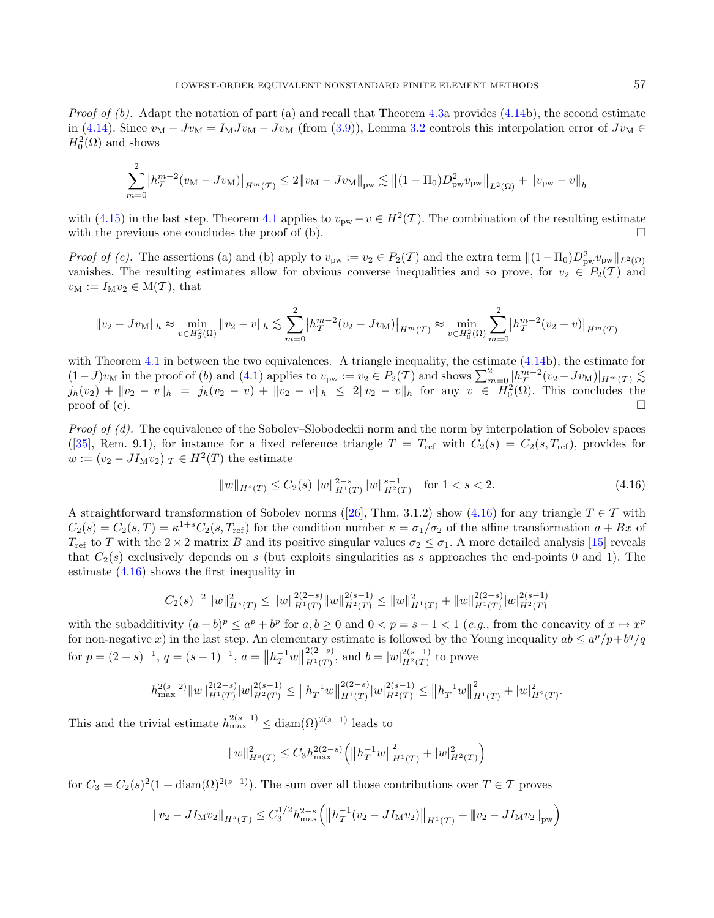*Proof of (b).* Adapt the notation of part (a) and recall that Theorem [4.3a](#page-12-0) provides  $(4.14b)$  $(4.14b)$ , the second estimate in [\(4.14\)](#page-15-2). Since  $v_M - Jv_M = I_M J v_M - Jv_M$  (from [\(3.9\)](#page-8-2)), Lemma [3.2](#page-7-2) controls this interpolation error of  $Jv_M \in$  $H_0^2(\Omega)$  and shows

$$
\sum_{m=0}^{2} \left| h_T^{m-2} (v_M - J v_M) \right|_{H^m(\mathcal{T})} \leq 2 \| v_M - J v_M \|_{\text{pw}} \lesssim \| (1 - \Pi_0) D_{\text{pw}}^2 v_{\text{pw}} \|_{L^2(\Omega)} + \| v_{\text{pw}} - v \|_{h}
$$

with [\(4.15\)](#page-15-3) in the last step. Theorem [4.1](#page-10-6) applies to  $v_{\text{pw}} - v \in H^2(\mathcal{T})$ . The combination of the resulting estimate with the previous one concludes the proof of (b).

Proof of (c). The assertions (a) and (b) apply to  $v_{\text{pw}} := v_2 \in P_2(\mathcal{T})$  and the extra term  $\|(1-\Pi_0)D_{\text{pw}}^2 v_{\text{pw}}\|_{L^2(\Omega)}$ vanishes. The resulting estimates allow for obvious converse inequalities and so prove, for  $v_2 \in P_2(\mathcal{T})$  and  $v_{\rm M} := I_{\rm M} v_2 \in M(\mathcal{T})$ , that

<span id="page-16-0"></span>
$$
||v_2 - Jv_M||_h \approx \min_{v \in H_0^2(\Omega)} ||v_2 - v||_h \lesssim \sum_{m=0}^2 |h_T^{m-2}(v_2 - Jv_M)|_{H^m(\mathcal{T})} \approx \min_{v \in H_0^2(\Omega)} \sum_{m=0}^2 |h_T^{m-2}(v_2 - v)|_{H^m(\mathcal{T})}
$$

with Theorem [4.1](#page-10-6) in between the two equivalences. A triangle inequality, the estimate  $(4.14b)$  $(4.14b)$ , the estimate for  $(1-J)v_M$  in the proof of (b) and [\(4.1\)](#page-10-2) applies to  $v_{\text{pw}} := v_2 \in P_2(\mathcal{T})$  and shows  $\sum_{m=0}^{2} \left| h_T^{m-2} (v_2 - Jv_M) \right|_{H^m(\mathcal{T})} \lesssim$  $j_h(v_2) + ||v_2 - v||_h = j_h(v_2 - v) + ||v_2 - v||_h \le 2||v_2 - v||_h$  for any  $v \in H_0^2(\Omega)$ . This concludes the proof of  $(c)$ .

Proof of (d). The equivalence of the Sobolev–Slobodeckii norm and the norm by interpolation of Sobolev spaces ([\[35\]](#page-37-12), Rem. 9.1), for instance for a fixed reference triangle  $T = T_{\text{ref}}$  with  $C_2(s) = C_2(s, T_{\text{ref}})$ , provides for  $w := (v_2 - J I_M v_2)|_T \in H^2(T)$  the estimate

$$
||w||_{H^s(T)} \le C_2(s) ||w||_{H^1(T)}^{2-s} ||w||_{H^2(T)}^{s-1} \quad \text{for } 1 < s < 2. \tag{4.16}
$$

A straightforward transformation of Sobolev norms ([\[26\]](#page-36-1), Thm. 3.1.2) show [\(4.16\)](#page-16-0) for any triangle  $T \in \mathcal{T}$  with  $C_2(s) = C_2(s,T) = \kappa^{1+s} C_2(s,T_{\text{ref}})$  for the condition number  $\kappa = \sigma_1/\sigma_2$  of the affine transformation  $a + Bx$  of  $T_{\text{ref}}$  to T with the  $2 \times 2$  matrix B and its positive singular values  $\sigma_2 \leq \sigma_1$ . A more detailed analysis [\[15\]](#page-36-27) reveals that  $C_2(s)$  exclusively depends on s (but exploits singularities as s approaches the end-points 0 and 1). The estimate [\(4.16\)](#page-16-0) shows the first inequality in

$$
C_2(s)^{-2} ||w||_{H^s(T)}^2 \le ||w||_{H^1(T)}^{2(2-s)} ||w||_{H^2(T)}^{2(s-1)} \le ||w||_{H^1(T)}^2 + ||w||_{H^1(T)}^{2(2-s)} ||w||_{H^2(T)}^{2(s-1)}
$$

with the subadditivity  $(a+b)^p \le a^p + b^p$  for  $a, b \ge 0$  and  $0 < p = s - 1 < 1$  (e.g., from the concavity of  $x \mapsto x^p$ for non-negative x) in the last step. An elementary estimate is followed by the Young inequality  $ab \le a^p/p + b^q/q$ for  $p = (2 - s)^{-1}$ ,  $q = (s - 1)^{-1}$ ,  $a = ||h_T^{-1}w||$  $2(2-s)$  $\frac{2(2-s)}{H^1(T)}$ , and  $b = |w| \frac{2(s-1)}{H^2(T)}$  $\frac{2(s-1)}{H^2(T)}$  to prove

$$
h_{\max}^{2(s-2)} \|w\|_{H^1(T)}^{2(2-s)} |w|_{H^2(T)}^{2(s-1)} \leq \|h_T^{-1}w\|_{H^1(T)}^{2(2-s)} |w|_{H^2(T)}^{2(s-1)} \leq \|h_T^{-1}w\|_{H^1(T)}^2 + |w|_{H^2(T)}^2.
$$

This and the trivial estimate  $h_{\text{max}}^{2(s-1)} \leq \text{diam}(\Omega)^{2(s-1)}$  leads to

$$
||w||_{H^{s}(T)}^{2} \leq C_{3} h_{\max}^{2(2-s)} \left( ||h_{T}^{-1}w||_{H^{1}(T)}^{2} + |w|_{H^{2}(T)}^{2} \right)
$$

for  $C_3 = C_2(s)^2(1 + \text{diam}(\Omega)^{2(s-1)})$ . The sum over all those contributions over  $T \in \mathcal{T}$  proves

$$
||v_2 - JI_M v_2||_{H^s(\mathcal{T})} \leq C_3^{1/2} h_{\max}^{2-s} (||h_{\mathcal{T}}^{-1}(v_2 - JI_M v_2)||_{H^1(\mathcal{T})} + ||v_2 - JI_M v_2||_{\text{pw}})
$$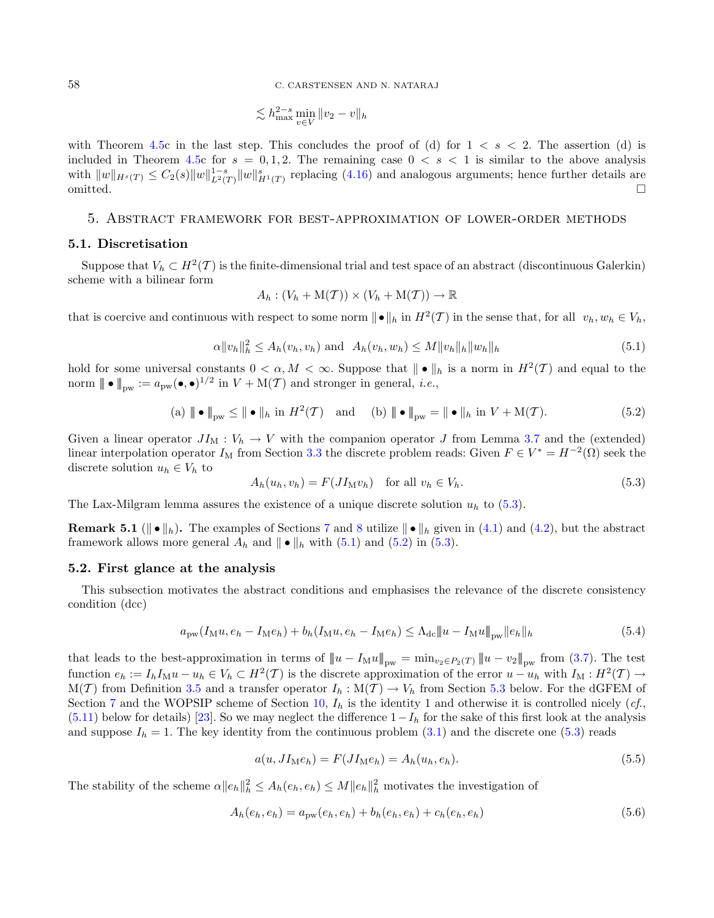58 C. CARSTENSEN AND N. NATARAJ

$$
\lesssim h_{\max}^{2-s} \min_{v \in V} \|v_2 - v\|_h
$$

<span id="page-17-3"></span>with Theorem [4.5c](#page-15-1) in the last step. This concludes the proof of (d) for  $1 \leq s \leq 2$ . The assertion (d) is included in Theorem [4.5c](#page-15-1) for  $s = 0, 1, 2$ . The remaining case  $0 < s < 1$  is similar to the above analysis with  $||w||_{H^s(T)} \leq C_2(s)||w||_{L^2(T)}^{1-s}||w||_{H^1(T)}^s$  replacing [\(4.16\)](#page-16-0) and analogous arguments; hence further details are omitted.

#### <span id="page-17-1"></span>5. Abstract framework for best-approximation of lower-order methods

#### <span id="page-17-8"></span>5.1. Discretisation

Suppose that  $V_h \subset H^2(\mathcal{T})$  is the finite-dimensional trial and test space of an abstract (discontinuous Galerkin) scheme with a bilinear form

<span id="page-17-4"></span><span id="page-17-2"></span>
$$
A_h : (V_h + \mathcal{M}(\mathcal{T})) \times (V_h + \mathcal{M}(\mathcal{T})) \to \mathbb{R}
$$

that is coercive and continuous with respect to some norm  $\|\bullet\|_h$  in  $H^2(\mathcal{T})$  in the sense that, for all  $v_h, w_h \in V_h$ ,

$$
\alpha \|v_h\|_h^2 \le A_h(v_h, v_h) \text{ and } A_h(v_h, w_h) \le M \|v_h\|_h \|w_h\|_h
$$
\n(5.1)

hold for some universal constants  $0 < \alpha, M < \infty$ . Suppose that  $\|\bullet\|_h$  is a norm in  $H^2(\mathcal{T})$  and equal to the norm  $\| \bullet \|_{\text{pw}} := a_{\text{pw}}(\bullet, \bullet)^{1/2}$  in  $V + M(\mathcal{T})$  and stronger in general, *i.e.*,

(a) 
$$
\| \bullet \|_{\text{pw}} \le \| \bullet \|_h
$$
 in  $H^2(\mathcal{T})$  and (b)  $\| \bullet \|_{\text{pw}} = \| \bullet \|_h$  in  $V + M(\mathcal{T})$ . (5.2)

Given a linear operator  $JI_M : V_h \to V$  with the companion operator J from Lemma [3.7](#page-8-0) and the (extended) linear interpolation operator  $I_M$  from Section [3.3](#page-7-5) the discrete problem reads: Given  $F \in V^* = H^{-2}(\Omega)$  seek the discrete solution  $u_h \in V_h$  to

<span id="page-17-6"></span><span id="page-17-0"></span>
$$
A_h(u_h, v_h) = F(JI_M v_h) \quad \text{for all } v_h \in V_h. \tag{5.3}
$$

The Lax-Milgram lemma assures the existence of a unique discrete solution  $u<sub>h</sub>$  to [\(5.3\)](#page-17-2).

**Remark 5.1** ( $\|\bullet\|_h$ ). The examples of Sections [7](#page-26-0) and [8](#page-29-0) utilize  $\|\bullet\|_h$  given in [\(4.1\)](#page-10-2) and [\(4.2\)](#page-10-7), but the abstract framework allows more general  $A_h$  and  $\| \bullet \|_h$  with [\(5.1\)](#page-17-3) and [\(5.2\)](#page-17-4) in [\(5.3\)](#page-17-2).

#### <span id="page-17-7"></span>5.2. First glance at the analysis

This subsection motivates the abstract conditions and emphasises the relevance of the discrete consistency condition (dcc)

$$
a_{\text{pw}}(I_{\text{M}}u, e_h - I_{\text{M}}e_h) + b_h(I_{\text{M}}u, e_h - I_{\text{M}}e_h) \le \Lambda_{\text{dc}} ||u - I_{\text{M}}u||_{\text{pw}} ||e_h||_h \tag{5.4}
$$

that leads to the best-approximation in terms of  $||u - I_M u||_{pw} = \min_{v_2 \in P_2(T)} ||u - v_2||_{pw}$  from [\(3.7\)](#page-7-6). The test function  $e_h := I_h I_M u - u_h \in V_h \subset H^2(\mathcal{T})$  is the discrete approximation of the error  $u - u_h$  with  $I_M : H^2(\mathcal{T}) \to$  $M(\mathcal{T})$  from Definition [3.5](#page-8-1) and a transfer operator  $I_h : M(\mathcal{T}) \to V_h$  from Section [5.3](#page-18-0) below. For the dGFEM of Section [7](#page-26-0) and the WOPSIP scheme of Section [10,](#page-31-0)  $I_h$  is the identity 1 and otherwise it is controlled nicely (cf.,  $(5.11)$  below for details) [\[23\]](#page-36-0). So we may neglect the difference  $1-I<sub>h</sub>$  for the sake of this first look at the analysis and suppose  $I_h = 1$ . The key identity from the continuous problem [\(3.1\)](#page-5-1) and the discrete one [\(5.3\)](#page-17-2) reads

<span id="page-17-5"></span>
$$
a(u, JI_M e_h) = F(JI_M e_h) = A_h(u_h, e_h).
$$
\n(5.5)

The stability of the scheme  $\alpha \|e_h\|_h^2 \leq A_h(e_h, e_h) \leq M \|e_h\|_h^2$  motivates the investigation of

$$
A_h(e_h, e_h) = a_{\text{pw}}(e_h, e_h) + b_h(e_h, e_h) + c_h(e_h, e_h)
$$
\n(5.6)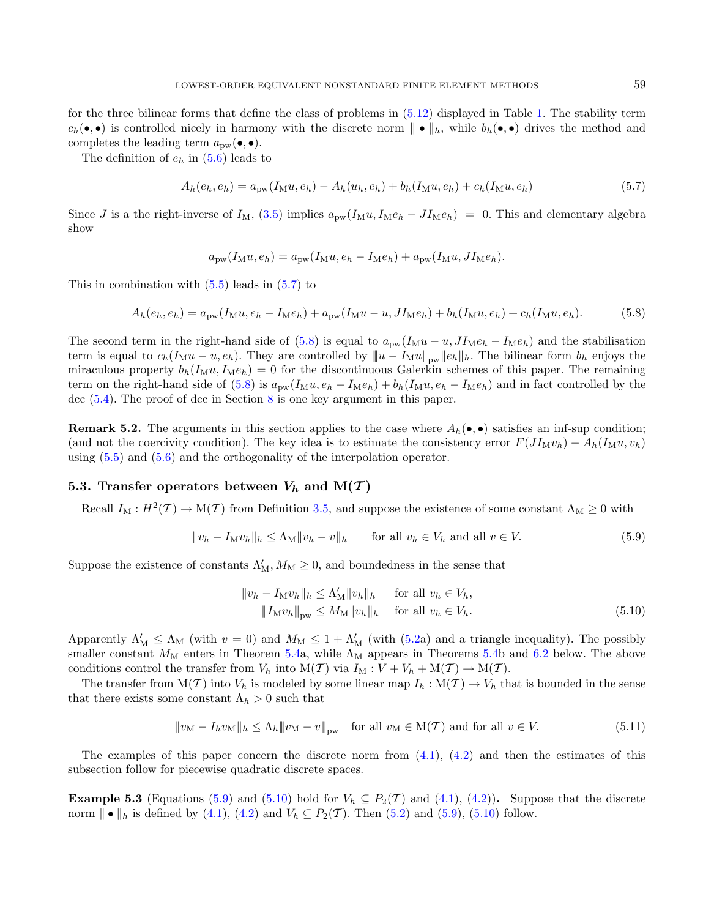for the three bilinear forms that define the class of problems in [\(5.12\)](#page-19-0) displayed in Table [1.](#page-1-0) The stability term  $c_h(\bullet,\bullet)$  is controlled nicely in harmony with the discrete norm  $\|\bullet\|_h$ , while  $b_h(\bullet,\bullet)$  drives the method and completes the leading term  $a_{\text{pw}}(\bullet,\bullet)$ .

The definition of  $e_h$  in [\(5.6\)](#page-17-5) leads to

<span id="page-18-2"></span>
$$
A_h(e_h, e_h) = a_{\text{pw}}(I_M u, e_h) - A_h(u_h, e_h) + b_h(I_M u, e_h) + c_h(I_M u, e_h)
$$
\n(5.7)

Since *J* is a the right-inverse of  $I_M$ , [\(3.5\)](#page-7-7) implies  $a_{\text{pw}}(I_M u, I_M e_h - J I_M e_h) = 0$ . This and elementary algebra show

<span id="page-18-4"></span><span id="page-18-3"></span>
$$
a_{\text{pw}}(I_{\text{M}}u, e_h) = a_{\text{pw}}(I_{\text{M}}u, e_h - I_{\text{M}}e_h) + a_{\text{pw}}(I_{\text{M}}u, JI_{\text{M}}e_h).
$$

This in combination with  $(5.5)$  leads in  $(5.7)$  to

$$
A_h(e_h, e_h) = a_{\text{pw}}(I_M u, e_h - I_M e_h) + a_{\text{pw}}(I_M u - u, J_{M} e_h) + b_h(I_M u, e_h) + c_h(I_M u, e_h).
$$
(5.8)

The second term in the right-hand side of [\(5.8\)](#page-18-3) is equal to  $a_{\text{pw}}(I_M u - u, JI_M e_h - I_M e_h)$  and the stabilisation term is equal to  $c_h(I_M u - u, e_h)$ . They are controlled by  $||u - I_M u||_{pw} ||e_h||_h$ . The bilinear form  $b_h$  enjoys the miraculous property  $b_h(I_M u, I_M e_h) = 0$  for the discontinuous Galerkin schemes of this paper. The remaining term on the right-hand side of  $(5.8)$  is  $a_{\text{pw}}(I_M u, e_h - I_M e_h) + b_h(I_M u, e_h - I_M e_h)$  and in fact controlled by the dcc [\(5.4\)](#page-17-6). The proof of dcc in Section [8](#page-29-0) is one key argument in this paper.

**Remark 5.2.** The arguments in this section applies to the case where  $A_h(\bullet, \bullet)$  satisfies an inf-sup condition; (and not the coercivity condition). The key idea is to estimate the consistency error  $F(JI_Mv_h) - A_h(I_Mu, v_h)$ using [\(5.5\)](#page-17-0) and [\(5.6\)](#page-17-5) and the orthogonality of the interpolation operator.

# <span id="page-18-0"></span>5.3. Transfer operators between  $V_h$  and  $M(\mathcal{T})$

Recall  $I_M : H^2(\mathcal{I}) \to M(\mathcal{I})$  from Definition [3.5,](#page-8-1) and suppose the existence of some constant  $\Lambda_M \geq 0$  with

$$
||v_h - I_M v_h||_h \le \Lambda_M ||v_h - v||_h \qquad \text{for all } v_h \in V_h \text{ and all } v \in V. \tag{5.9}
$$

Suppose the existence of constants  $\Lambda'_{\text{M}}$ ,  $M_{\text{M}} \geq 0$ , and boundedness in the sense that

<span id="page-18-5"></span><span id="page-18-1"></span>
$$
||v_h - I_M v_h||_h \le \Lambda'_M ||v_h||_h \quad \text{for all } v_h \in V_h,
$$
  

$$
||I_M v_h||_{\text{pw}} \le M_M ||v_h||_h \quad \text{for all } v_h \in V_h.
$$
 (5.10)

Apparently  $\Lambda'_M \leq \Lambda_M$  (with  $v = 0$ ) and  $M_M \leq 1 + \Lambda'_M$  (with [\(5.2a](#page-17-4)) and a triangle inequality). The possibly smaller constant  $M_M$  enters in Theorem [5.4a](#page-19-1), while  $\Lambda_M$  appears in Theorems [5.4b](#page-19-1) and [6.2](#page-22-0) below. The above conditions control the transfer from  $V_h$  into  $M(\mathcal{T})$  via  $I_M : V + V_h + M(\mathcal{T}) \to M(\mathcal{T})$ .

The transfer from  $M(T)$  into  $V_h$  is modeled by some linear map  $I_h : M(T) \to V_h$  that is bounded in the sense that there exists some constant  $\Lambda_h > 0$  such that

$$
||v_M - I_h v_M||_h \le \Lambda_h ||v_M - v||_{\text{pw}} \quad \text{for all } v_M \in \mathcal{M}(\mathcal{T}) \text{ and for all } v \in V. \tag{5.11}
$$

The examples of this paper concern the discrete norm from  $(4.1)$ ,  $(4.2)$  and then the estimates of this subsection follow for piecewise quadratic discrete spaces.

<span id="page-18-6"></span>**Example 5.3** (Equations [\(5.9\)](#page-18-4) and [\(5.10\)](#page-18-5) hold for  $V_h \subseteq P_2(T)$  and [\(4.1\)](#page-10-2), [\(4.2\)](#page-10-7)). Suppose that the discrete norm  $\| \cdot \|_{h}$  is defined by [\(4.1\)](#page-10-2), [\(4.2\)](#page-10-7) and  $V_h \subseteq P_2(\mathcal{T})$ . Then [\(5.2\)](#page-17-4) and [\(5.9\)](#page-18-4), [\(5.10\)](#page-18-5) follow.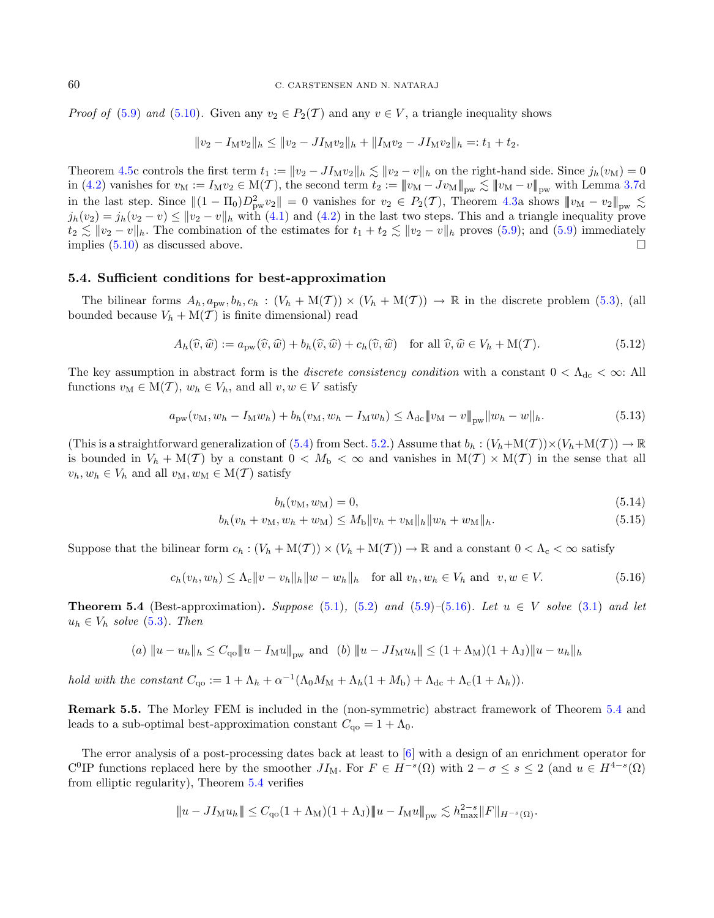*Proof of* [\(5.9\)](#page-18-4) and [\(5.10\)](#page-18-5). Given any  $v_2 \in P_2(\mathcal{T})$  and any  $v \in V$ , a triangle inequality shows

<span id="page-19-5"></span><span id="page-19-0"></span>
$$
||v_2 - I_M v_2||_h \le ||v_2 - J I_M v_2||_h + ||I_M v_2 - J I_M v_2||_h =: t_1 + t_2.
$$

Theorem [4.5c](#page-15-1) controls the first term  $t_1 := ||v_2 - J I_M v_2||_h \lesssim ||v_2 - v||_h$  on the right-hand side. Since  $j_h(v_M) = 0$ in [\(4.2\)](#page-10-7) vanishes for  $v_M := I_M v_2 \in M(\mathcal{T})$ , the second term  $t_2 := ||v_M - Jv_M||_{\text{pw}} \lesssim ||v_M - v||_{\text{pw}}$  with Lemma [3.7d](#page-8-0) in the last step. Since  $||(1 - \Pi_0)D_{pw}^2 v_2|| = 0$  vanishes for  $v_2 \in P_2(\mathcal{T})$ , Theorem [4.3a](#page-12-0) shows  $||w_M - v_2||_{pw} \lesssim$  $j_h(v_2) = j_h(v_2 - v) \le ||v_2 - v||_h$  with [\(4.1\)](#page-10-2) and [\(4.2\)](#page-10-7) in the last two steps. This and a triangle inequality prove  $t_2 \lesssim ||v_2 - v||_h$ . The combination of the estimates for  $t_1 + t_2 \lesssim ||v_2 - v||_h$  proves [\(5.9\)](#page-18-4); and (5.9) immediately implies  $(5.10)$  as discussed above.

#### <span id="page-19-6"></span>5.4. Sufficient conditions for best-approximation

The bilinear forms  $A_h, a_{\text{pw}}, b_h, c_h : (V_h + M(\mathcal{T})) \times (V_h + M(\mathcal{T})) \rightarrow \mathbb{R}$  in the discrete problem [\(5.3\)](#page-17-2), (all bounded because  $V_h + M(\mathcal{T})$  is finite dimensional) read

$$
A_h(\widehat{v}, \widehat{w}) := a_{\text{pw}}(\widehat{v}, \widehat{w}) + b_h(\widehat{v}, \widehat{w}) + c_h(\widehat{v}, \widehat{w}) \quad \text{for all } \widehat{v}, \widehat{w} \in V_h + \mathcal{M}(\mathcal{T}). \tag{5.12}
$$

The key assumption in abstract form is the *discrete consistency condition* with a constant  $0 < \Lambda_{\rm dc} < \infty$ : All functions  $v_M \in M(T)$ ,  $w_h \in V_h$ , and all  $v, w \in V$  satisfy

$$
a_{\text{pw}}(v_M, w_h - I_M w_h) + b_h(v_M, w_h - I_M w_h) \le \Lambda_{\text{dc}} \|v_M - v\|_{\text{pw}} \|w_h - w\|_h. \tag{5.13}
$$

(This is a straightforward generalization of [\(5.4\)](#page-17-6) from Sect. [5.2.](#page-17-7)) Assume that  $b_h : (V_h + M(\mathcal{T})) \times (V_h + M(\mathcal{T})) \to \mathbb{R}$ is bounded in  $V_h + M(\mathcal{T})$  by a constant  $0 < M_b < \infty$  and vanishes in  $M(\mathcal{T}) \times M(\mathcal{T})$  in the sense that all  $v_h, w_h \in V_h$  and all  $v_M, w_M \in M(\mathcal{T})$  satisfy

<span id="page-19-4"></span><span id="page-19-3"></span><span id="page-19-2"></span>
$$
b_h(v_M, w_M) = 0,\t\t(5.14)
$$

$$
b_h(v_h + v_M, w_h + w_M) \le M_b \|v_h + v_M\|_h \|w_h + w_M\|_h. \tag{5.15}
$$

Suppose that the bilinear form  $c_h : (V_h + M(\mathcal{T})) \times (V_h + M(\mathcal{T})) \to \mathbb{R}$  and a constant  $0 < \Lambda_c < \infty$  satisfy

$$
c_h(v_h, w_h) \leq \Lambda_c \|v - v_h\|_h \|w - w_h\|_h \quad \text{for all } v_h, w_h \in V_h \text{ and } v, w \in V. \tag{5.16}
$$

<span id="page-19-1"></span>**Theorem 5.4** (Best-approximation). Suppose [\(5.1\)](#page-17-3), [\(5.2\)](#page-17-4) and [\(5.9\)](#page-18-4)–[\(5.16\)](#page-19-2). Let  $u \in V$  solve [\(3.1\)](#page-5-1) and let  $u_h \in V_h$  solve [\(5.3\)](#page-17-2). Then

(a) 
$$
||u - u_h||_h \leq C_{\text{qo}} ||u - I_M u||_{\text{pw}}
$$
 and (b)  $||u - J I_M u_h|| \leq (1 + \Lambda_M)(1 + \Lambda_J) ||u - u_h||_h$ 

hold with the constant  $C_{\mathbf{q}\circ} := 1 + \Lambda_h + \alpha^{-1} (\Lambda_0 M_M + \Lambda_h (1 + M_{\mathbf{b}}) + \Lambda_{\mathbf{d}\mathbf{c}} + \Lambda_{\mathbf{c}} (1 + \Lambda_h)).$ 

Remark 5.5. The Morley FEM is included in the (non-symmetric) abstract framework of Theorem [5.4](#page-19-1) and leads to a sub-optimal best-approximation constant  $C_{\rm qo} = 1 + \Lambda_0$ .

The error analysis of a post-processing dates back at least to [\[6\]](#page-36-3) with a design of an enrichment operator for C<sup>O</sup>IP functions replaced here by the smoother  $JI_M$ . For  $F \in H^{-s}(\Omega)$  with  $2-\sigma \le s \le 2$  (and  $u \in H^{4-s}(\Omega)$ ) from elliptic regularity), Theorem [5.4](#page-19-1) verifies

$$
|\!|\!| u - J I_{\mathcal{M}} u_h |\!|\!| \leq C_{\mathbf{q}\mathbf{o}} (1+\Lambda_{\mathcal{M}}) (1+\Lambda_J) |\!|\!| u - I_{\mathcal{M}} u |\!|\!|_{\rm pw} \lesssim h_{\max}^{2-s} \|F\|_{H^{-s}(\Omega)}.
$$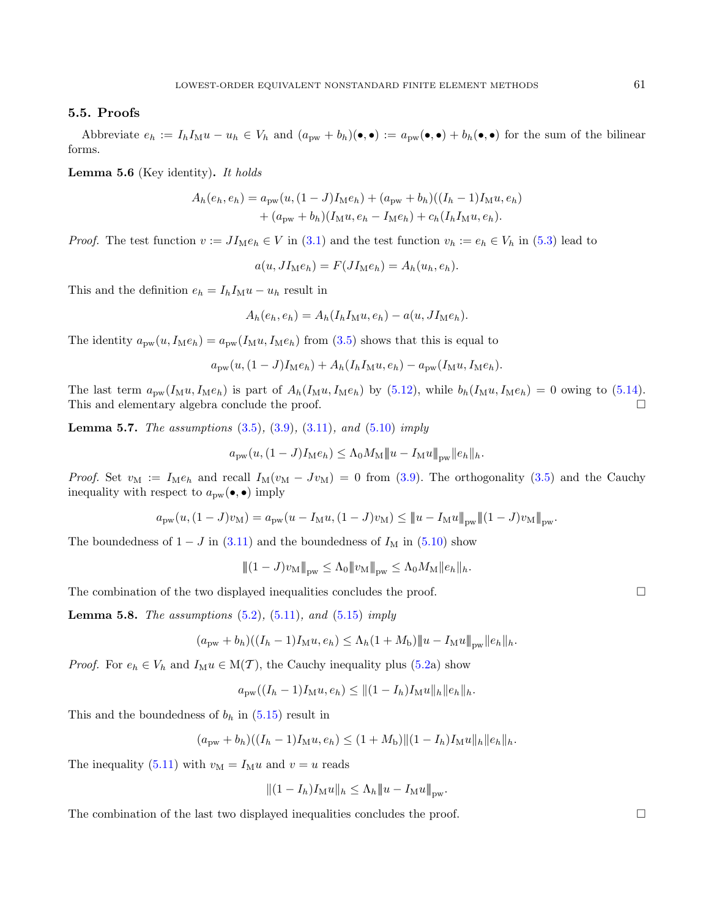# <span id="page-20-3"></span>5.5. Proofs

Abbreviate  $e_h := I_h I_M u - u_h \in V_h$  and  $(a_{pw} + b_h)(\bullet, \bullet) := a_{pw}(\bullet, \bullet) + b_h(\bullet, \bullet)$  for the sum of the bilinear forms.

<span id="page-20-0"></span>**Lemma 5.6** (Key identity). It holds

$$
A_h(e_h, e_h) = a_{\text{pw}}(u, (1-J)I_{\text{M}}e_h) + (a_{\text{pw}} + b_h)((I_h - 1)I_{\text{M}}u, e_h) + (a_{\text{pw}} + b_h)(I_{\text{M}}u, e_h - I_{\text{M}}e_h) + c_h(I_hI_{\text{M}}u, e_h).
$$

*Proof.* The test function  $v := J I_M e_h \in V$  in [\(3.1\)](#page-5-1) and the test function  $v_h := e_h \in V_h$  in [\(5.3\)](#page-17-2) lead to

 $a(u, JI_{\mathrm{M}}e_h) = F(JI_{\mathrm{M}}e_h) = A_h(u_h, e_h).$ 

This and the definition  $e_h = I_h I_M u - u_h$  result in

$$
A_h(e_h, e_h) = A_h(I_h I_{\mathcal{M}} u, e_h) - a(u, J I_{\mathcal{M}} e_h).
$$

The identity  $a_{\text{pw}}(u, I_{\text{M}}e_h) = a_{\text{pw}}(I_{\text{M}}u, I_{\text{M}}e_h)$  from [\(3.5\)](#page-7-7) shows that this is equal to

$$
a_{\text{pw}}(u, (1-J)I_{\text{M}}e_h) + A_h(I_hI_{\text{M}}u, e_h) - a_{\text{pw}}(I_{\text{M}}u, I_{\text{M}}e_h).
$$

The last term  $a_{\text{pw}}(I_M u, I_M e_h)$  is part of  $A_h(I_M u, I_M e_h)$  by [\(5.12\)](#page-19-0), while  $b_h(I_M u, I_M e_h) = 0$  owing to [\(5.14\)](#page-19-3). This and elementary algebra conclude the proof.

<span id="page-20-1"></span>**Lemma 5.7.** The assumptions  $(3.5)$ ,  $(3.9)$ ,  $(3.11)$ , and  $(5.10)$  imply

$$
a_{\text{pw}}(u, (1-J)I_{\text{M}}e_h) \leq \Lambda_0 M_{\text{M}} ||u - I_{\text{M}}u||_{\text{pw}} ||e_h||_h.
$$

Proof. Set  $v_M := I_M e_h$  and recall  $I_M(v_M - Jv_M) = 0$  from [\(3.9\)](#page-8-2). The orthogonality [\(3.5\)](#page-7-7) and the Cauchy inequality with respect to  $a_{\text{pw}}(\bullet,\bullet)$  imply

$$
a_{\mathrm{pw}}(u, (1-J)v_{\mathrm{M}}) = a_{\mathrm{pw}}(u-I_{\mathrm{M}}u, (1-J)v_{\mathrm{M}}) \leq \|u-I_{\mathrm{M}}u\|_{\mathrm{pw}} \|(1-J)v_{\mathrm{M}}\|_{\mathrm{pw}}.
$$

The boundedness of  $1 - J$  in [\(3.11\)](#page-9-4) and the boundedness of  $I_M$  in [\(5.10\)](#page-18-5) show

$$
|| (1 - J) v_M ||_{\text{pw}} \leq \Lambda_0 || v_M ||_{\text{pw}} \leq \Lambda_0 M_M || e_h ||_h.
$$

The combination of the two displayed inequalities concludes the proof.  $\Box$ 

**Lemma 5.8.** The assumptions  $(5.2)$ ,  $(5.11)$ , and  $(5.15)$  imply

$$
(a_{\text{pw}} + b_h)((I_h - 1)I_{\text{M}}u, e_h) \le \Lambda_h(1 + M_b) ||u - I_{\text{M}}u||_{\text{pw}} ||e_h||_h.
$$

*Proof.* For  $e_h \in V_h$  and  $I_M u \in M(T)$ , the Cauchy inequality plus [\(5.2a](#page-17-4)) show

$$
a_{\text{pw}}((I_h-1)I_{\text{M}}u, e_h) \leq ||(1 - I_h)I_{\text{M}}u||_h ||e_h||_h.
$$

This and the boundedness of  $b_h$  in  $(5.15)$  result in

$$
(a_{\text{pw}} + b_h)((I_h - 1)I_M u, e_h) \le (1 + M_b) ||(1 - I_h)I_M u||_h ||e_h||_h.
$$

The inequality [\(5.11\)](#page-18-1) with  $v_M = I_M u$  and  $v = u$  reads

$$
|| (1 - I_h) I_M u ||_h \leq \Lambda_h || u - I_M u ||_{\text{pw}}.
$$

<span id="page-20-2"></span>The combination of the last two displayed inequalities concludes the proof.  $\Box$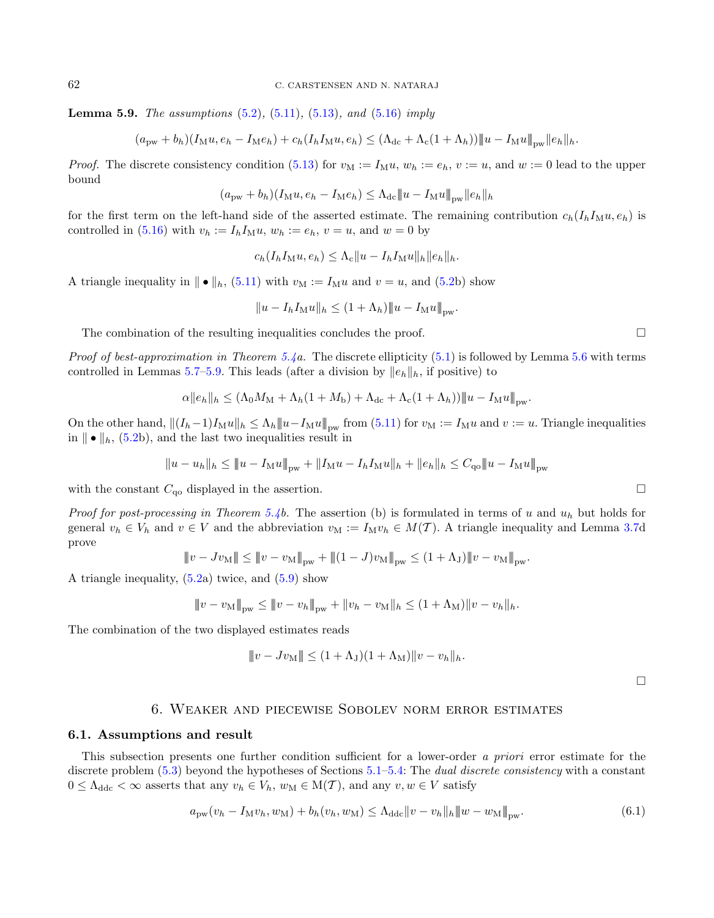**Lemma 5.9.** The assumptions  $(5.2)$ ,  $(5.11)$ ,  $(5.13)$ , and  $(5.16)$  imply

$$
(a_{\text{pw}}+b_h)(I_{\text{M}}u, e_h-I_{\text{M}}e_h)+c_h(I_hI_{\text{M}}u, e_h)\leq (\Lambda_{\text{dc}}+\Lambda_{\text{c}}(1+\Lambda_h))\|u-I_{\text{M}}u\|_{\text{pw}}\|e_h\|_h.
$$

*Proof.* The discrete consistency condition [\(5.13\)](#page-19-5) for  $v_M := I_M u$ ,  $w_h := e_h$ ,  $v := u$ , and  $w := 0$  lead to the upper bound

$$
(a_{\text{pw}} + b_h)(I_{\text{M}}u, e_h - I_{\text{M}}e_h) \leq \Lambda_{\text{dc}} ||u - I_{\text{M}}u||_{\text{pw}} ||e_h||_h
$$

for the first term on the left-hand side of the asserted estimate. The remaining contribution  $c_h(I_hI_Mu,e_h)$  is controlled in  $(5.16)$  with  $v_h := I_h I_M u$ ,  $w_h := e_h$ ,  $v = u$ , and  $w = 0$  by

$$
c_h(I_hI_{\mathcal{M}}u, e_h) \leq \Lambda_c \|u - I_hI_{\mathcal{M}}u\|_h \|e_h\|_h.
$$

A triangle inequality in  $|| \bullet ||_h$ , [\(5.11\)](#page-18-1) with  $v_M := I_M u$  and  $v = u$ , and [\(5.2b](#page-17-4)) show

$$
||u - I_h I_{\mathcal{M}} u||_h \le (1 + \Lambda_h) ||u - I_{\mathcal{M}} u||_{\text{pw}}.
$$

The combination of the resulting inequalities concludes the proof.  $\Box$ 

*Proof of best-approximation in Theorem [5.4a](#page-19-1).* The discrete ellipticity  $(5.1)$  is followed by Lemma [5.6](#page-20-0) with terms controlled in Lemmas [5.7–](#page-20-1)[5.9.](#page-20-2) This leads (after a division by  $||e_h||_h$ , if positive) to

$$
\alpha \|e_h\|_h \leq (\Lambda_0 M_\mathcal{M} + \Lambda_h (1 + M_\mathcal{b}) + \Lambda_{\text{dc}} + \Lambda_{\text{c}} (1 + \Lambda_h)) \|u - I_\mathcal{M} u\|_{\text{pw}}.
$$

On the other hand,  $||(I_h-1)I_Mu||_h \leq \Lambda_h ||u-I_Mu||_{\text{pw}}$  from [\(5.11\)](#page-18-1) for  $v_M := I_M u$  and  $v := u$ . Triangle inequalities in  $\|\bullet\|_h$ , [\(5.2b](#page-17-4)), and the last two inequalities result in

$$
||u - u_h||_h \le ||u - I_M u||_{\text{pw}} + ||I_M u - I_h I_M u||_h + ||e_h||_h \le C_{\text{qo}} ||u - I_M u||_{\text{pw}}
$$

with the constant  $C_{\text{qo}}$  displayed in the assertion.

*Proof for post-processing in Theorem [5.4b](#page-19-1).* The assertion (b) is formulated in terms of u and  $u<sub>h</sub>$  but holds for general  $v_h \in V_h$  and  $v \in V$  and the abbreviation  $v_M := I_M v_h \in M(\mathcal{T})$ . A triangle inequality and Lemma [3.7d](#page-8-0) prove

$$
\|v - Jv_M\| \le \|v - v_M\|_{\text{pw}} + \|(1 - J)v_M\|_{\text{pw}} \le (1 + \Lambda_J)\|v - v_M\|_{\text{pw}}.
$$

A triangle inequality, [\(5.2a](#page-17-4)) twice, and [\(5.9\)](#page-18-4) show

$$
\|v - v_{\mathcal{M}}\|_{\text{pw}} \le \|v - v_h\|_{\text{pw}} + \|v_h - v_{\mathcal{M}}\|_{h} \le (1 + \Lambda_{\mathcal{M}})\|v - v_h\|_{h}.
$$

The combination of the two displayed estimates reads

$$
||v - Jv_M|| \le (1 + \Lambda_J)(1 + \Lambda_M)||v - v_h||_h.
$$

<span id="page-21-1"></span> $\Box$ 

# 6. Weaker and piecewise Sobolev norm error estimates

#### <span id="page-21-0"></span>6.1. Assumptions and result

<span id="page-21-2"></span>This subsection presents one further condition sufficient for a lower-order a priori error estimate for the discrete problem [\(5.3\)](#page-17-2) beyond the hypotheses of Sections [5.1](#page-17-8)[–5.4:](#page-19-6) The *dual discrete consistency* with a constant  $0 \leq \Lambda_{\text{ddc}} < \infty$  asserts that any  $v_h \in V_h$ ,  $w_M \in M(\mathcal{T})$ , and any  $v, w \in V$  satisfy

$$
a_{\text{pw}}(v_h - I_M v_h, w_M) + b_h(v_h, w_M) \le \Lambda_{\text{ddc}} \|v - v_h\|_h \|w - w_M\|_{\text{pw}}.
$$
\n(6.1)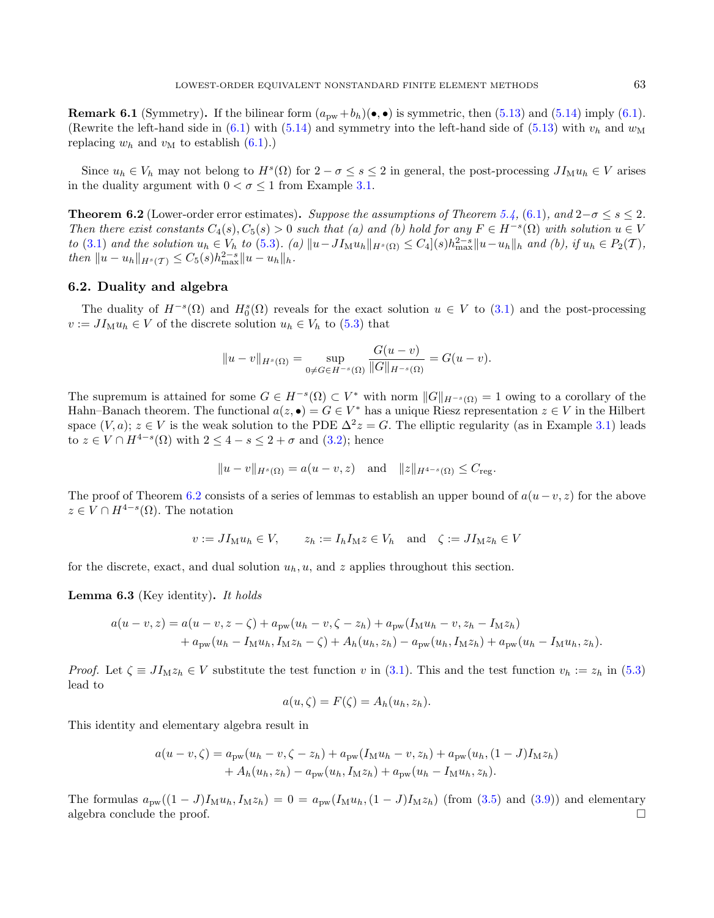**Remark 6.1** (Symmetry). If the bilinear form  $(a_{\text{pw}} + b_h)(\bullet, \bullet)$  is symmetric, then [\(5.13\)](#page-19-5) and [\(5.14\)](#page-19-3) imply [\(6.1\)](#page-21-1). (Rewrite the left-hand side in  $(6.1)$  with  $(5.14)$  and symmetry into the left-hand side of  $(5.13)$  with  $v_h$  and  $w_M$ replacing  $w_h$  and  $v_M$  to establish  $(6.1)$ .)

Since  $u_h \in V_h$  may not belong to  $H^s(\Omega)$  for  $2 - \sigma \le s \le 2$  in general, the post-processing  $JI_M u_h \in V$  arises in the duality argument with  $0 < \sigma \leq 1$  from Example [3.1.](#page-6-1)

<span id="page-22-0"></span>**Theorem 6.2** (Lower-order error estimates). Suppose the assumptions of Theorem [5.4,](#page-19-1) [\(6.1\)](#page-21-1), and 2 $-\sigma \le s \le 2$ . Then there exist constants  $C_4(s)$ ,  $C_5(s) > 0$  such that (a) and (b) hold for any  $F \in H^{-s}(\Omega)$  with solution  $u \in V$ to [\(3.1\)](#page-5-1) and the solution  $u_h \in V_h$  to [\(5.3\)](#page-17-2). (a)  $||u - J I_M u_h||_{H^s(\Omega)} \leq C_4 |(s)h_{\max}^{2-s}||u - u_h||_h$  and (b), if  $u_h \in P_2(\mathcal{T})$ , then  $||u - u_h||_{H^s(\mathcal{T})} \leq C_5(s)h_{\max}^{2-s}||u - u_h||_h.$ 

# <span id="page-22-1"></span>6.2. Duality and algebra

The duality of  $H^{-s}(\Omega)$  and  $H_0^s(\Omega)$  reveals for the exact solution  $u \in V$  to  $(3.1)$  and the post-processing  $v := J I_M u_h \in V$  of the discrete solution  $u_h \in V_h$  to [\(5.3\)](#page-17-2) that

$$
||u - v||_{H^{s}(\Omega)} = \sup_{0 \neq G \in H^{-s}(\Omega)} \frac{G(u - v)}{||G||_{H^{-s}(\Omega)}} = G(u - v).
$$

The supremum is attained for some  $G \in H^{-s}(\Omega) \subset V^*$  with norm  $||G||_{H^{-s}(\Omega)} = 1$  owing to a corollary of the Hahn–Banach theorem. The functional  $a(z, \bullet) = G \in V^*$  has a unique Riesz representation  $z \in V$  in the Hilbert space  $(V, a)$ ;  $z \in V$  is the weak solution to the PDE  $\Delta^2 z = G$ . The elliptic regularity (as in Example [3.1\)](#page-6-1) leads to  $z \in V \cap H^{4-s}(\Omega)$  with  $2 \leq 4-s \leq 2+\sigma$  and  $(3.2)$ ; hence

$$
||u - v||_{H^{s}(\Omega)} = a(u - v, z)
$$
 and  $||z||_{H^{4-s}(\Omega)} \leq C_{reg}$ .

The proof of Theorem [6.2](#page-22-0) consists of a series of lemmas to establish an upper bound of  $a(u-v, z)$  for the above  $z \in V \cap H^{4-s}(\Omega)$ . The notation

$$
v := J I_M u_h \in V, \qquad z_h := I_h I_M z \in V_h \quad \text{and} \quad \zeta := J I_M z_h \in V
$$

<span id="page-22-2"></span>for the discrete, exact, and dual solution  $u_h, u$ , and  $z$  applies throughout this section.

**Lemma 6.3** (Key identity). It holds

$$
a(u - v, z) = a(u - v, z - \zeta) + a_{\text{pw}}(u_h - v, \zeta - z_h) + a_{\text{pw}}(I_M u_h - v, z_h - I_M z_h)
$$
  
+ 
$$
a_{\text{pw}}(u_h - I_M u_h, I_M z_h - \zeta) + A_h(u_h, z_h) - a_{\text{pw}}(u_h, I_M z_h) + a_{\text{pw}}(u_h - I_M u_h, z_h).
$$

*Proof.* Let  $\zeta \equiv J I_M z_h \in V$  substitute the test function v in [\(3.1\)](#page-5-1). This and the test function  $v_h := z_h$  in [\(5.3\)](#page-17-2) lead to

$$
a(u, \zeta) = F(\zeta) = A_h(u_h, z_h).
$$

This identity and elementary algebra result in

$$
a(u - v, \zeta) = a_{\text{pw}}(u_h - v, \zeta - z_h) + a_{\text{pw}}(I_M u_h - v, z_h) + a_{\text{pw}}(u_h, (1 - J)I_M z_h) + A_h(u_h, z_h) - a_{\text{pw}}(u_h, I_M z_h) + a_{\text{pw}}(u_h - I_M u_h, z_h).
$$

The formulas  $a_{\text{pw}}((1-J)I_Mu_h, I_Mz_h) = 0 = a_{\text{pw}}(I_Mu_h,(1-J)I_Mz_h)$  (from [\(3.5\)](#page-7-7) and [\(3.9\)](#page-8-2)) and elementary algebra conclude the proof.  $\Box$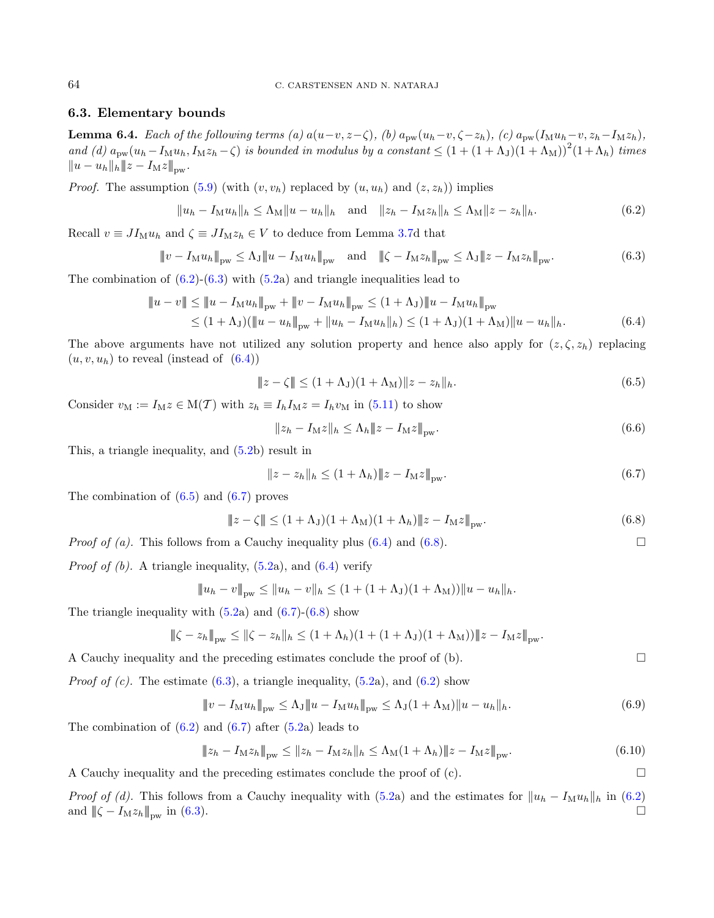# 6.3. Elementary bounds

<span id="page-23-8"></span>**Lemma 6.4.** Each of the following terms (a)  $a(u-v, z-\zeta)$ , (b)  $a_{pw}(u_h-v, \zeta-z_h)$ , (c)  $a_{pw}(I_Mu_h-v, z_h-I_Mz_h)$ , and (d)  $a_{\text{pw}}(u_h - I_M u_h, I_M z_h - \zeta)$  is bounded in modulus by a constant  $\leq (1 + (1 + \Lambda_J)(1 + \Lambda_M))^2 (1 + \Lambda_h)$  times  $||u - u_h||_h ||z - I_Mz||_{\text{pw}}.$ 

*Proof.* The assumption  $(5.9)$  (with  $(v, v_h)$  replaced by  $(u, u_h)$  and  $(z, z_h)$ ) implies

<span id="page-23-1"></span><span id="page-23-0"></span>
$$
||u_h - I_M u_h||_h \le \Lambda_M ||u - u_h||_h \quad \text{and} \quad ||z_h - I_M z_h||_h \le \Lambda_M ||z - z_h||_h. \tag{6.2}
$$

Recall  $v \equiv J I_M u_h$  and  $\zeta \equiv J I_M z_h \in V$  to deduce from Lemma [3.7d](#page-8-0) that

$$
\|v - I_M u_h\|_{\text{pw}} \le \Lambda_J \|u - I_M u_h\|_{\text{pw}} \quad \text{and} \quad \|\zeta - I_M z_h\|_{\text{pw}} \le \Lambda_J \|z - I_M z_h\|_{\text{pw}}.\tag{6.3}
$$

The combination of  $(6.2)-(6.3)$  $(6.2)-(6.3)$  $(6.2)-(6.3)$  with  $(5.2a)$  $(5.2a)$  and triangle inequalities lead to

$$
||u - v|| \le ||u - I_M u_h||_{\text{pw}} + ||v - I_M u_h||_{\text{pw}} \le (1 + \Lambda_J) ||u - I_M u_h||_{\text{pw}} \le (1 + \Lambda_J) (||u - u_h||_{\text{pw}} + ||u_h - I_M u_h||_h) \le (1 + \Lambda_J) (1 + \Lambda_M) ||u - u_h||_h.
$$
\n(6.4)

The above arguments have not utilized any solution property and hence also apply for  $(z, \zeta, z_h)$  replacing  $(u, v, u_h)$  to reveal (instead of  $(6.4)$ )

<span id="page-23-3"></span><span id="page-23-2"></span>
$$
||z - \zeta|| \le (1 + \Lambda_J)(1 + \Lambda_M)||z - z_h||_h.
$$
\n(6.5)

Consider  $v_M := I_M z \in M(\mathcal{T})$  with  $z_h \equiv I_h I_M z = I_h v_M$  in [\(5.11\)](#page-18-1) to show

$$
||z_h - I_M z||_h \le \Lambda_h ||z - I_M z||_{\text{pw}}.
$$
\n(6.6)

This, a triangle inequality, and [\(5.2b](#page-17-4)) result in

<span id="page-23-7"></span>
$$
||z - z_h||_h \le (1 + \Lambda_h) ||z - I_M z||_{\text{pw}}.
$$
\n(6.7)

The combination of  $(6.5)$  and  $(6.7)$  proves

$$
\|z - \zeta\| \le (1 + \Lambda_J)(1 + \Lambda_M)(1 + \Lambda_h)\|z - I_M z\|_{\text{pw}}.\tag{6.8}
$$

*Proof of (a).* This follows from a Cauchy inequality plus [\(6.4\)](#page-23-2) and [\(6.8\)](#page-23-5).

*Proof of (b).* A triangle inequality,  $(5.2a)$  $(5.2a)$ , and  $(6.4)$  verify

$$
||u_h - v||_{\text{pw}} \le ||u_h - v||_h \le (1 + (1 + \Lambda_J)(1 + \Lambda_M))||u - u_h||_h.
$$

The triangle inequality with  $(5.2a)$  $(5.2a)$  and  $(6.7)-(6.8)$  $(6.7)-(6.8)$  $(6.7)-(6.8)$  show

$$
\|\zeta - z_h\|_{\text{pw}} \le \|\zeta - z_h\|_h \le (1 + \Lambda_h)(1 + (1 + \Lambda_J)(1 + \Lambda_M))\|z - I_M z\|_{\text{pw}}.
$$

A Cauchy inequality and the preceding estimates conclude the proof of  $(b)$ .

*Proof of (c).* The estimate  $(6.3)$ , a triangle inequality,  $(5.2a)$  $(5.2a)$ , and  $(6.2)$  show

$$
\|v - I_{\mathcal{M}}u_h\|_{\text{pw}} \le \Lambda_J \|u - I_{\mathcal{M}}u_h\|_{\text{pw}} \le \Lambda_J (1 + \Lambda_{\mathcal{M}}) \|u - u_h\|_h. \tag{6.9}
$$

The combination of  $(6.2)$  and  $(6.7)$  after  $(5.2a)$  $(5.2a)$  leads to

$$
\|z_h - I_M z_h\|_{\text{pw}} \le \|z_h - I_M z_h\|_h \le \Lambda_M (1 + \Lambda_h) \|z - I_M z\|_{\text{pw}}.
$$
\n(6.10)

A Cauchy inequality and the preceding estimates conclude the proof of  $(c)$ .

*Proof of (d).* This follows from a Cauchy inequality with [\(5.2a](#page-17-4)) and the estimates for  $||u_h - I_M u_h||_h$  in [\(6.2\)](#page-23-0) and  $\|\zeta - I_M z_h\|_{\text{pw}}$  in [\(6.3\)](#page-23-1).

<span id="page-23-6"></span><span id="page-23-5"></span><span id="page-23-4"></span>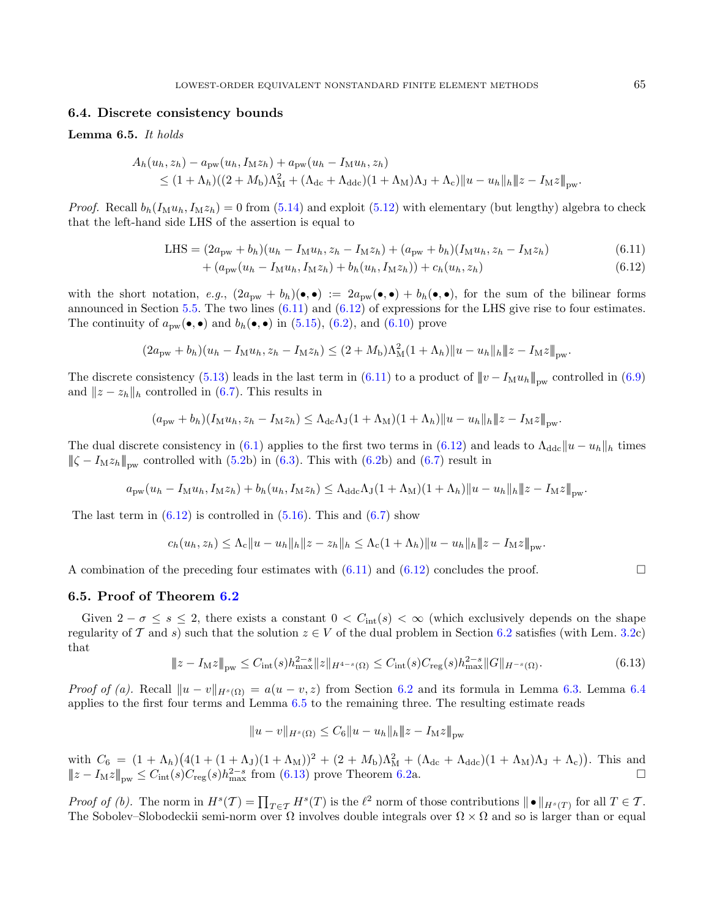### 6.4. Discrete consistency bounds

#### <span id="page-24-2"></span>Lemma 6.5. It holds

$$
A_h(u_h, z_h) - a_{\text{pw}}(u_h, I_{\text{M}} z_h) + a_{\text{pw}}(u_h - I_{\text{M}} u_h, z_h)
$$
  
 
$$
\leq (1 + \Lambda_h)((2 + M_{\text{b}})\Lambda_{\text{M}}^2 + (\Lambda_{\text{dc}} + \Lambda_{\text{ddc}})(1 + \Lambda_{\text{M}})\Lambda_{\text{J}} + \Lambda_{\text{c}}) \|u - u_h\|_h \|z - I_{\text{M}} z\|_{\text{pw}}.
$$

*Proof.* Recall  $b_h(I_M u_h, I_M z_h) = 0$  from [\(5.14\)](#page-19-3) and exploit [\(5.12\)](#page-19-0) with elementary (but lengthy) algebra to check that the left-hand side LHS of the assertion is equal to

LHS = 
$$
(2a_{\text{pw}} + b_h)(u_h - I_M u_h, z_h - I_M z_h) + (a_{\text{pw}} + b_h)(I_M u_h, z_h - I_M z_h)
$$
 (6.11)

<span id="page-24-1"></span><span id="page-24-0"></span>
$$
+(a_{\text{pw}}(u_h - I_M u_h, I_M z_h) + b_h(u_h, I_M z_h)) + c_h(u_h, z_h)
$$
\n(6.12)

with the short notation, e.g.,  $(2a_{\text{pw}} + b_h)(\bullet, \bullet) := 2a_{\text{pw}}(\bullet, \bullet) + b_h(\bullet, \bullet)$ , for the sum of the bilinear forms announced in Section [5.5.](#page-20-3) The two lines  $(6.11)$  and  $(6.12)$  of expressions for the LHS give rise to four estimates. The continuity of  $a_{\text{pw}}(\bullet,\bullet)$  and  $b_h(\bullet,\bullet)$  in [\(5.15\)](#page-19-4), [\(6.2\)](#page-23-0), and [\(6.10\)](#page-23-6) prove

$$
(2a_{\text{pw}} + b_h)(u_h - I_M u_h, z_h - I_M z_h) \le (2 + M_b)\Lambda_M^2 (1 + \Lambda_h) \|u - u_h\|_h \|z - I_M z\|_{\text{pw}}.
$$

The discrete consistency [\(5.13\)](#page-19-5) leads in the last term in [\(6.11\)](#page-24-0) to a product of  $||v - I_{M}u_{h}||_{\text{nw}}$  controlled in [\(6.9\)](#page-23-7) and  $||z - z_h||_h$  controlled in [\(6.7\)](#page-23-4). This results in

$$
(a_{\text{pw}}+b_h)(I_{\text{M}}u_h, z_h - I_{\text{M}}z_h) \leq \Lambda_{\text{dc}}\Lambda_{\text{J}}(1+\Lambda_{\text{M}})(1+\Lambda_h)||u - u_h||_h||z - I_{\text{M}}z||_{\text{pw}}.
$$

The dual discrete consistency in [\(6.1\)](#page-21-1) applies to the first two terms in [\(6.12\)](#page-24-1) and leads to  $\Lambda_{\text{ddc}}||u - u_h||_h$  times  $\|\zeta - I_M z_h\|_{\text{dw}}$  controlled with [\(5.2b](#page-17-4)) in [\(6.3\)](#page-23-1). This with [\(6.2b](#page-23-0)) and [\(6.7\)](#page-23-4) result in

<span id="page-24-3"></span>
$$
a_{\text{pw}}(u_h - I_\text{M}u_h, I_\text{M}z_h) + b_h(u_h, I_\text{M}z_h) \leq \Lambda_{\text{ddc}}\Lambda_J(1 + \Lambda_\text{M})(1 + \Lambda_h) \|u - u_h\|_h \|z - I_\text{M}z\|_{\text{pw}}.
$$

The last term in  $(6.12)$  is controlled in  $(5.16)$ . This and  $(6.7)$  show

$$
c_h(u_h, z_h) \leq \Lambda_c \|u - u_h\|_h \|z - z_h\|_h \leq \Lambda_c (1 + \Lambda_h) \|u - u_h\|_h \|z - I_M z\|_{\text{pw}}.
$$

A combination of the preceding four estimates with  $(6.11)$  and  $(6.12)$  concludes the proof.

#### <span id="page-24-4"></span>6.5. Proof of Theorem [6.2](#page-22-0)

Given  $2 - \sigma \leq s \leq 2$ , there exists a constant  $0 < C_{\text{int}}(s) < \infty$  (which exclusively depends on the shape regularity of T and s) such that the solution  $z \in V$  of the dual problem in Section [6.2](#page-22-1) satisfies (with Lem. [3.2c](#page-7-2)) that

$$
\|z - I_{\mathrm{M}}z\|_{\mathrm{pw}} \le C_{\mathrm{int}}(s)h_{\mathrm{max}}^{2-s} \|z\|_{H^{4-s}(\Omega)} \le C_{\mathrm{int}}(s)C_{\mathrm{reg}}(s)h_{\mathrm{max}}^{2-s} \|G\|_{H^{-s}(\Omega)}.
$$
\n(6.13)

*Proof of (a).* Recall  $||u - v||_{H^{s}(\Omega)} = a(u - v, z)$  from Section [6.2](#page-22-1) and its formula in Lemma [6.3.](#page-22-2) Lemma [6.4](#page-23-8) applies to the first four terms and Lemma [6.5](#page-24-2) to the remaining three. The resulting estimate reads

$$
||u - v||_{H^{s}(\Omega)} \leq C_6 ||u - u_h||_h ||z - I_M z||_{\text{pw}}
$$

with  $C_6 = (1 + \Lambda_h)(4(1 + (1 + \Lambda_J)(1 + \Lambda_M))^2 + (2 + M_b)\Lambda_M^2 + (\Lambda_{dc} + \Lambda_{ddc})(1 + \Lambda_M)\Lambda_J + \Lambda_c)$ . This and  $||z - I_M z||_{\text{pw}} \leq C_{\text{int}}(s)C_{\text{reg}}(s)h_{\text{max}}^{2-s}$  from [\(6.13\)](#page-24-3) prove Theorem [6.2a](#page-22-0).

Proof of (b). The norm in  $H^s(\mathcal{T}) = \prod_{T \in \mathcal{T}} H^s(T)$  is the  $\ell^2$  norm of those contributions  $\|\bullet\|_{H^s(T)}$  for all  $T \in \mathcal{T}$ . The Sobolev–Slobodeckii semi-norm over  $\Omega$  involves double integrals over  $\Omega \times \Omega$  and so is larger than or equal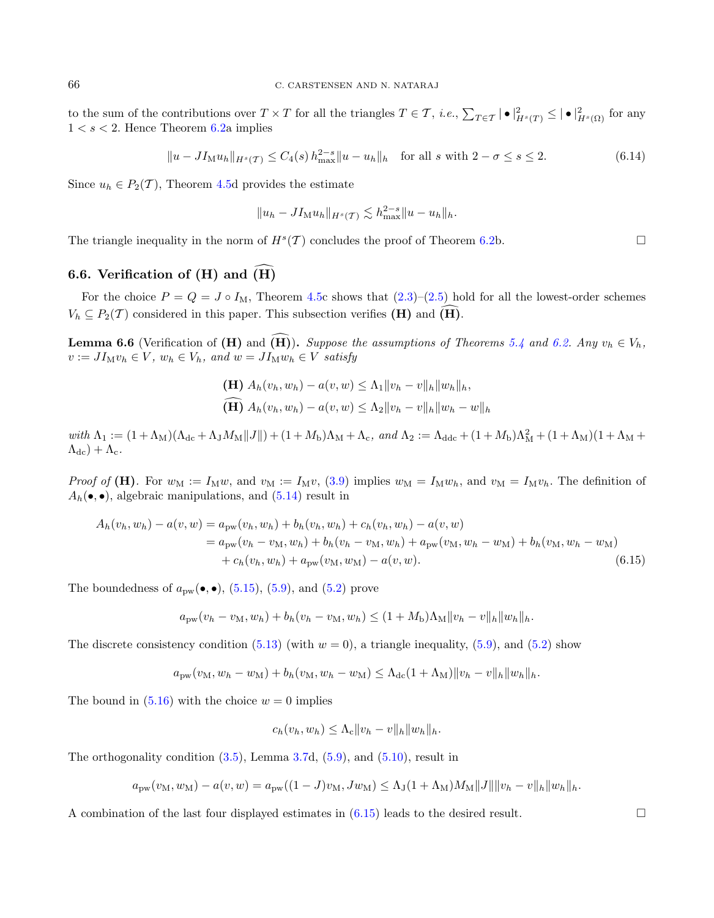to the sum of the contributions over  $T \times T$  for all the triangles  $T \in \mathcal{T}$ , *i.e.*,  $\sum_{T \in \mathcal{T}} |\bullet|_{H^s(T)}^2 \leq |\bullet|_{H^s(\Omega)}^2$  for any  $1 < s < 2$ . Hence Theorem [6.2a](#page-22-0) implies

$$
||u - J I_M u_h||_{H^s(\mathcal{T})} \le C_4(s) h_{\text{max}}^{2-s} ||u - u_h||_h \quad \text{for all } s \text{ with } 2 - \sigma \le s \le 2. \tag{6.14}
$$

Since  $u_h \in P_2(\mathcal{T})$ , Theorem [4.5d](#page-15-1) provides the estimate

<span id="page-25-1"></span>
$$
||u_h - J I_M u_h||_{H^s(\mathcal{T})} \lesssim h_{\max}^{2-s} ||u - u_h||_h.
$$

The triangle inequality in the norm of  $H^s(\mathcal{T})$  concludes the proof of Theorem [6.2b](#page-22-0).

# 6.6. Verification of  $(H)$  and  $\widehat{H}$

For the choice  $P = Q = J \circ I_M$ , Theorem [4.5c](#page-15-1) shows that  $(2.3)-(2.5)$  $(2.3)-(2.5)$  $(2.3)-(2.5)$  hold for all the lowest-order schemes  $V_h \subseteq P_2(\mathcal{T})$  considered in this paper. This subsection verifies (H) and (H).

**Lemma 6.6** (Verification of (H) and  $\overline{(H)}$ ). Suppose the assumptions of Theorems [5.4](#page-19-1) and [6.2.](#page-22-0) Any  $v_h \in V_h$ ,  $v := J I_M v_h \in V$ ,  $w_h \in V_h$ , and  $w = J I_M w_h \in V$  satisfy

<span id="page-25-0"></span>(H) 
$$
A_h(v_h, w_h) - a(v, w) \leq \Lambda_1 \|v_h - v\|_h \|w_h\|_h
$$
,  
\n(H)  $A_h(v_h, w_h) - a(v, w) \leq \Lambda_2 \|v_h - v\|_h \|w_h - w\|_h$ 

with  $\Lambda_1 := (1 + \Lambda_M)(\Lambda_{dc} + \Lambda_J M_M ||J||) + (1 + M_b)\Lambda_M + \Lambda_c$ , and  $\Lambda_2 := \Lambda_{ddc} + (1 + M_b)\Lambda_M^2 + (1 + \Lambda_M)(1 + \Lambda_M + \Lambda_c)$  $(\Lambda_{\text{dc}}) + \Lambda_{\text{c}}$ .

*Proof of* (H). For  $w_M := I_M w$ , and  $v_M := I_M v$ , [\(3.9\)](#page-8-2) implies  $w_M = I_M w_h$ , and  $v_M = I_M v_h$ . The definition of  $A_h(\bullet,\bullet)$ , algebraic manipulations, and  $(5.14)$  result in

$$
A_h(v_h, w_h) - a(v, w) = a_{\text{pw}}(v_h, w_h) + b_h(v_h, w_h) + c_h(v_h, w_h) - a(v, w)
$$
  
=  $a_{\text{pw}}(v_h - v_M, w_h) + b_h(v_h - v_M, w_h) + a_{\text{pw}}(v_M, w_h - w_M) + b_h(v_M, w_h - w_M)$   
+  $c_h(v_h, w_h) + a_{\text{pw}}(v_M, w_M) - a(v, w).$  (6.15)

The boundedness of  $a_{\text{pw}}(\bullet, \bullet)$ , [\(5.15\)](#page-19-4), [\(5.9\)](#page-18-4), and [\(5.2\)](#page-17-4) prove

$$
a_{\text{pw}}(v_h - v_M, w_h) + b_h(v_h - v_M, w_h) \le (1 + M_{\text{b}}) \Lambda_M \|v_h - v\|_h \|w_h\|_h.
$$

The discrete consistency condition [\(5.13\)](#page-19-5) (with  $w = 0$ ), a triangle inequality, [\(5.9\)](#page-18-4), and [\(5.2\)](#page-17-4) show

$$
a_{\text{pw}}(v_M, w_h - w_M) + b_h(v_M, w_h - w_M) \leq \Lambda_{\text{dc}}(1 + \Lambda_M) ||v_h - v||_h ||w_h||_h.
$$

The bound in  $(5.16)$  with the choice  $w = 0$  implies

$$
c_h(v_h, w_h) \leq \Lambda_c \|v_h - v\|_h \|w_h\|_h.
$$

The orthogonality condition [\(3.5\)](#page-7-7), Lemma [3.7d](#page-8-0), [\(5.9\)](#page-18-4), and [\(5.10\)](#page-18-5), result in

$$
a_{\text{pw}}(v_M, w_M) - a(v, w) = a_{\text{pw}}((1 - J)v_M, Jw_M) \le \Lambda_J(1 + \Lambda_M)M_M||J|| ||v_h - v||_h ||w_h||_h.
$$

A combination of the last four displayed estimates in  $(6.15)$  leads to the desired result.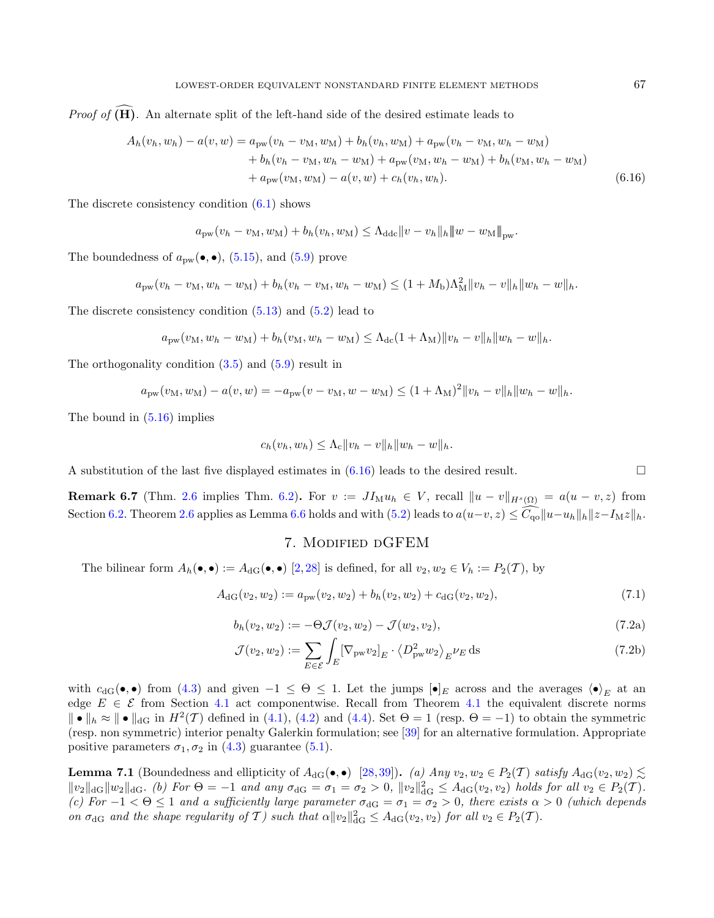*Proof of*  $(\widehat{H})$ . An alternate split of the left-hand side of the desired estimate leads to

$$
A_h(v_h, w_h) - a(v, w) = a_{\text{pw}}(v_h - v_M, w_M) + b_h(v_h, w_M) + a_{\text{pw}}(v_h - v_M, w_h - w_M) + b_h(v_h - v_M, w_h - w_M) + a_{\text{pw}}(v_M, w_h - w_M) + b_h(v_M, w_h - w_M) + a_{\text{pw}}(v_M, w_M) - a(v, w) + c_h(v_h, w_h).
$$
\n(6.16)

The discrete consistency condition  $(6.1)$  shows

$$
a_{\text{pw}}(v_h - v_M, w_M) + b_h(v_h, w_M) \leq \Lambda_{\text{ddc}} \|v - v_h\|_h \|w - w_M\|_{\text{pw}}.
$$

The boundedness of  $a_{\text{pw}}(\bullet,\bullet)$ , [\(5.15\)](#page-19-4), and [\(5.9\)](#page-18-4) prove

$$
a_{\text{pw}}(v_h - v_M, w_h - w_M) + b_h(v_h - v_M, w_h - w_M) \leq (1 + M_b)\Lambda_M^2 ||v_h - v||_h ||w_h - w||_h.
$$

The discrete consistency condition [\(5.13\)](#page-19-5) and [\(5.2\)](#page-17-4) lead to

$$
a_{\text{pw}}(v_M, w_h - w_M) + b_h(v_M, w_h - w_M) \leq \Lambda_{\text{dc}}(1 + \Lambda_M) ||v_h - v||_h ||w_h - w||_h.
$$

The orthogonality condition [\(3.5\)](#page-7-7) and [\(5.9\)](#page-18-4) result in

$$
a_{\text{pw}}(v_M, w_M) - a(v, w) = -a_{\text{pw}}(v - v_M, w - w_M) \le (1 + \Lambda_M)^2 ||v_h - v||_h ||w_h - w||_h.
$$

The bound in [\(5.16\)](#page-19-2) implies

$$
c_h(v_h, w_h) \leq \Lambda_c \|v_h - v\|_h \|w_h - w\|_h.
$$

A substitution of the last five displayed estimates in  $(6.16)$  leads to the desired result.

**Remark 6.7** (Thm. [2.6](#page-4-4) implies Thm. [6.2\)](#page-22-0). For  $v := J I_M u_h \in V$ , recall  $||u - v||_{H^s(\Omega)} = a(u - v, z)$  from Section [6.2.](#page-22-1) Theorem [2.6](#page-4-4) applies as Lemma [6.6](#page-25-1) holds and with [\(5.2\)](#page-17-4) leads to  $a(u-v, z) \leq \widehat{C_{\rm qo}}||u-u_h||_h ||z-I_Mz||_h$ .

## 7. Modified dGFEM

<span id="page-26-0"></span>The bilinear form  $A_h(\bullet, \bullet) := A_{\text{dG}}(\bullet, \bullet)$  [\[2,](#page-36-23)[28\]](#page-36-2) is defined, for all  $v_2, w_2 \in V_h := P_2(\mathcal{T})$ , by

$$
A_{\rm dG}(v_2, w_2) := a_{\rm pw}(v_2, w_2) + b_h(v_2, w_2) + c_{\rm dG}(v_2, w_2),\tag{7.1}
$$

$$
b_h(v_2, w_2) := -\Theta \mathcal{J}(v_2, w_2) - \mathcal{J}(w_2, v_2),\tag{7.2a}
$$

$$
\mathcal{J}(v_2, w_2) := \sum_{E \in \mathcal{E}} \int_E \left[ \nabla_{\mathbf{p} \mathbf{w}} v_2 \right]_E \cdot \left\langle D_{\mathbf{p} \mathbf{w}}^2 w_2 \right\rangle_E \nu_E \, \mathrm{d}s \tag{7.2b}
$$

with  $c_{\text{dG}}(\bullet,\bullet)$  from [\(4.3\)](#page-10-0) and given  $-1 \leq \Theta \leq 1$ . Let the jumps  $[\bullet]_E$  across and the averages  $\langle \bullet \rangle_E$  at an edge  $E \in \mathcal{E}$  from Section [4.1](#page-10-6) act componentwise. Recall from Theorem 4.1 the equivalent discrete norms  $\|\bullet\|_h \approx \|\bullet\|_{dG}$  in  $H^2(\mathcal{T})$  defined in [\(4.1\)](#page-10-2), [\(4.2\)](#page-10-7) and [\(4.4\)](#page-10-3). Set  $\Theta = 1$  (resp.  $\Theta = -1$ ) to obtain the symmetric (resp. non symmetric) interior penalty Galerkin formulation; see [\[39\]](#page-37-3) for an alternative formulation. Appropriate positive parameters  $\sigma_1, \sigma_2$  in [\(4.3\)](#page-10-0) guarantee [\(5.1\)](#page-17-3).

<span id="page-26-2"></span>**Lemma 7.1** (Boundedness and ellipticity of  $A_{\text{dG}}(\bullet, \bullet)$  [\[28,](#page-36-2)[39\]](#page-37-3)). (a) Any  $v_2, w_2 \in P_2(\mathcal{T})$  satisfy  $A_{\text{dG}}(v_2, w_2) \lesssim$  $||v_2||_{dG} ||w_2||_{dG}$ . (b) For  $\Theta = -1$  and any  $\sigma_{dG} = \sigma_1 = \sigma_2 > 0$ ,  $||v_2||_{dG}^2 \leq A_{dG}(v_2, v_2)$  holds for all  $v_2 \in P_2(\mathcal{T})$ . (c) For  $-1 < \Theta \le 1$  and a sufficiently large parameter  $\sigma_{\text{dG}} = \sigma_1 = \sigma_2 > 0$ , there exists  $\alpha > 0$  (which depends on  $\sigma_{\text{dG}}$  and the shape regularity of T) such that  $\alpha ||v_2||_{\text{dG}}^2 \leq A_{\text{dG}}(v_2, v_2)$  for all  $v_2 \in P_2(\mathcal{T})$ .

<span id="page-26-3"></span><span id="page-26-1"></span>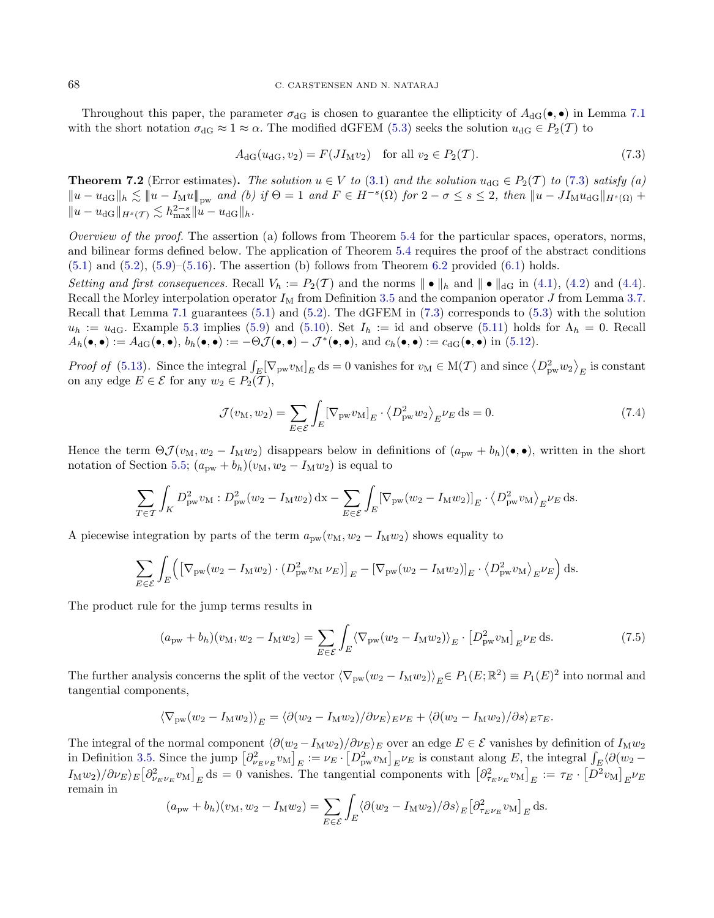Throughout this paper, the parameter  $\sigma_{\text{dG}}$  is chosen to guarantee the ellipticity of  $A_{\text{dG}}(\bullet,\bullet)$  in Lemma [7.1](#page-26-2) with the short notation  $\sigma_{\text{dG}} \approx 1 \approx \alpha$ . The modified dGFEM [\(5.3\)](#page-17-2) seeks the solution  $u_{\text{dG}} \in P_2(\mathcal{T})$  to

<span id="page-27-1"></span><span id="page-27-0"></span>
$$
A_{\rm dG}(u_{\rm dG}, v_2) = F(JI_{\rm M}v_2) \quad \text{for all } v_2 \in P_2(\mathcal{T}).
$$
 (7.3)

<span id="page-27-2"></span>**Theorem 7.2** (Error estimates). The solution  $u \in V$  to [\(3.1\)](#page-5-1) and the solution  $u_{dG} \in P_2(\mathcal{T})$  to [\(7.3\)](#page-27-0) satisfy (a)  $||u - u_{\text{dG}}||_h \lesssim ||u - I_M u||_{\text{pw}}$  and (b) if  $\Theta = 1$  and  $F \in H^{-s}(\Omega)$  for  $2 - \sigma \leq s \leq 2$ , then  $||u - J I_M u_{\text{dG}}||_{H^s(\Omega)}$  +  $||u - u_{\text{dG}}||_{H^s(\mathcal{T})} \lesssim h_{\text{max}}^{2-s} ||u - u_{\text{dG}}||_h.$ 

Overview of the proof. The assertion (a) follows from Theorem  $5.4$  for the particular spaces, operators, norms, and bilinear forms defined below. The application of Theorem [5.4](#page-19-1) requires the proof of the abstract conditions  $(5.1)$  and  $(5.2)$ ,  $(5.9)$ – $(5.16)$ . The assertion (b) follows from Theorem [6.2](#page-22-0) provided  $(6.1)$  holds.

Setting and first consequences. Recall  $V_h := P_2(\mathcal{T})$  and the norms  $\| \bullet \|_h$  and  $\| \bullet \|_d$  in [\(4.1\)](#page-10-2), [\(4.2\)](#page-10-7) and [\(4.4\)](#page-10-3). Recall the Morley interpolation operator  $I_M$  from Definition [3.5](#page-8-1) and the companion operator  $J$  from Lemma [3.7.](#page-8-0) Recall that Lemma [7.1](#page-26-2) guarantees [\(5.1\)](#page-17-3) and [\(5.2\)](#page-17-4). The dGFEM in [\(7.3\)](#page-27-0) corresponds to [\(5.3\)](#page-17-2) with the solution  $u_h := u_{dG}$ . Example [5.3](#page-18-6) implies [\(5.9\)](#page-18-4) and [\(5.10\)](#page-18-5). Set  $I_h := id$  and observe [\(5.11\)](#page-18-1) holds for  $\Lambda_h = 0$ . Recall  $A_h(\bullet,\bullet) := A_{\text{dG}}(\bullet,\bullet), b_h(\bullet,\bullet) := -\Theta \mathcal{J}(\bullet,\bullet) - \mathcal{J}^*(\bullet,\bullet), \text{ and } c_h(\bullet,\bullet) := c_{\text{dG}}(\bullet,\bullet) \text{ in (5.12)}.$  $A_h(\bullet,\bullet) := A_{\text{dG}}(\bullet,\bullet), b_h(\bullet,\bullet) := -\Theta \mathcal{J}(\bullet,\bullet) - \mathcal{J}^*(\bullet,\bullet), \text{ and } c_h(\bullet,\bullet) := c_{\text{dG}}(\bullet,\bullet) \text{ in (5.12)}.$  $A_h(\bullet,\bullet) := A_{\text{dG}}(\bullet,\bullet), b_h(\bullet,\bullet) := -\Theta \mathcal{J}(\bullet,\bullet) - \mathcal{J}^*(\bullet,\bullet), \text{ and } c_h(\bullet,\bullet) := c_{\text{dG}}(\bullet,\bullet) \text{ in (5.12)}.$ 

Proof of [\(5.13\)](#page-19-5). Since the integral  $\int_E [\nabla_{pw} v_M]_E ds = 0$  vanishes for  $v_M \in M(\mathcal{T})$  and since  $\langle D_{pw}^2 w_2 \rangle_E$  is constant on any edge  $E \in \mathcal{E}$  for any  $w_2 \in P_2(\mathcal{T}),$ 

$$
\mathcal{J}(v_M, w_2) = \sum_{E \in \mathcal{E}} \int_E \left[ \nabla_{\mathbf{p}w} v_M \right]_E \cdot \left\langle D_{\mathbf{p}w}^2 w_2 \right\rangle_E \nu_E \, \mathrm{d}s = 0. \tag{7.4}
$$

Hence the term  $\Theta \mathcal{J}(v_M, w_2 - I_M w_2)$  disappears below in definitions of  $(a_{\text{pw}} + b_h)(\bullet, \bullet)$ , written in the short notation of Section [5.5;](#page-20-3)  $(a_{\text{pw}} + b_h)(v_M, w_2 - I_M w_2)$  is equal to

$$
\sum_{T \in \mathcal{T}} \int_K D_{\text{pw}}^2 v_M : D_{\text{pw}}^2 (w_2 - I_M w_2) \, \mathrm{d}x - \sum_{E \in \mathcal{E}} \int_E \left[ \nabla_{\text{pw}} (w_2 - I_M w_2) \right]_E \cdot \left\langle D_{\text{pw}}^2 v_M \right\rangle_E \nu_E \, \mathrm{d}s.
$$

A piecewise integration by parts of the term  $a_{\text{pw}}(v_M, w_2 - I_M w_2)$  shows equality to

$$
\sum_{E \in \mathcal{E}} \int_{E} \left( \left[ \nabla_{\text{pw}} (w_2 - I_M w_2) \cdot (D_{\text{pw}}^2 v_M \nu_E) \right]_E - \left[ \nabla_{\text{pw}} (w_2 - I_M w_2) \right]_E \cdot \left\langle D_{\text{pw}}^2 v_M \right\rangle_E \nu_E \right) ds.
$$

The product rule for the jump terms results in

$$
(a_{\text{pw}} + b_h)(v_M, w_2 - I_M w_2) = \sum_{E \in \mathcal{E}} \int_E \langle \nabla_{\text{pw}} (w_2 - I_M w_2) \rangle_E \cdot \left[ D_{\text{pw}}^2 v_M \right]_E \nu_E \, \text{d}s. \tag{7.5}
$$

The further analysis concerns the split of the vector  $\langle \nabla_{\text{pw}} (w_2 - I_M w_2) \rangle_E \in P_1(E; \mathbb{R}^2) \equiv P_1(E)^2$  into normal and tangential components,

$$
\langle \nabla_{\mathbf{p}w}(w_2 - I_{\mathbf{M}}w_2) \rangle_E = \langle \partial (w_2 - I_{\mathbf{M}}w_2) / \partial \nu_E \rangle_E \nu_E + \langle \partial (w_2 - I_{\mathbf{M}}w_2) / \partial s \rangle_E \tau_E.
$$

The integral of the normal component  $\langle \partial (w_2 - I_M w_2)/\partial \nu_E \rangle_E$  over an edge  $E \in \mathcal{E}$  vanishes by definition of  $I_M w_2$ in Definition [3.5.](#page-8-1) Since the jump  $\left[\partial_{\nu_E \nu_E}^2 v_M\right]_E := \nu_E \cdot \left[D_{\text{pw}}^2 v_M\right]_E \nu_E$  is constant along E, the integral  $\int_E \langle \partial (w_2 - w_1) \rangle \langle w_1 \rangle \langle w_2 - w_2 \rangle$  $I_M w_2 / (\partial \nu_E)_E [\partial^2_{\nu_E \nu_E} v_M]_E \text{ds} = 0$  vanishes. The tangential components with  $[\partial^2_{\tau_E \nu_E} v_M]_E := \tau_E \cdot [D^2 v_M]_E \nu_E$ remain in

$$
(a_{\text{pw}} + b_h)(v_M, w_2 - I_M w_2) = \sum_{E \in \mathcal{E}} \int_E \langle \partial (w_2 - I_M w_2) / \partial s \rangle_E \left[ \partial_{\tau_E \nu_E}^2 v_M \right]_E \, \mathrm{d}s.
$$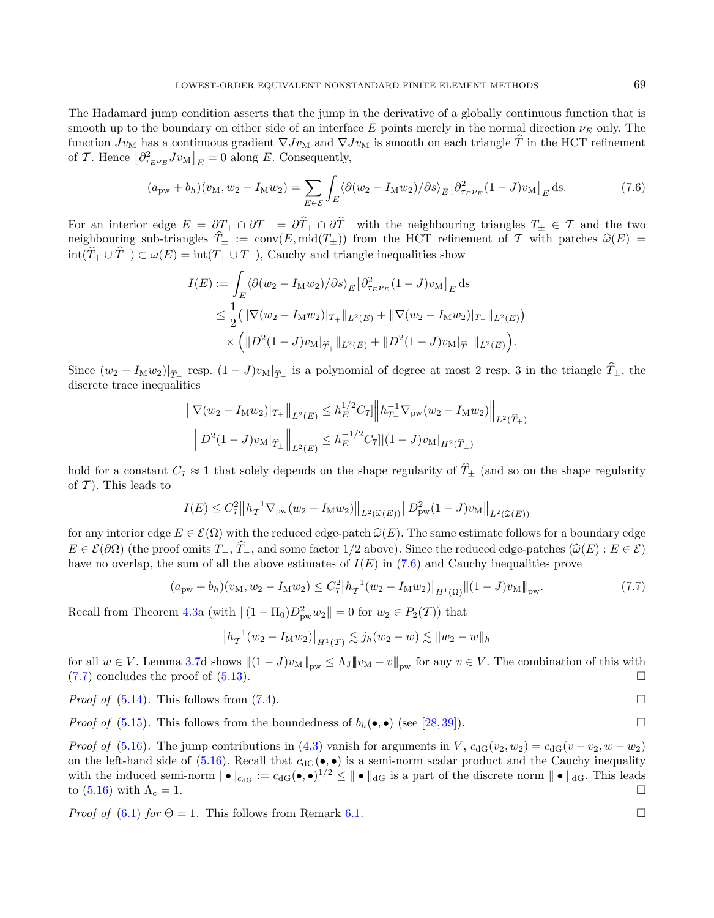The Hadamard jump condition asserts that the jump in the derivative of a globally continuous function that is smooth up to the boundary on either side of an interface E points merely in the normal direction  $\nu_F$  only. The function  $Jv_M$  has a continuous gradient  $\nabla Jv_M$  and  $\nabla Jv_M$  is smooth on each triangle  $\hat{T}$  in the HCT refinement of T. Hence  $\left[\partial_{\tau_E \nu_E}^2 J v_M\right]_E = 0$  along E. Consequently,

$$
(apw + bh)(vM, w2 - IMw2) = \sum_{E \in \mathcal{E}} \int_{E} \langle \partial (w_2 - I_M w_2) / \partial s \rangle_E \left[ \partial_{\tau_E \nu_E}^2 (1 - J) v_M \right]_E \, \mathrm{d}s. \tag{7.6}
$$

For an interior edge  $E = \partial T_+ \cap \partial T_- = \partial \hat{T}_+ \cap \partial \hat{T}_-$  with the neighbouring triangles  $T_+ \in \mathcal{T}$  and the two neighbouring sub-triangles  $\hat{T}_\pm := \text{conv}(E, \text{mid}(T_\pm))$  from the HCT refinement of  $\mathcal T$  with patches  $\hat{\omega}(E)$  $\text{int}(\hat{T}_+ \cup \hat{T}_-) \subset \omega(E) = \text{int}(T_+ \cup T_-),$  Cauchy and triangle inequalities show

$$
I(E) := \int_{E} \langle \partial (w_2 - I_M w_2) / \partial s \rangle_E \left[ \partial_{\tau_E \nu_E}^2 (1 - J) v_M \right]_E \, ds
$$
  
\$\leq \frac{1}{2} (\|\nabla (w\_2 - I\_M w\_2)\|\_{T\_+} \|\_{L^2(E)} + \|\nabla (w\_2 - I\_M w\_2)\|\_{T\_-} \|\_{L^2(E)})\$  
\$\times \left( \|D^2 (1 - J) v\_M\|\_{\widehat{T}\_+} \|\_{L^2(E)} + \|D^2 (1 - J) v\_M\|\_{\widehat{T}\_-} \|\_{L^2(E)} \right).

Since  $(w_2 - I_M w_2)|_{\widehat{T}_\pm}$  resp.  $(1 - J) v_M|_{\widehat{T}_\pm}$  is a polynomial of degree at most 2 resp. 3 in the triangle  $T_\pm$ , the discrete trace inequalities

$$
\|\nabla(w_2 - I_M w_2)|_{T_{\pm}}\|_{L^2(E)} \le h_E^{1/2} C_7 \|\left\|h_{T_{\pm}}^{-1} \nabla_{\text{pw}}(w_2 - I_M w_2)\right\|_{L^2(\widehat{T}_{\pm})}
$$

$$
\|D^2 (1 - J) v_M|_{\widehat{T}_{\pm}}\|_{L^2(E)} \le h_E^{-1/2} C_7 \|(1 - J) v_M|_{H^2(\widehat{T}_{\pm})}
$$

hold for a constant  $C_7 \approx 1$  that solely depends on the shape regularity of  $\hat{T}_\pm$  (and so on the shape regularity of  $\mathcal T$ ). This leads to

$$
I(E) \leq C_7^2 \left\| h_T^{-1} \nabla_{\text{pw}} (w_2 - I_M w_2) \right\|_{L^2(\widehat{\omega}(E))} \left\| D_{\text{pw}}^2 (1 - J) v_M \right\|_{L^2(\widehat{\omega}(E))}
$$

for any interior edge  $E \in \mathcal{E}(\Omega)$  with the reduced edge-patch  $\widehat{\omega}(E)$ . The same estimate follows for a boundary edge  $E \in \mathcal{E}(\partial \Omega)$  (the proof omits  $T_{-}, \hat{T}_{-}$ , and some factor 1/2 above). Since the reduced edge-patches  $(\hat{\omega}(E) : E \in \mathcal{E})$ have no overlap, the sum of all the above estimates of  $I(E)$  in [\(7.6\)](#page-28-0) and Cauchy inequalities prove

$$
(a_{\text{pw}} + b_h)(v_M, w_2 - I_M w_2) \le C_7^2 \left| h_T^{-1} (w_2 - I_M w_2) \right|_{H^1(\Omega)} \|(1 - J)v_M\|_{\text{pw}}.\tag{7.7}
$$

Recall from Theorem [4.3a](#page-12-0) (with  $||(1 - \Pi_0)D_{pw}^2 w_2|| = 0$  for  $w_2 \in P_2(\mathcal{T})$ ) that

$$
\left| h_T^{-1}(w_2 - I_\mathcal{M} w_2) \right|_{H^1(\mathcal{T})} \lesssim j_h(w_2 - w) \lesssim \| w_2 - w \|_h
$$

for all  $w \in V$ . Lemma [3.7d](#page-8-0) shows  $||(1-J)v_M||_{pw} \leq \Lambda_J ||w_M - v||_{pw}$  for any  $v \in V$ . The combination of this with (7.7) concludes the proof of (5.13).  $(7.7)$  concludes the proof of  $(5.13)$ .

*Proof of (5.14).* This follows from 
$$
(7.4)
$$
.  $\square$ 

*Proof of* [\(5.15\)](#page-19-4). This follows from the boundedness of  $b_h(\bullet, \bullet)$  (see [\[28,](#page-36-2) [39\]](#page-37-3)).

Proof of [\(5.16\)](#page-19-2). The jump contributions in [\(4.3\)](#page-10-0) vanish for arguments in V,  $c_{\text{dG}}(v_2, w_2) = c_{\text{dG}}(v - v_2, w - w_2)$ on the left-hand side of [\(5.16\)](#page-19-2). Recall that  $c_{\text{dG}}(\bullet,\bullet)$  is a semi-norm scalar product and the Cauchy inequality with the induced semi-norm  $| \bullet |_{c_{\text{dG}}} := c_{\text{dG}}(\bullet, \bullet)^{1/2} \leq || \bullet ||_{\text{dG}}$  is a part of the discrete norm  $|| \bullet ||_{\text{dG}}$ . This leads to [\(5.16\)](#page-19-2) with  $\Lambda_c = 1$ .

*Proof of*  $(6.1)$  for  $\Theta = 1$ . This follows from Remark [6.1.](#page-21-2)

<span id="page-28-1"></span><span id="page-28-0"></span>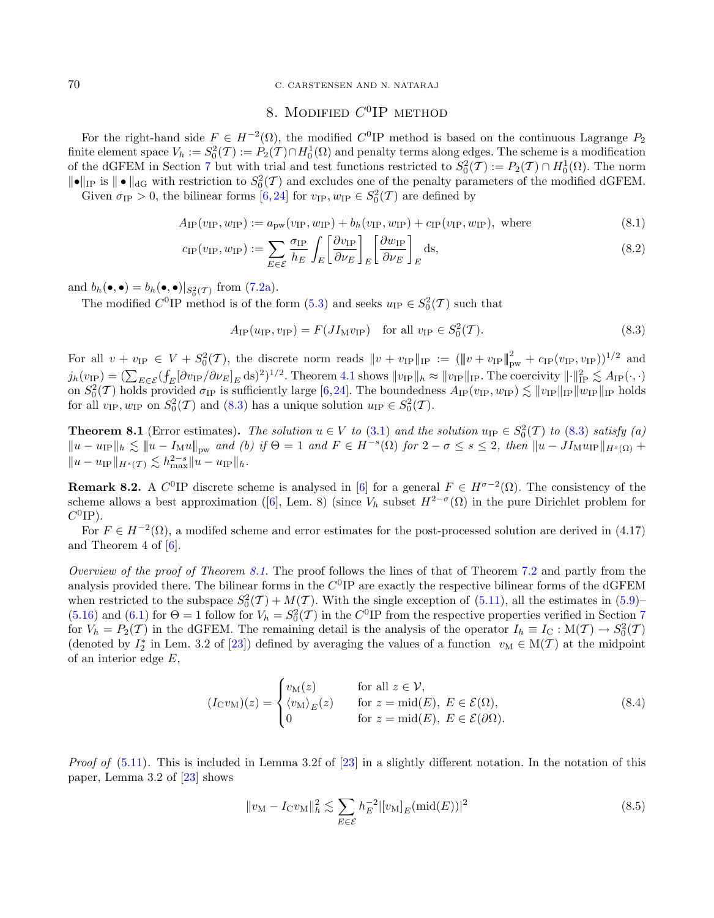## 70 C. CARSTENSEN AND N. NATARAJ

# <span id="page-29-4"></span><span id="page-29-2"></span><span id="page-29-1"></span>8. MODIFIED  $C^0$ IP METHOD

<span id="page-29-0"></span>For the right-hand side  $F \in H^{-2}(\Omega)$ , the modified  $C^0$  IP method is based on the continuous Lagrange  $P_2$ finite element space  $V_h := S_0^2(\mathcal{T}) := P_2(\mathcal{T}) \cap H_0^1(\Omega)$  and penalty terms along edges. The scheme is a modification of the dGFEM in Section [7](#page-26-0) but with trial and test functions restricted to  $S_0^2(\mathcal{T}) := P_2(\mathcal{T}) \cap H_0^1(\Omega)$ . The norm  $\|\bullet\|_{\text{IP}}$  is  $\|\bullet\|_{\text{dG}}$  with restriction to  $S_0^2(\mathcal{T})$  and excludes one of the penalty parameters of the modified dGFEM.

Given  $\sigma_{IP} > 0$ , the bilinear forms [\[6,](#page-36-3)[24\]](#page-36-28) for  $v_{IP}, w_{IP} \in S_0^2(\mathcal{T})$  are defined by

$$
A_{\text{IP}}(v_{\text{IP}}, w_{\text{IP}}) := a_{\text{pw}}(v_{\text{IP}}, w_{\text{IP}}) + b_h(v_{\text{IP}}, w_{\text{IP}}) + c_{\text{IP}}(v_{\text{IP}}, w_{\text{IP}}), \text{ where } (8.1)
$$

$$
c_{\text{IP}}(v_{\text{IP}}, w_{\text{IP}}) := \sum_{E \in \mathcal{E}} \frac{\sigma_{\text{IP}}}{h_E} \int_E \left[ \frac{\partial v_{\text{IP}}}{\partial \nu_E} \right]_E \left[ \frac{\partial w_{\text{IP}}}{\partial \nu_E} \right]_E \text{ds},\tag{8.2}
$$

and  $b_h(\bullet, \bullet) = b_h(\bullet, \bullet)|_{S_0^2(\mathcal{T})}$  from [\(7.2a\)](#page-26-1).

The modified  $C^0$ IP method is of the form [\(5.3\)](#page-17-2) and seeks  $u_{IP} \in S_0^2(\mathcal{T})$  such that

$$
A_{\rm IP}(u_{\rm IP}, v_{\rm IP}) = F(JI_{\rm M}v_{\rm IP}) \quad \text{for all } v_{\rm IP} \in S_0^2(\mathcal{T}).\tag{8.3}
$$

For all  $v + v_{\text{IP}} \in V + S_0^2(\mathcal{T})$ , the discrete norm reads  $||v + v_{\text{IP}}||_{\text{IP}} := (||v + v_{\text{IP}}||_{\text{pw}}^2 + c_{\text{IP}}(v_{\text{IP}}, v_{\text{IP}}))^{1/2}$  and  $j_h(v_{\text{IP}}) = \left(\sum_{E \in \mathcal{E}} \left( \int_E [\partial v_{\text{IP}}/\partial \nu_E]_E \, \text{ds} \right)^2 \right)^{1/2}$ . Theorem [4.1](#page-10-6) shows  $||v_{\text{IP}}||_h \approx ||v_{\text{IP}}||_{\text{IP}}$ . The coercivity  $|| \cdot ||_{\text{IP}}^2 \lesssim A_{\text{IP}}(\cdot, \cdot)$ on  $S_0^2(\mathcal{T})$  holds provided  $\sigma_{IP}$  is sufficiently large [\[6,](#page-36-3)[24\]](#page-36-28). The boundedness  $A_{IP}(v_{IP}, w_{IP}) \lesssim ||v_{IP}||_{IP} ||w_{IP}||_{IP}$  holds for all  $v_{\text{IP}}$ ,  $w_{\text{IP}}$  on  $S_0^2(\mathcal{T})$  and [\(8.3\)](#page-29-4) has a unique solution  $u_{\text{IP}} \in S_0^2(\mathcal{T})$ .

<span id="page-29-5"></span>**Theorem 8.1** (Error estimates). The solution  $u \in V$  to [\(3.1\)](#page-5-1) and the solution  $u_{IP} \in S_0^2(\mathcal{T})$  to [\(8.3\)](#page-29-4) satisfy (a)  $||u - u_{\text{IP}}||_h \lesssim ||u - I_{\text{M}}u||_{\text{pw}}$  and (b) if  $\Theta = 1$  and  $F \in H^{-s}(\Omega)$  for  $2 - \sigma \leq s \leq 2$ , then  $||u - J I_{\text{M}}u_{\text{IP}}||_{H^s(\Omega)}$  +  $||u - u_{\text{IP}}||_{H^s(\mathcal{T})} \lesssim h_{\text{max}}^{2-s} ||u - u_{\text{IP}}||_h.$ 

**Remark 8.2.** A C<sup>0</sup>IP discrete scheme is analysed in [\[6\]](#page-36-3) for a general  $F \in H^{\sigma-2}(\Omega)$ . The consistency of the scheme allows a best approximation ([\[6\]](#page-36-3), Lem. 8) (since  $V_h$  subset  $H^{2-\sigma}(\Omega)$  in the pure Dirichlet problem for  $C^0$ IP).

For  $F \in H^{-2}(\Omega)$ , a modifed scheme and error estimates for the post-processed solution are derived in (4.17) and Theorem 4 of  $[6]$ .

Overview of the proof of Theorem [8.1](#page-29-5). The proof follows the lines of that of Theorem [7.2](#page-27-2) and partly from the analysis provided there. The bilinear forms in the  $C^0$ IP are exactly the respective bilinear forms of the dGFEM when restricted to the subspace  $S_0^2(\mathcal{T}) + M(\mathcal{T})$ . With the single exception of [\(5.11\)](#page-18-1), all the estimates in [\(5.9\)](#page-18-4)– [\(5.16\)](#page-19-2) and [\(6.1\)](#page-21-1) for  $\Theta = 1$  follow for  $V_h = S_0^2(\mathcal{T})$  in the C<sup>0</sup>IP from the respective properties verified in Section [7](#page-26-0) for  $V_h = P_2(T)$  in the dGFEM. The remaining detail is the analysis of the operator  $I_h \equiv I_C : M(T) \to S_0^2(T)$ (denoted by  $I_2^*$  in Lem. 3.2 of [\[23\]](#page-36-0)) defined by averaging the values of a function  $v_M \in M(\mathcal{T})$  at the midpoint of an interior edge  $E$ ,

<span id="page-29-6"></span><span id="page-29-3"></span>
$$
(I_{\mathcal{C}}v_{\mathcal{M}})(z) = \begin{cases} v_{\mathcal{M}}(z) & \text{for all } z \in \mathcal{V}, \\ \langle v_{\mathcal{M}} \rangle_E(z) & \text{for } z = \text{mid}(E), \ E \in \mathcal{E}(\Omega), \\ 0 & \text{for } z = \text{mid}(E), \ E \in \mathcal{E}(\partial \Omega). \end{cases}
$$
(8.4)

*Proof of* [\(5.11\)](#page-18-1). This is included in Lemma 3.2f of  $[23]$  in a slightly different notation. In the notation of this paper, Lemma 3.2 of [\[23\]](#page-36-0) shows

$$
||v_{\mathrm{M}} - I_{\mathrm{C}}v_{\mathrm{M}}||_{h}^{2} \lesssim \sum_{E \in \mathcal{E}} h_{E}^{-2} |[v_{\mathrm{M}}]_{E}(\mathrm{mid}(E))|^{2}
$$
\n(8.5)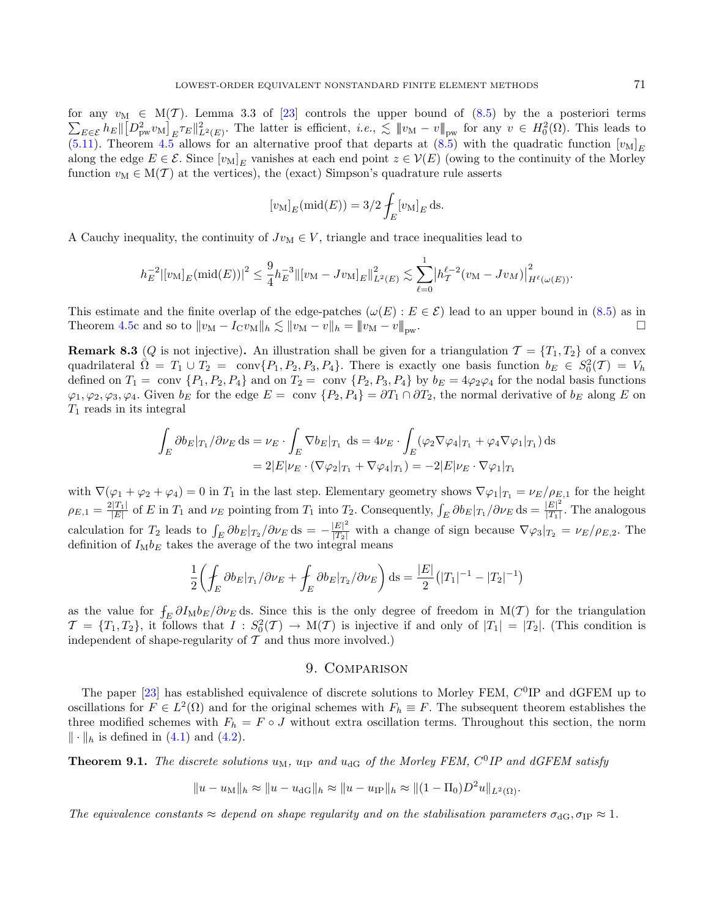for any  $v_M \in M(\mathcal{T})$ . Lemma 3.3 of [\[23\]](#page-36-0) controls the upper bound of  $(8.5)$  by the a posteriori terms  $\sum_{E \in \mathcal{E}} h_E \|\big[D_{\text{pw}}^2 v_M\big]_E \tau_E\|_{L^2(E)}^2$ . The latter is efficient,  $i.e., \lesssim \|v_M - v\|_{\text{pw}}$  for any  $v \in H_0^2(\Omega)$ . This leads to [\(5.11\)](#page-18-1). Theorem [4.5](#page-15-1) allows for an alternative proof that departs at [\(8.5\)](#page-29-6) with the quadratic function  $[v_M]_E$ along the edge  $E \in \mathcal{E}$ . Since  $[v_M]_E$  vanishes at each end point  $z \in \mathcal{V}(E)$  (owing to the continuity of the Morley function  $v_M \in M(\mathcal{T})$  at the vertices), the (exact) Simpson's quadrature rule asserts

$$
[v_{\mathcal{M}}]_E(\text{mid}(E)) = 3/2 \int_E [v_{\mathcal{M}}]_E \,\mathrm{d}s.
$$

A Cauchy inequality, the continuity of  $Jv_M \in V$ , triangle and trace inequalities lead to

$$
h_E^{-2} |[v_M]_E (\text{mid}(E))|^2 \leq \frac{9}{4} h_E^{-3} ||[v_M - Jv_M]_E||_{L^2(E)}^2 \lesssim \sum_{\ell=0}^1 \left| h_T^{\ell-2} (v_M - Jv_M) \right|_{H^{\ell}(\omega(E))}^2.
$$

This estimate and the finite overlap of the edge-patches  $(\omega(E) : E \in \mathcal{E})$  lead to an upper bound in [\(8.5\)](#page-29-6) as in Theorem [4.5c](#page-15-1) and so to  $||v_M - I_C v_M||_h \lesssim ||v_M - v||_h = ||v_M - v||_{hw}$ .

**Remark 8.3** (*Q* is not injective). An illustration shall be given for a triangulation  $\mathcal{T} = \{T_1, T_2\}$  of a convex quadrilateral  $\overline{\Omega} = T_1 \cup T_2 = \text{conv}\{P_1, P_2, P_3, P_4\}.$  There is exactly one basis function  $b_E \in S_0^2(\mathcal{T}) = V_h$ defined on  $T_1 = \text{conv } \{P_1, P_2, P_4\}$  and on  $T_2 = \text{conv } \{P_2, P_3, P_4\}$  by  $b_E = 4\varphi_2\varphi_4$  for the nodal basis functions  $\varphi_1, \varphi_2, \varphi_3, \varphi_4$ . Given  $b_E$  for the edge  $E = \text{conv } \{P_2, P_4\} = \partial T_1 \cap \partial T_2$ , the normal derivative of  $b_E$  along E on  $T_1$  reads in its integral

$$
\int_{E} \partial b_E|_{T_1} / \partial \nu_E \, ds = \nu_E \cdot \int_{E} \nabla b_E|_{T_1} \, ds = 4\nu_E \cdot \int_{E} (\varphi_2 \nabla \varphi_4|_{T_1} + \varphi_4 \nabla \varphi_1|_{T_1}) \, ds
$$
\n
$$
= 2|E|\nu_E \cdot (\nabla \varphi_2|_{T_1} + \nabla \varphi_4|_{T_1}) = -2|E|\nu_E \cdot \nabla \varphi_1|_{T_1}
$$

with  $\nabla(\varphi_1 + \varphi_2 + \varphi_4) = 0$  in  $T_1$  in the last step. Elementary geometry shows  $\nabla \varphi_1|_{T_1} = \nu_E/\rho_{E,1}$  for the height  $\rho_{E,1} = \frac{2|T_1|}{|E|}$  of E in  $T_1$  and  $\nu_E$  pointing from  $T_1$  into  $T_2$ . Consequently,  $\int_E \partial b_E |_{T_1} / \partial \nu_E$  ds  $= \frac{|E|^2}{|T_1|}$  $\frac{|E|}{|T_1|}$ . The analogous calculation for  $T_2$  leads to  $\int_E \partial b_E |_{T_2} / \partial \nu_E$  ds =  $-\frac{|E|^2}{|T_2|}$  with a change of sign because  $\nabla \varphi_3 |_{T_2} = \nu_E / \rho_{E,2}$ . The definition of  $I_M b_E$  takes the average of the two integral means

$$
\frac{1}{2}\left(\oint_{E} \partial b_{E}|_{T_{1}}/\partial \nu_{E} + \oint_{E} \partial b_{E}|_{T_{2}}/\partial \nu_{E}\right) ds = \frac{|E|}{2}(|T_{1}|^{-1} - |T_{2}|^{-1})
$$

as the value for  $f_E \partial I_M b_E/\partial \nu_E$  ds. Since this is the only degree of freedom in M(T) for the triangulation  $\mathcal{T} = \{T_1, T_2\}$ , it follows that  $I : S_0^2(\mathcal{T}) \to M(\mathcal{T})$  is injective if and only of  $|T_1| = |T_2|$ . (This condition is independent of shape-regularity of  $\mathcal T$  and thus more involved.)

# 9. Comparison

<span id="page-30-0"></span>The paper  $[23]$  has established equivalence of discrete solutions to Morley FEM,  $C^0$ IP and dGFEM up to oscillations for  $F \in L^2(\Omega)$  and for the original schemes with  $F_h \equiv F$ . The subsequent theorem establishes the three modified schemes with  $F_h = F \circ J$  without extra oscillation terms. Throughout this section, the norm  $\|\cdot\|_h$  is defined in [\(4.1\)](#page-10-2) and [\(4.2\)](#page-10-7).

**Theorem 9.1.** The discrete solutions  $u_M$ ,  $u_{IP}$  and  $u_{dG}$  of the Morley FEM,  $C^0IP$  and dGFEM satisfy

$$
||u - u_{\text{M}}||_h \approx ||u - u_{\text{dG}}||_h \approx ||u - u_{\text{IP}}||_h \approx ||(1 - \Pi_0)D^2u||_{L^2(\Omega)}.
$$

The equivalence constants  $\approx$  depend on shape regularity and on the stabilisation parameters  $\sigma_{\text{dG}}, \sigma_{\text{IP}} \approx 1$ .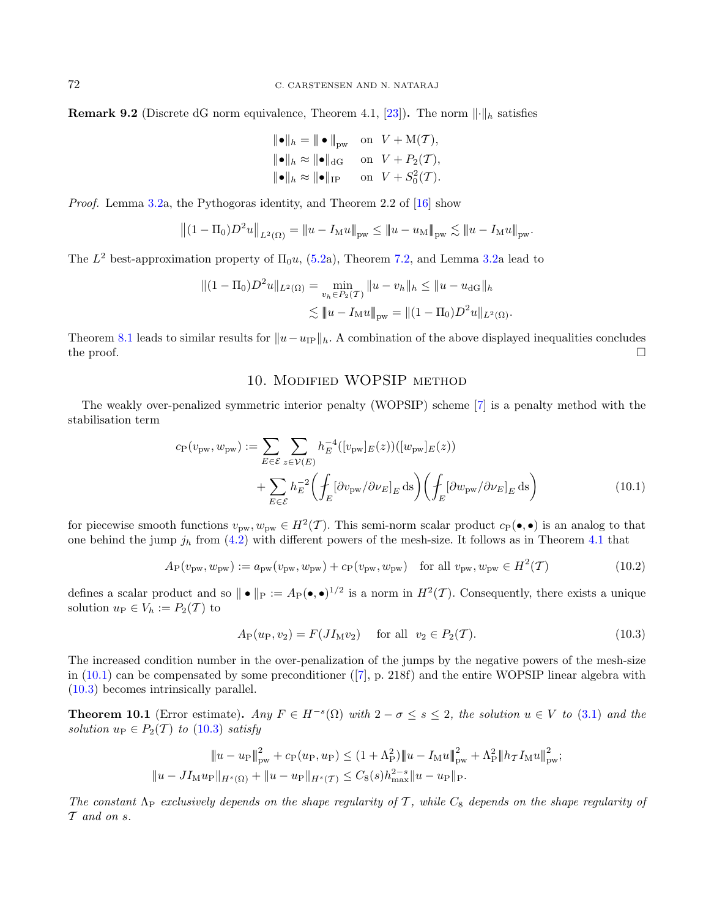**Remark 9.2** (Discrete dG norm equivalence, Theorem 4.1, [\[23\]](#page-36-0)). The norm  $\lVert \cdot \rVert_h$  satisfies

$$
\begin{aligned}\n\|\bullet\|_{h} &= \|\bullet\|_{\text{pw}} \quad \text{on} \quad V + \mathcal{M}(\mathcal{T}), \\
\|\bullet\|_{h} &\approx \|\bullet\|_{\text{dG}} \quad \text{on} \quad V + P_2(\mathcal{T}), \\
\|\bullet\|_{h} &\approx \|\bullet\|_{\text{IP}} \quad \text{on} \quad V + S_0^2(\mathcal{T}).\n\end{aligned}
$$

Proof. Lemma [3.2a](#page-7-2), the Pythogoras identity, and Theorem 2.2 of [\[16\]](#page-36-8) show

$$
||(1 - \Pi_0)D^2u||_{L^2(\Omega)} = ||u - I_Mu||_{\text{pw}} \le ||u - u_M||_{\text{pw}} \lesssim ||u - I_Mu||_{\text{pw}}.
$$

The  $L^2$  best-approximation property of  $\Pi_0 u$ , [\(5.2a](#page-17-4)), Theorem [7.2,](#page-27-2) and Lemma [3.2a](#page-7-2) lead to

$$
||(1 - \Pi_0)D^2u||_{L^2(\Omega)} = \min_{v_h \in P_2(\mathcal{T})} ||u - v_h||_h \le ||u - u_{dG}||_h
$$
  

$$
\lesssim ||u - I_Mu||_{pw} = ||(1 - \Pi_0)D^2u||_{L^2(\Omega)}.
$$

Theorem [8.1](#page-29-5) leads to similar results for  $||u-u_{IP}||_h$ . A combination of the above displayed inequalities concludes the proof.  $\Box$ 

# <span id="page-31-3"></span><span id="page-31-2"></span><span id="page-31-1"></span>10. Modified WOPSIP method

<span id="page-31-0"></span>The weakly over-penalized symmetric interior penalty (WOPSIP) scheme [\[7\]](#page-36-29) is a penalty method with the stabilisation term

$$
c_{\mathcal{P}}(v_{\mathcal{p}w}, w_{\mathcal{p}w}) := \sum_{E \in \mathcal{E}} \sum_{z \in \mathcal{V}(E)} h_E^{-4}([v_{\mathcal{p}w}]_E(z))([w_{\mathcal{p}w}]_E(z))
$$

$$
+ \sum_{E \in \mathcal{E}} h_E^{-2} \left( \int_E [\partial v_{\mathcal{p}w} / \partial \nu_E]_E \, \text{d}s \right) \left( \int_E [\partial w_{\mathcal{p}w} / \partial \nu_E]_E \, \text{d}s \right) \tag{10.1}
$$

for piecewise smooth functions  $v_{\text{pw}}, w_{\text{pw}} \in H^2(\mathcal{T})$ . This semi-norm scalar product  $c_{\text{P}}(\bullet, \bullet)$  is an analog to that one behind the jump  $j_h$  from [\(4.2\)](#page-10-7) with different powers of the mesh-size. It follows as in Theorem [4.1](#page-10-6) that

$$
A_{\mathcal{P}}(v_{\mathcal{p}w}, w_{\mathcal{p}w}) := a_{\mathcal{p}w}(v_{\mathcal{p}w}, w_{\mathcal{p}w}) + c_{\mathcal{P}}(v_{\mathcal{p}w}, w_{\mathcal{p}w}) \quad \text{for all } v_{\mathcal{p}w}, w_{\mathcal{p}w} \in H^2(\mathcal{T})
$$
\n
$$
(10.2)
$$

defines a scalar product and so  $\| \bullet \|_{P} := A_{P}(\bullet, \bullet)^{1/2}$  is a norm in  $H^{2}(\mathcal{T})$ . Consequently, there exists a unique solution  $u_{\rm P} \in V_h := P_2(T)$  to

$$
A_{\rm P}(u_{\rm P}, v_2) = F(JI_{\rm M}v_2) \quad \text{for all} \quad v_2 \in P_2(\mathcal{T}). \tag{10.3}
$$

The increased condition number in the over-penalization of the jumps by the negative powers of the mesh-size in  $(10.1)$  can be compensated by some preconditioner  $([7], p. 218f)$  $([7], p. 218f)$  $([7], p. 218f)$  and the entire WOPSIP linear algebra with [\(10.3\)](#page-31-3) becomes intrinsically parallel.

<span id="page-31-4"></span>**Theorem 10.1** (Error estimate). Any  $F \in H^{-s}(\Omega)$  with  $2 - \sigma \le s \le 2$ , the solution  $u \in V$  to [\(3.1\)](#page-5-1) and the solution  $u_{\text{P}} \in P_2(\mathcal{T})$  to [\(10.3\)](#page-31-3) satisfy

$$
||u - u_{\rm P}||_{\rm pw}^2 + c_{\rm P}(u_{\rm P}, u_{\rm P}) \le (1 + \Lambda_{\rm P}^2) ||u - I_{\rm M}u||_{\rm pw}^2 + \Lambda_{\rm P}^2 ||h_{\rm T}I_{\rm M}u||_{\rm pw}^2;
$$
  

$$
||u - JI_{\rm M}u_{\rm P}||_{H^s(\Omega)} + ||u - u_{\rm P}||_{H^s(\mathcal{T})} \le C_8(s)h_{\rm max}^{2-s}||u - u_{\rm P}||_{\rm P}.
$$

The constant  $\Lambda_P$  exclusively depends on the shape regularity of T, while  $C_8$  depends on the shape regularity of  $\mathcal T$  and on  $s$ .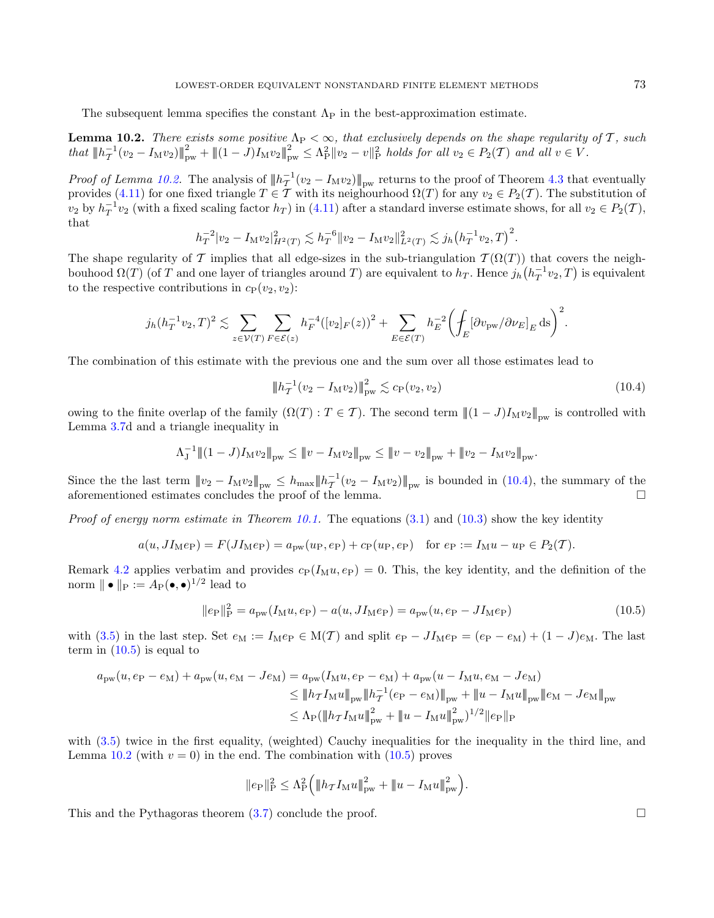The subsequent lemma specifies the constant  $\Lambda_{\rm P}$  in the best-approximation estimate.

<span id="page-32-0"></span>**Lemma 10.2.** There exists some positive  $\Lambda_P < \infty$ , that exclusively depends on the shape regularity of T, such  $that \ \|h_T^{-1}(v_2 - I_M v_2)\|_{\text{pw}}^2 + \| (1 - J)I_M v_2 \|_{\text{pw}}^2 \leq \Lambda_P^2 \|v_2 - v\|_P^2$  holds for all  $v_2 \in P_2(\mathcal{T})$  and all  $v \in V$ .

*Proof of Lemma [10.2.](#page-32-0)* The analysis of  $||h_T^{-1}(v_2 - I_M v_2)||_{\text{pw}}$  returns to the proof of Theorem [4.3](#page-12-0) that eventually provides [\(4.11\)](#page-14-0) for one fixed triangle  $T \in \mathcal{T}$  with its neighourhood  $\Omega(T)$  for any  $v_2 \in P_2(\mathcal{T})$ . The substitution of  $v_2$  by  $h_T^{-1}v_2$  (with a fixed scaling factor  $h_T$ ) in [\(4.11\)](#page-14-0) after a standard inverse estimate shows, for all  $v_2 \in P_2(\mathcal{T})$ , that

$$
h_T^{-2}|v_2 - I_\mathcal{M} v_2|_{H^2(T)}^2 \lesssim h_T^{-6} \|v_2 - I_\mathcal{M} v_2\|_{L^2(T)}^2 \lesssim j_h \big(h_T^{-1} v_2, T\big)^2.
$$

The shape regularity of T implies that all edge-sizes in the sub-triangulation  $\mathcal{T}(\Omega(T))$  that covers the neighbouhood  $\Omega(T)$  (of T and one layer of triangles around T) are equivalent to  $h_T$ . Hence  $j_h(h_T^{-1}v_2, T)$  is equivalent to the respective contributions in  $c_{\rm P}(v_2, v_2)$ :

$$
j_h(h_T^{-1}v_2,T)^2 \lesssim \sum_{z \in \mathcal{V}(T)} \sum_{F \in \mathcal{E}(z)} h_F^{-4}([v_2]_F(z))^2 + \sum_{E \in \mathcal{E}(T)} h_E^{-2} \left( \int_E [\partial v_{\text{pw}}/\partial \nu_E]_E \,\mathrm{d}s \right)^2.
$$

The combination of this estimate with the previous one and the sum over all those estimates lead to

<span id="page-32-2"></span><span id="page-32-1"></span>
$$
\|h_T^{-1}(v_2 - I_M v_2)\|_{\text{pw}}^2 \lesssim c_\text{P}(v_2, v_2) \tag{10.4}
$$

owing to the finite overlap of the family  $(\Omega(T) : T \in \mathcal{T})$ . The second term  $\|(1-J)I_Mv_2\|_{\text{pw}}$  is controlled with Lemma [3.7d](#page-8-0) and a triangle inequality in

$$
\Lambda_J^{-1} \|(1-J)I_M v_2\|_{\text{pw}} \le \|v - I_M v_2\|_{\text{pw}} \le \|v - v_2\|_{\text{pw}} + \|v_2 - I_M v_2\|_{\text{pw}}.
$$

Since the the last term  $|||v_2 - I_M v_2||_{\text{pw}} \leq h_{\text{max}} ||h_T^{-1}(v_2 - I_M v_2)||_{\text{pw}}$  is bounded in [\(10.4\)](#page-32-1), the summary of the aforementioned estimates concludes the proof of the lemma.  $\Box$ 

*Proof of energy norm estimate in Theorem [10.1.](#page-31-4)* The equations  $(3.1)$  and  $(10.3)$  show the key identity

$$
a(u, JI_Me_P) = F(JI_Me_P) = a_{pw}(u_P, e_P) + c_P(u_P, e_P)
$$
 for  $e_P := I_Mu - u_P \in P_2(\mathcal{T})$ .

Remark [4.2](#page-10-9) applies verbatim and provides  $c_P(I_M u, e_P) = 0$ . This, the key identity, and the definition of the norm  $\| \bullet \|_{\text{P}} := A_{\text{P}}(\bullet, \bullet)^{1/2}$  lead to

$$
||e_{\rm P}||_{\rm P}^2 = a_{\rm pw}(I_{\rm M}u, e_{\rm P}) - a(u, JI_{\rm M}e_{\rm P}) = a_{\rm pw}(u, e_{\rm P} - JI_{\rm M}e_{\rm P})
$$
\n(10.5)

with [\(3.5\)](#page-7-7) in the last step. Set  $e_M := I_M e_P \in M(\mathcal{T})$  and split  $e_P - J_{M} e_P = (e_P - e_M) + (1 - J)e_M$ . The last term in  $(10.5)$  is equal to

$$
a_{\text{pw}}(u, e_{\text{P}} - e_{\text{M}}) + a_{\text{pw}}(u, e_{\text{M}} - Je_{\text{M}}) = a_{\text{pw}}(I_{\text{M}}u, e_{\text{P}} - e_{\text{M}}) + a_{\text{pw}}(u - I_{\text{M}}u, e_{\text{M}} - Je_{\text{M}})
$$
  
\n
$$
\leq \|h_{\mathcal{T}}I_{\text{M}}u\|_{\text{pw}} \|h_{\mathcal{T}}^{-1}(e_{\text{P}} - e_{\text{M}})\|_{\text{pw}} + \|u - I_{\text{M}}u\|_{\text{pw}} \|e_{\text{M}} - Je_{\text{M}}\|_{\text{pw}}
$$
  
\n
$$
\leq \Lambda_{\text{P}}(\|h_{\mathcal{T}}I_{\text{M}}u\|_{\text{pw}}^2 + \|u - I_{\text{M}}u\|_{\text{pw}}^2)^{1/2} \|e_{\text{P}}\|_{\text{P}}
$$

with  $(3.5)$  twice in the first equality, (weighted) Cauchy inequalities for the inequality in the third line, and Lemma [10.2](#page-32-0) (with  $v = 0$ ) in the end. The combination with  $(10.5)$  proves

$$
||e_{\rm P}||_{\rm P}^2 \leq \Lambda_{\rm P}^2 \Big( ||h_{\mathcal{T}} I_{\rm M} u||_{\rm pw}^2 + ||u - I_{\rm M} u||_{\rm pw}^2 \Big).
$$

This and the Pythagoras theorem  $(3.7)$  conclude the proof.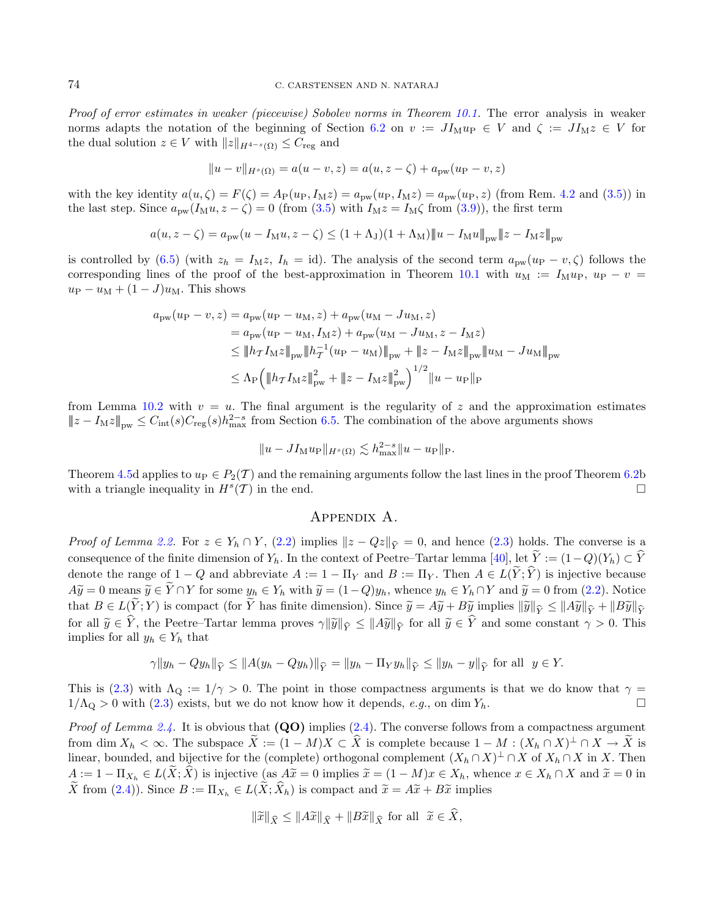Proof of error estimates in weaker (piecewise) Sobolev norms in Theorem [10.1.](#page-31-4) The error analysis in weaker norms adapts the notation of the beginning of Section [6.2](#page-22-1) on  $v := J I_M u_P \in V$  and  $\zeta := J I_M z \in V$  for the dual solution  $z \in V$  with  $||z||_{H^{4-s}(\Omega)} \leq C_{\text{reg}}$  and

$$
||u - v||_{H^{s}(\Omega)} = a(u - v, z) = a(u, z - \zeta) + a_{\text{pw}}(u_{\text{P}} - v, z)
$$

with the key identity  $a(u, \zeta) = F(\zeta) = A_P(u_P, I_M z) = a_{\text{pw}}(u_P, I_M z) = a_{\text{pw}}(u_P, z)$  (from Rem. [4.2](#page-10-9) and [\(3.5\)](#page-7-7)) in the last step. Since  $a_{\text{pw}}(I_M u, z - \zeta) = 0$  (from [\(3.5\)](#page-7-7) with  $I_M z = I_M \zeta$  from [\(3.9\)](#page-8-2)), the first term

$$
a(u, z - \zeta) = a_{\text{pw}}(u - I_{\text{M}}u, z - \zeta) \le (1 + \Lambda_{\text{J}})(1 + \Lambda_{\text{M}}) \|u - I_{\text{M}}u\|_{\text{pw}} \|z - I_{\text{M}}z\|_{\text{pw}}
$$

is controlled by [\(6.5\)](#page-23-3) (with  $z_h = I_M z$ ,  $I_h = id$ ). The analysis of the second term  $a_{\text{pw}}(u_P - v, \zeta)$  follows the corresponding lines of the proof of the best-approximation in Theorem [10.1](#page-31-4) with  $u_M := I_M u_P$ ,  $u_P - v =$  $u_{\rm P} - u_{\rm M} + (1-J)u_{\rm M}$ . This shows

$$
a_{\text{pw}}(u_{\text{P}} - v, z) = a_{\text{pw}}(u_{\text{P}} - u_{\text{M}}, z) + a_{\text{pw}}(u_{\text{M}} - Ju_{\text{M}}, z)
$$
  
\n
$$
= a_{\text{pw}}(u_{\text{P}} - u_{\text{M}}, I_{\text{M}}z) + a_{\text{pw}}(u_{\text{M}} - Ju_{\text{M}}, z - I_{\text{M}}z)
$$
  
\n
$$
\leq \|h_{\mathcal{T}}I_{\text{M}}z\|_{\text{pw}} \|h_{\mathcal{T}}^{-1}(u_{\text{P}} - u_{\text{M}})\|_{\text{pw}} + \|z - I_{\text{M}}z\|_{\text{pw}} \|u_{\text{M}} - Ju_{\text{M}}\|_{\text{pw}}
$$
  
\n
$$
\leq \Lambda_{\text{P}} \Big( \|h_{\mathcal{T}}I_{\text{M}}z\|_{\text{pw}}^2 + \|z - I_{\text{M}}z\|_{\text{pw}}^2 \Big)^{1/2} \|u - u_{\text{P}}\|_{\text{P}}
$$

from Lemma [10.2](#page-32-0) with  $v = u$ . The final argument is the regularity of z and the approximation estimates  $||z - I_M z||_{\text{pw}} \leq C_{\text{int}}(s)C_{\text{reg}}(s)h_{\text{max}}^{2-s}$  from Section [6.5.](#page-24-4) The combination of the above arguments shows

$$
||u - JI_{\mathcal{M}}u_{\mathcal{P}}||_{H^{s}(\Omega)} \lesssim h_{\max}^{2-s}||u - u_{\mathcal{P}}||_{\mathcal{P}}.
$$

Theorem [4.5d](#page-15-1) applies to  $u_P \in P_2(\mathcal{T})$  and the remaining arguments follow the last lines in the proof Theorem [6.2b](#page-22-0) with a triangle inequality in  $H^s(\mathcal{T})$  in the end.

#### Appendix A.

<span id="page-33-0"></span>*Proof of Lemma [2.2.](#page-3-1)* For  $z \in Y_h \cap Y$ , [\(2.2\)](#page-3-0) implies  $||z - Qz||_{\hat{Y}} = 0$ , and hence [\(2.3\)](#page-3-3) holds. The converse is a consequence of the finite dimension of  $Y_h$ . In the context of Peetre–Tartar lemma [\[40\]](#page-37-13), let  $\widetilde{Y} := (1-Q)(Y_h) \subset \widehat{Y}$ denote the range of  $1 - Q$  and abbreviate  $A := 1 - \Pi_Y$  and  $B := \Pi_Y$ . Then  $A \in L(\tilde{Y}; \hat{Y})$  is injective because  $A\widetilde{y} = 0$  means  $\widetilde{y} \in \widetilde{Y} \cap Y$  for some  $y_h \in Y_h$  with  $\widetilde{y} = (1 - Q)y_h$ , whence  $y_h \in Y_h \cap Y$  and  $\widetilde{y} = 0$  from  $(2.2)$ . Notice that  $B \in L(\tilde{Y}; Y)$  is compact (for  $\tilde{Y}$  has finite dimension). Since  $\tilde{y} = A\tilde{y} + B\tilde{y}$  implies  $\|\tilde{y}\|_{\tilde{Y}} \leq \|A\tilde{y}\|_{\tilde{Y}} + \|B\tilde{y}\|_{\tilde{Y}}$ for all  $\tilde{y} \in \hat{Y}$ , the Peetre–Tartar lemma proves  $\gamma \|\tilde{y}\|_{\hat{Y}} \leq \|A\tilde{y}\|_{\hat{Y}}$  for all  $\tilde{y} \in \hat{Y}$  and some constant  $\gamma > 0$ . This implies for all  $y_h \in Y_h$  that

$$
\gamma \|y_h - Qy_h\|_{\widehat{Y}} \le \|A(y_h - Qy_h)\|_{\widehat{Y}} = \|y_h - \Pi_Y y_h\|_{\widehat{Y}} \le \|y_h - y\|_{\widehat{Y}} \text{ for all } y \in Y.
$$

This is [\(2.3\)](#page-3-3) with  $\Lambda_{\Omega} := 1/\gamma > 0$ . The point in those compactness arguments is that we do know that  $\gamma =$  $1/\Lambda_{\rm Q} > 0$  with [\(2.3\)](#page-3-3) exists, but we do not know how it depends, e.g., on dim  $Y_h$ .

*Proof of Lemma [2.4.](#page-4-0)* It is obvious that  $(QO)$  implies  $(2.4)$ . The converse follows from a compactness argument from dim  $X_h < \infty$ . The subspace  $\widetilde{X} := (1 - M)X \subset \widehat{X}$  is complete because  $1 - M : (X_h \cap X)^\perp \cap X \to \widetilde{X}$  is linear, bounded, and bijective for the (complete) orthogonal complement  $(X_h \cap X)^{\perp} \cap X$  of  $X_h \cap X$  in X. Then  $A := 1 - \Pi_{X_h} \in L(X; X)$  is injective (as  $A\tilde{x} = 0$  implies  $\tilde{x} = (1 - M)x \in X_h$ , whence  $x \in X_h \cap X$  and  $\tilde{x} = 0$  in  $\widetilde{X}$  from [\(2.4\)](#page-4-1)). Since  $B := \Pi_{X_h} \in L(\widetilde{X}; \widehat{X}_h)$  is compact and  $\widetilde{x} = A\widetilde{x} + B\widetilde{x}$  implies

$$
\|\widetilde{x}\|_{\widehat{X}} \le \|A\widetilde{x}\|_{\widehat{X}} + \|B\widetilde{x}\|_{\widehat{X}} \text{ for all } \widetilde{x} \in X,
$$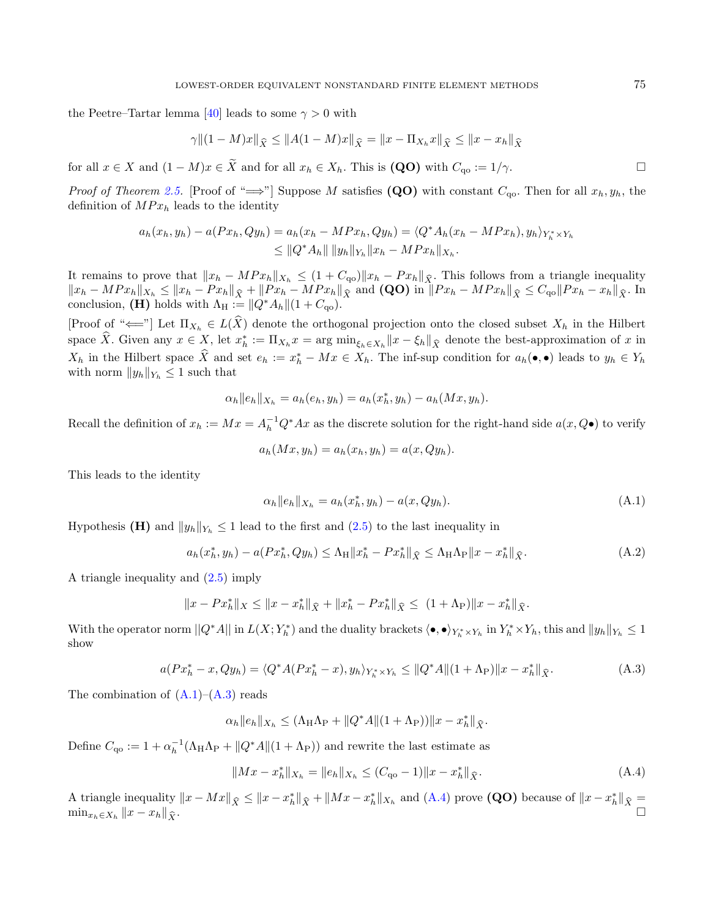the Peetre–Tartar lemma [\[40\]](#page-37-13) leads to some  $\gamma > 0$  with

$$
\gamma \| (1 - M)x \|_{\widehat{X}} \le \| A(1 - M)x \|_{\widehat{X}} = \| x - \Pi_{X_h} x \|_{\widehat{X}} \le \| x - x_h \|_{\widehat{X}}
$$

for all  $x \in X$  and  $(1 - M)x \in \tilde{X}$  and for all  $x_h \in X_h$ . This is  $(QO)$  with  $C_{qo} := 1/\gamma$ .

*Proof of Theorem [2.5.](#page-4-2)* [Proof of " $\implies$ "] Suppose M satisfies (QO) with constant  $C_{\alpha 0}$ . Then for all  $x_h, y_h$ , the definition of  $MPx_h$  leads to the identity

$$
a_h(x_h, y_h) - a(Px_h, Qy_h) = a_h(x_h - MPx_h, Qy_h) = \langle Q^* A_h(x_h - MPx_h), y_h \rangle_{Y_h^* \times Y_h} \leq ||Q^* A_h|| ||y_h||_{Y_h} ||x_h - MPx_h||_{X_h}.
$$

It remains to prove that  $||x_h - MPx_h||_{X_h} \leq (1 + C_{\text{qo}})||x_h - Px_h||_{\hat{X}}$ . This follows from a triangle inequality  $||x_h - MPx_h||_{X_h} \le ||x_h - Px_h||_{\widehat{X}} + ||Px_h - MPx_h||_{\widehat{X}}$  and  $(QO)$  in  $||Px_h - MPx_h||_{\widehat{X}} \le C_{qo} ||Px_h - x_h||_{\widehat{X}}$ . In conclusion, (H) holds with  $\Lambda_H := ||Q^* A_h|| (1 + C_{qo}).$ 

[Proof of " $\Longleftarrow$ "] Let  $\Pi_{X_h} \in L(\hat{X})$  denote the orthogonal projection onto the closed subset  $X_h$  in the Hilbert space  $\hat{X}$ . Given any  $x \in X$ , let  $x_h^* := \Pi_{X_h} x = \arg \min_{\xi_h \in X_h} ||x - \xi_h||_{\hat{X}}$  denote the best-approximation of x in  $X_h$  in the Hilbert space  $\hat{X}$  and set  $e_h := x_h^* - Mx \in X_h$ . The inf-sup condition for  $a_h(\bullet, \bullet)$  leads to  $y_h \in Y_h$ with norm  $||y_h||_{Y_h} \leq 1$  such that

$$
\alpha_h ||e_h||_{X_h} = a_h(e_h, y_h) = a_h(x_h^*, y_h) - a_h(Mx, y_h).
$$

Recall the definition of  $x_h := Mx = A_h^{-1}Q^*Ax$  as the discrete solution for the right-hand side  $a(x, Q\bullet)$  to verify

<span id="page-34-0"></span>
$$
a_h(Mx, y_h) = a_h(x_h, y_h) = a(x, Qy_h).
$$

This leads to the identity

<span id="page-34-2"></span><span id="page-34-1"></span>
$$
\alpha_h \|e_h\|_{X_h} = a_h(x_h^*, y_h) - a(x, Qy_h). \tag{A.1}
$$

Hypothesis (H) and  $||y_h||_{Y_h} \leq 1$  lead to the first and [\(2.5\)](#page-4-2) to the last inequality in

$$
a_h(x_h^*, y_h) - a(Px_h^*, Qy_h) \le \Lambda_H \|x_h^* - Px_h^*\|_{\widehat{X}} \le \Lambda_H \Lambda_P \|x - x_h^*\|_{\widehat{X}}.
$$
 (A.2)

A triangle inequality and [\(2.5\)](#page-4-2) imply

$$
||x - Px_h^*||_X \le ||x - x_h^*||_{\widehat{X}} + ||x_h^* - Px_h^*||_{\widehat{X}} \le (1 + \Lambda_P) ||x - x_h^*||_{\widehat{X}}.
$$

With the operator norm  $||Q^*A||$  in  $L(X; Y_h^*)$  and the duality brackets  $\langle \bullet, \bullet \rangle_{Y_h^* \times Y_h}$  in  $Y_h^* \times Y_h$ , this and  $||y_h||_{Y_h} \leq 1$ show

$$
a(Px_h^* - x, Qy_h) = \langle Q^* A(Px_h^* - x), y_h \rangle_{Y_h^* \times Y_h} \le ||Q^* A|| (1 + \Lambda_P) ||x - x_h^* ||_{\hat{X}}.
$$
 (A.3)

The combination of  $(A.1)$ – $(A.3)$  reads

$$
\alpha_h \|e_h\|_{X_h} \leq (\Lambda_H \Lambda_P + \|Q^*A\|(1+\Lambda_P))\|x - x_h^*\|_{\widehat{X}}.
$$

Define  $C_{\mathbf{q}\circ} := 1 + \alpha_h^{-1}(\Lambda_H \Lambda_P + ||Q^*A||(1 + \Lambda_P))$  and rewrite the last estimate as

$$
||Mx - x_h^*||_{X_h} = ||e_h||_{X_h} \le (C_{\mathbf{q}_0} - 1)||x - x_h^*||_{\widehat{X}}.
$$
\n(A.4)

A triangle inequality  $||x - Mx||_{\hat{X}} \le ||x - x_h^*||_{\hat{X}} + ||Mx - x_h^*||_{X_h}$  and [\(A.4\)](#page-34-2) prove (QO) because of  $||x - x_h^*||_{\hat{X}} =$  $\min_{x_h \in X_h} ||x - x_h||_{\widehat{X}}.$  $||x - x_h||_{\widehat{X}}$ .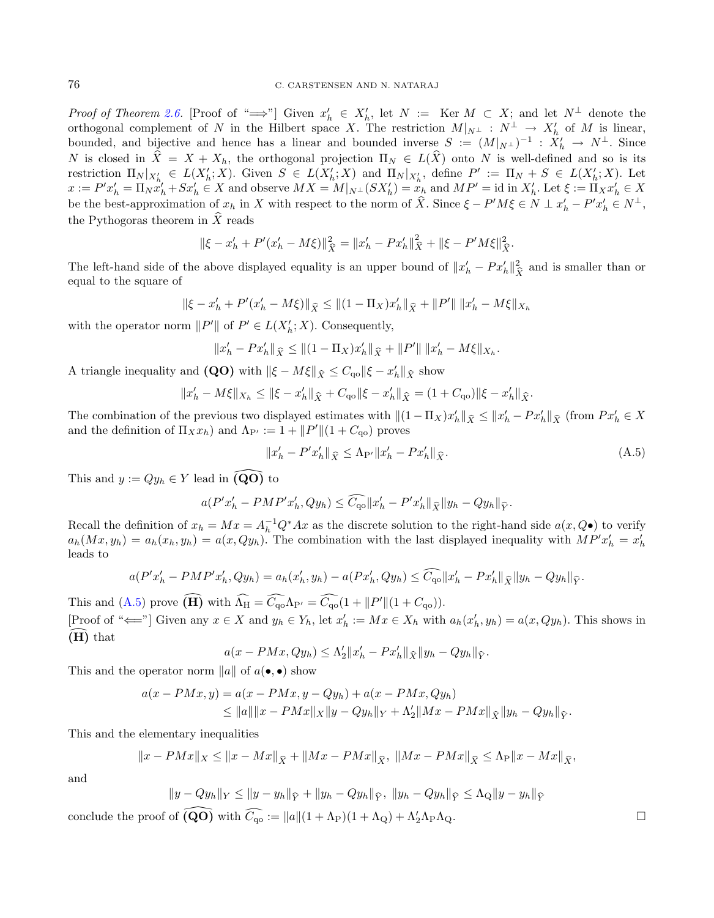#### 76 C. CARSTENSEN AND N. NATARAJ

Proof of Theorem [2.6.](#page-4-4) [Proof of " $\Longrightarrow$ "] Given  $x'_h \in X'_h$ , let  $N := \text{Ker } M \subset X$ ; and let  $N^{\perp}$  denote the orthogonal complement of N in the Hilbert space X. The restriction  $M|_{N^{\perp}} : N^{\perp} \to X'_{h}$  of M is linear, bounded, and bijective and hence has a linear and bounded inverse  $S := (M|_{N} \perp)^{-1} : X'_{h} \to N^{\perp}$ . Since N is closed in  $\hat{X} = X + X_h$ , the orthogonal projection  $\Pi_N \in L(\hat{X})$  onto N is well-defined and so is its restriction  $\Pi_N|_{X'_{h}} \in L(X'_h;X)$ . Given  $S \in L(X'_h;X)$  and  $\Pi_N|_{X'_h}$ , define  $P' := \Pi_N + S \in L(X'_h;X)$ . Let  $x := P' x'_h = \overline{\Pi}_N x'_h + S x'_h \in X$  and observe  $MX = M|_{N} (SX'_h) = x_h$  and  $MP' = \text{id}$  in  $X'_h$ . Let  $\xi := \overline{\Pi}_X x'_h \in X$ be the best-approximation of  $x_h$  in X with respect to the norm of  $\hat{X}$ . Since  $\xi - P'M\xi \in N \perp x'_h - P'x'_h \in N^{\perp}$ , the Pythogoras theorem in  $\hat{X}$  reads

<span id="page-35-0"></span>
$$
\|\xi - x'_{h} + P'(x'_{h} - M\xi)\|_{\widehat{X}}^{2} = \|x'_{h} - Px'_{h}\|_{\widehat{X}}^{2} + \|\xi - P'M\xi\|_{\widehat{X}}^{2}.
$$

The left-hand side of the above displayed equality is an upper bound of  $||x'_{h} - Px'_{h}||_{\widehat{X}}^2$  and is smaller than or equal to the square of

$$
\|\xi - x'_{h} + P'(x'_{h} - M\xi)\|_{\widehat{X}} \le \| (1 - \Pi_X) x'_{h} \|_{\widehat{X}} + \| P' \| \| x'_{h} - M\xi \|_{X_{h}}
$$

with the operator norm  $||P'||$  of  $P' \in L(X_h'; X)$ . Consequently,

$$
||x'_{h} - Px'_{h}||_{\widehat{X}} \le ||(1 - \Pi_X)x'_{h}||_{\widehat{X}} + ||P'|| ||x'_{h} - M\xi||_{X_{h}}.
$$

A triangle inequality and (QO) with  $\|\xi - M\xi\|_{\widehat{X}} \leq C_{\text{qo}} \|\xi - x'_h\|_{\widehat{X}}$  show

$$
||x'_{h} - M\xi||_{X_{h}} \le ||\xi - x'_{h}||_{\widehat{X}} + C_{\mathbf{q}\circ}||\xi - x'_{h}||_{\widehat{X}} = (1 + C_{\mathbf{q}\circ})||\xi - x'_{h}||_{\widehat{X}}.
$$

The combination of the previous two displayed estimates with  $||(1 - \Pi_X)x'_h||_{\hat{X}} \le ||x'_h - Px'_h||_{\hat{X}}$  (from  $Px'_h \in X$ and the definition of  $\Pi_X x_h$ ) and  $\Lambda_{P'} := 1 + ||P'|| (1 + C_{qo})$  proves

$$
||x_h' - P'x_h'||_{\hat{X}} \le \Lambda_{P'} ||x_h' - Px_h'||_{\hat{X}}.
$$
\n(A.5)

This and  $y := Qy_h \in Y$  lead in  $\widetilde{(\mathbf{Q}\mathbf{O})}$  to

$$
a(P'x'_{h} - PMP'x'_{h}, Qy_{h}) \leq \widehat{C_{\mathbf{q}\mathbf{o}}}\|x'_{h} - P'x'_{h}\|_{\widehat{X}}\|y_{h} - Qy_{h}\|_{\widehat{Y}}.
$$

Recall the definition of  $x_h = Mx = A_h^{-1}Q^*Ax$  as the discrete solution to the right-hand side  $a(x, Q\bullet)$  to verify  $a_h(Mx, y_h) = a_h(x_h, y_h) = a(x, Qy_h)$ . The combination with the last displayed inequality with  $MP'x'_h = x'_h$ leads to

$$
a(P'x'_{h} - PMP'x'_{h}, Qy_{h}) = a_{h}(x'_{h}, y_{h}) - a(Px'_{h}, Qy_{h}) \leq \widehat{C_{\mathbf{q}}}_{\mathbf{q}}||x'_{h} - Px'_{h}||_{\widehat{X}}||y_{h} - Qy_{h}||_{\widehat{Y}}.
$$

This and [\(A.5\)](#page-35-0) prove  $(H)$  with  $\widehat{\Lambda}_{H} = \widehat{C_{\mathbf{q}\circ}} \Lambda_{P'} = \widehat{C_{\mathbf{q}\circ}} (1 + ||P'|| (1 + C_{\mathbf{q}\circ}).$ [Proof of " $\Longleftarrow$ "] Given any  $x \in X$  and  $y_h \in Y_h$ , let  $x'_h := Mx \in X_h$  with  $a_h(x'_h, y_h) = a(x, Qy_h)$ . This shows in  $(H)$  that

$$
a(x - PMx, Qy_h) \le \Lambda_2' ||x_h' - Px_h'||_{\widehat{X}} ||y_h - Qy_h||_{\widehat{Y}}.
$$

This and the operator norm  $||a||$  of  $a(\bullet, \bullet)$  show

$$
a(x - PMx, y) = a(x - PMx, y - Qy_h) + a(x - PMx, Qy_h)
$$
  
\n
$$
\le ||a|| ||x - PMx||_X ||y - Qy_h||_Y + \Lambda_2' ||Mx - PMx||_{\hat{X}} ||y_h - Qy_h||_{\hat{Y}}.
$$

This and the elementary inequalities

$$
||x - PMx||_X \le ||x - Mx||_{\hat{X}} + ||Mx - PMx||_{\hat{X}}, ||Mx - PMx||_{\hat{X}} \le \Lambda_{P} ||x - Mx||_{\hat{X}},
$$

and

$$
||y - Qy_h||_Y \le ||y - y_h||_{\widehat{Y}} + ||y_h - Qy_h||_{\widehat{Y}}, ||y_h - Qy_h||_{\widehat{Y}} \le \Lambda_Q ||y - y_h||_{\widehat{Y}}
$$

conclude the proof of  $\widehat{(\mathbf{Q}\mathbf{O})}$  with  $\widehat{C_{\mathbf{q}\circ}} := ||a||(1 + \Lambda_{\mathbf{P}})(1 + \Lambda_{\mathbf{Q}}) + \Lambda_2'\Lambda_{\mathbf{P}}\Lambda_{\mathbf{Q}}$ .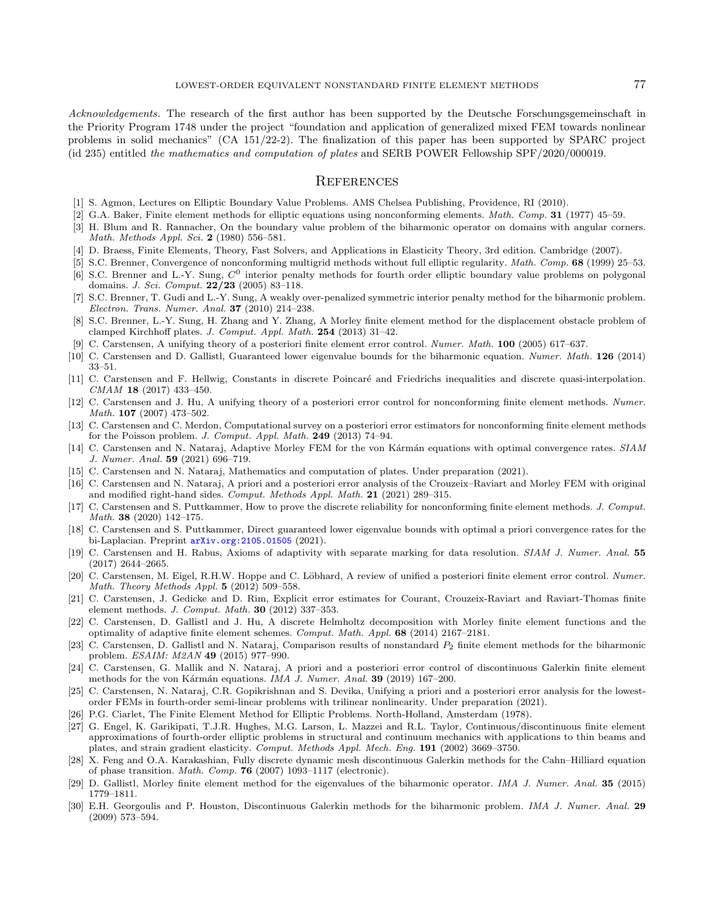<span id="page-36-29"></span><span id="page-36-24"></span><span id="page-36-23"></span><span id="page-36-20"></span><span id="page-36-17"></span><span id="page-36-16"></span><span id="page-36-15"></span><span id="page-36-3"></span>Acknowledgements. The research of the first author has been supported by the Deutsche Forschungsgemeinschaft in the Priority Program 1748 under the project "foundation and application of generalized mixed FEM towards nonlinear problems in solid mechanics" (CA 151/22-2). The finalization of this paper has been supported by SPARC project (id 235) entitled the mathematics and computation of plates and SERB POWER Fellowship SPF/2020/000019.

## **REFERENCES**

- <span id="page-36-18"></span><span id="page-36-9"></span>[1] S. Agmon, Lectures on Elliptic Boundary Value Problems. AMS Chelsea Publishing, Providence, RI (2010).
- <span id="page-36-26"></span>[2] G.A. Baker, Finite element methods for elliptic equations using nonconforming elements. Math. Comp. 31 (1977) 45–59.
- <span id="page-36-10"></span>[3] H. Blum and R. Rannacher, On the boundary value problem of the biharmonic operator on domains with angular corners. Math. Methods Appl. Sci. 2 (1980) 556–581.
- <span id="page-36-21"></span>[4] D. Braess, Finite Elements, Theory, Fast Solvers, and Applications in Elasticity Theory, 3rd edition. Cambridge (2007).
- [5] S.C. Brenner, Convergence of nonconforming multigrid methods without full elliptic regularity. Math. Comp. 68 (1999) 25–53.
- <span id="page-36-12"></span>[6] S.C. Brenner and L.-Y. Sung,  $C^0$  interior penalty methods for fourth order elliptic boundary value problems on polygonal domains. J. Sci. Comput. 22/23 (2005) 83–118.
- <span id="page-36-27"></span>[7] S.C. Brenner, T. Gudi and L.-Y. Sung, A weakly over-penalized symmetric interior penalty method for the biharmonic problem. Electron. Trans. Numer. Anal. 37 (2010) 214–238.
- <span id="page-36-8"></span>[8] S.C. Brenner, L.-Y. Sung, H. Zhang and Y. Zhang, A Morley finite element method for the displacement obstacle problem of clamped Kirchhoff plates. J. Comput. Appl. Math. 254 (2013) 31–42.
- <span id="page-36-13"></span>[9] C. Carstensen, A unifying theory of a posteriori finite element error control. Numer. Math. 100 (2005) 617–637.
- <span id="page-36-6"></span>[10] C. Carstensen and D. Gallistl, Guaranteed lower eigenvalue bounds for the biharmonic equation. Numer. Math. 126 (2014) 33–51.
- <span id="page-36-14"></span>[11] C. Carstensen and F. Hellwig, Constants in discrete Poincaré and Friedrichs inequalities and discrete quasi-interpolation.  $CMAM$  18 (2017) 433-450.
- <span id="page-36-22"></span>[12] C. Carstensen and J. Hu, A unifying theory of a posteriori error control for nonconforming finite element methods. Numer. Math. **107** (2007) 473-502.
- <span id="page-36-25"></span>[13] C. Carstensen and C. Merdon, Computational survey on a posteriori error estimators for nonconforming finite element methods for the Poisson problem. J. Comput. Appl. Math. 249 (2013) 74–94.
- <span id="page-36-11"></span>[14] C. Carstensen and N. Nataraj, Adaptive Morley FEM for the von Kármán equations with optimal convergence rates. SIAM J. Numer. Anal. 59 (2021) 696–719.
- <span id="page-36-0"></span>[15] C. Carstensen and N. Nataraj, Mathematics and computation of plates. Under preparation (2021).
- [16] C. Carstensen and N. Nataraj, A priori and a posteriori error analysis of the Crouzeix–Raviart and Morley FEM with original and modified right-hand sides. Comput. Methods Appl. Math. 21 (2021) 289–315.
- <span id="page-36-28"></span>[17] C. Carstensen and S. Puttkammer, How to prove the discrete reliability for nonconforming finite element methods. J. Comput. Math. 38 (2020) 142–175.
- <span id="page-36-7"></span>[18] C. Carstensen and S. Puttkammer, Direct guaranteed lower eigenvalue bounds with optimal a priori convergence rates for the bi-Laplacian. Preprint [arXiv.org:2105.01505](https://arxiv.org/abs/2105.01505) (2021).
- <span id="page-36-4"></span><span id="page-36-1"></span>[19] C. Carstensen and H. Rabus, Axioms of adaptivity with separate marking for data resolution. SIAM J. Numer. Anal. 55 (2017) 2644–2665.
- [20] C. Carstensen, M. Eigel, R.H.W. Hoppe and C. Löbhard, A review of unified a posteriori finite element error control. Numer. Math. Theory Methods Appl. 5 (2012) 509–558.
- <span id="page-36-2"></span>[21] C. Carstensen, J. Gedicke and D. Rim, Explicit error estimates for Courant, Crouzeix-Raviart and Raviart-Thomas finite element methods. J. Comput. Math. 30 (2012) 337–353.
- <span id="page-36-19"></span>[22] C. Carstensen, D. Gallistl and J. Hu, A discrete Helmholtz decomposition with Morley finite element functions and the optimality of adaptive finite element schemes. Comput. Math. Appl. 68 (2014) 2167–2181.
- <span id="page-36-5"></span>[23] C. Carstensen, D. Gallistl and N. Nataraj, Comparison results of nonstandard  $P_2$  finite element methods for the biharmonic problem. ESAIM: M2AN 49 (2015) 977–990.
- [24] C. Carstensen, G. Mallik and N. Nataraj, A priori and a posteriori error control of discontinuous Galerkin finite element methods for the von Kármán equations. IMA J. Numer. Anal.  $39$  (2019) 167–200.
- [25] C. Carstensen, N. Nataraj, C.R. Gopikrishnan and S. Devika, Unifying a priori and a posteriori error analysis for the lowestorder FEMs in fourth-order semi-linear problems with trilinear nonlinearity. Under preparation (2021).
- [26] P.G. Ciarlet, The Finite Element Method for Elliptic Problems. North-Holland, Amsterdam (1978).
- [27] G. Engel, K. Garikipati, T.J.R. Hughes, M.G. Larson, L. Mazzei and R.L. Taylor, Continuous/discontinuous finite element approximations of fourth-order elliptic problems in structural and continuum mechanics with applications to thin beams and plates, and strain gradient elasticity. Comput. Methods Appl. Mech. Eng. 191 (2002) 3669–3750.
- [28] X. Feng and O.A. Karakashian, Fully discrete dynamic mesh discontinuous Galerkin methods for the Cahn–Hilliard equation of phase transition. Math. Comp. 76 (2007) 1093–1117 (electronic).
- [29] D. Gallistl, Morley finite element method for the eigenvalues of the biharmonic operator. IMA J. Numer. Anal. 35 (2015) 1779–1811.
- [30] E.H. Georgoulis and P. Houston, Discontinuous Galerkin methods for the biharmonic problem. IMA J. Numer. Anal. 29 (2009) 573–594.